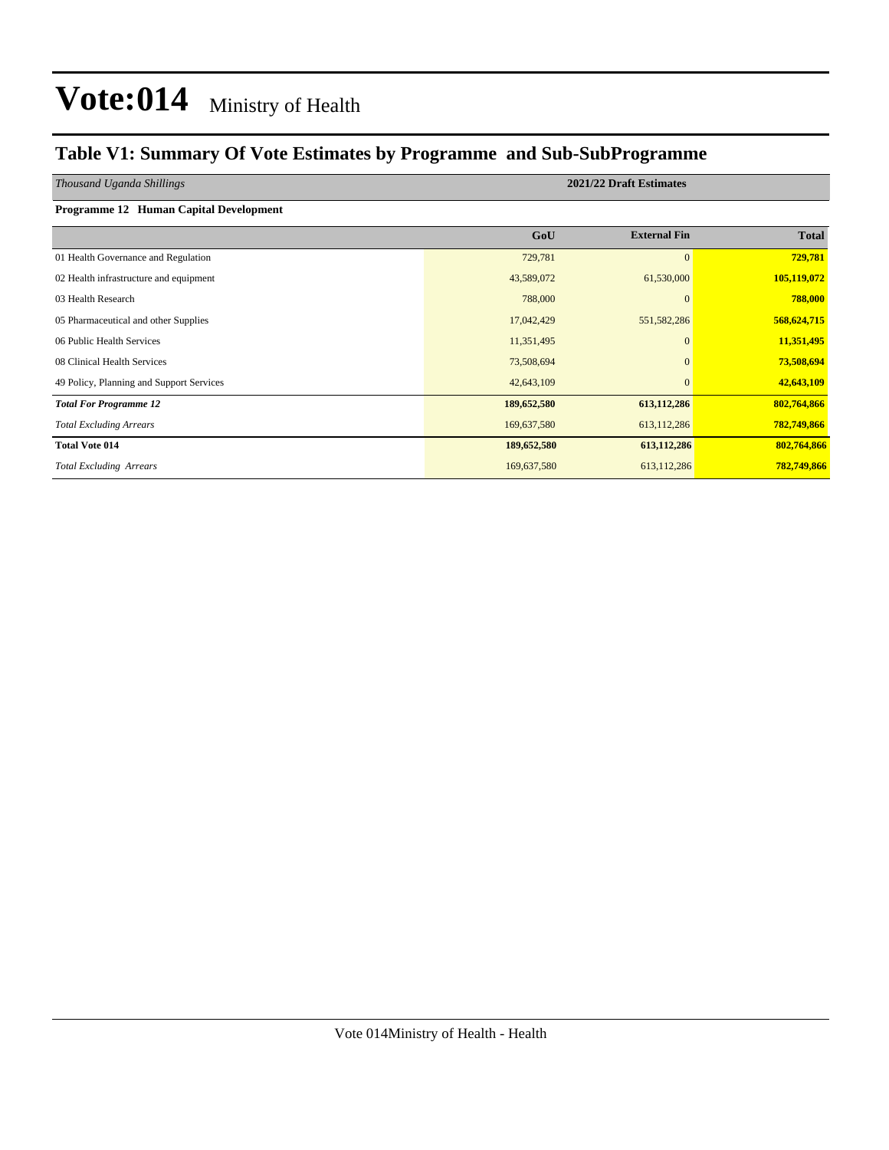### **Table V1: Summary Of Vote Estimates by Programme and Sub-SubProgramme**

**Programme 12 Human Capital Development** 

### *Thousand Uganda Shillings* **2021/22 Draft Estimates**

|                                          | GoU         | <b>External Fin</b> | <b>Total</b> |
|------------------------------------------|-------------|---------------------|--------------|
| 01 Health Governance and Regulation      | 729,781     | $\mathbf{0}$        | 729,781      |
| 02 Health infrastructure and equipment   | 43,589,072  | 61,530,000          | 105,119,072  |
| 03 Health Research                       | 788,000     | $\mathbf{0}$        | 788,000      |
| 05 Pharmaceutical and other Supplies     | 17,042,429  | 551, 582, 286       | 568,624,715  |
| 06 Public Health Services                | 11,351,495  | $\mathbf{0}$        | 11,351,495   |
| 08 Clinical Health Services              | 73,508,694  | $\mathbf{0}$        | 73,508,694   |
| 49 Policy, Planning and Support Services | 42,643,109  | $\mathbf{0}$        | 42,643,109   |
| <b>Total For Programme 12</b>            | 189,652,580 | 613,112,286         | 802,764,866  |
| <b>Total Excluding Arrears</b>           | 169,637,580 | 613,112,286         | 782,749,866  |
| <b>Total Vote 014</b>                    | 189,652,580 | 613,112,286         | 802,764,866  |
| <b>Total Excluding Arrears</b>           | 169,637,580 | 613, 112, 286       | 782,749,866  |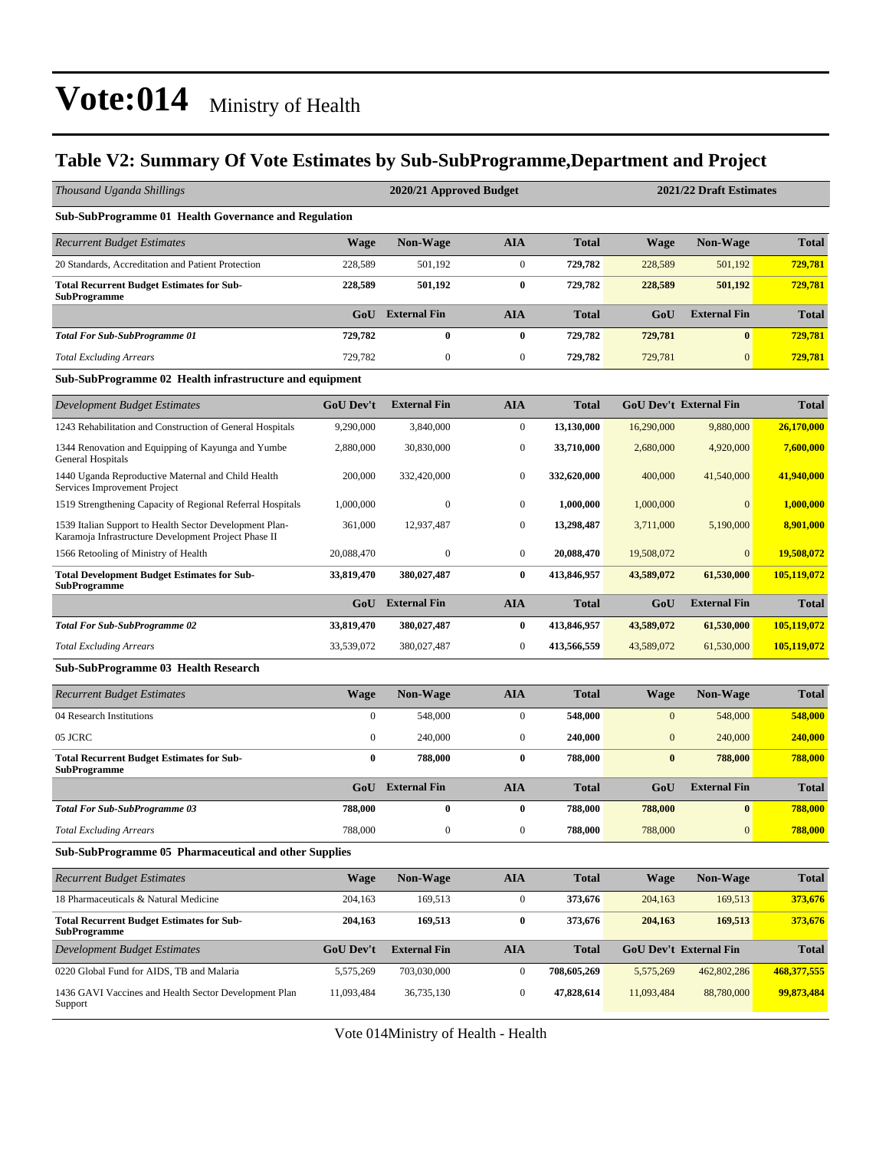### **Table V2: Summary Of Vote Estimates by Sub-SubProgramme,Department and Project**

| Thousand Uganda Shillings                                                                                       |                  | 2020/21 Approved Budget |                  |              | 2021/22 Draft Estimates |                               |              |
|-----------------------------------------------------------------------------------------------------------------|------------------|-------------------------|------------------|--------------|-------------------------|-------------------------------|--------------|
| <b>Sub-SubProgramme 01 Health Governance and Regulation</b>                                                     |                  |                         |                  |              |                         |                               |              |
| <b>Recurrent Budget Estimates</b>                                                                               | <b>Wage</b>      | <b>Non-Wage</b>         | <b>AIA</b>       | <b>Total</b> | <b>Wage</b>             | Non-Wage                      | <b>Total</b> |
| 20 Standards, Accreditation and Patient Protection                                                              | 228,589          | 501,192                 | $\mathbf{0}$     | 729,782      | 228,589                 | 501,192                       | 729,781      |
| <b>Total Recurrent Budget Estimates for Sub-</b><br><b>SubProgramme</b>                                         | 228,589          | 501,192                 | $\bf{0}$         | 729,782      | 228,589                 | 501,192                       | 729,781      |
|                                                                                                                 | GoU              | <b>External Fin</b>     | <b>AIA</b>       | <b>Total</b> | GoU                     | <b>External Fin</b>           | <b>Total</b> |
| <b>Total For Sub-SubProgramme 01</b>                                                                            | 729,782          | 0                       | $\bf{0}$         | 729,782      | 729,781                 | $\bf{0}$                      | 729,781      |
| <b>Total Excluding Arrears</b>                                                                                  | 729,782          | $\overline{0}$          | $\mathbf{0}$     | 729,782      | 729,781                 | $\mathbf{0}$                  | 729,781      |
| Sub-SubProgramme 02 Health infrastructure and equipment                                                         |                  |                         |                  |              |                         |                               |              |
| Development Budget Estimates                                                                                    | <b>GoU Dev't</b> | <b>External Fin</b>     | <b>AIA</b>       | <b>Total</b> |                         | <b>GoU Dev't External Fin</b> | <b>Total</b> |
| 1243 Rehabilitation and Construction of General Hospitals                                                       | 9,290,000        | 3,840,000               | $\mathbf{0}$     | 13,130,000   | 16,290,000              | 9,880,000                     | 26,170,000   |
| 1344 Renovation and Equipping of Kayunga and Yumbe<br>General Hospitals                                         | 2,880,000        | 30,830,000              | $\boldsymbol{0}$ | 33,710,000   | 2,680,000               | 4,920,000                     | 7,600,000    |
| 1440 Uganda Reproductive Maternal and Child Health<br>Services Improvement Project                              | 200,000          | 332,420,000             | $\mathbf{0}$     | 332,620,000  | 400,000                 | 41,540,000                    | 41,940,000   |
| 1519 Strengthening Capacity of Regional Referral Hospitals                                                      | 1,000,000        | $\mathbf{0}$            | $\mathbf{0}$     | 1,000,000    | 1,000,000               | $\mathbf{0}$                  | 1,000,000    |
| 1539 Italian Support to Health Sector Development Plan-<br>Karamoja Infrastructure Development Project Phase II | 361,000          | 12,937,487              | $\mathbf{0}$     | 13,298,487   | 3,711,000               | 5,190,000                     | 8,901,000    |
| 1566 Retooling of Ministry of Health                                                                            | 20,088,470       | $\mathbf{0}$            | $\boldsymbol{0}$ | 20,088,470   | 19,508,072              | $\Omega$                      | 19,508,072   |
| <b>Total Development Budget Estimates for Sub-</b><br><b>SubProgramme</b>                                       | 33,819,470       | 380,027,487             | $\bf{0}$         | 413,846,957  | 43,589,072              | 61,530,000                    | 105,119,072  |
|                                                                                                                 | GoU              | <b>External Fin</b>     | <b>AIA</b>       | <b>Total</b> | GoU                     | <b>External Fin</b>           | <b>Total</b> |
| <b>Total For Sub-SubProgramme 02</b>                                                                            | 33,819,470       | 380,027,487             | $\bf{0}$         | 413,846,957  | 43,589,072              | 61,530,000                    | 105,119,072  |
| <b>Total Excluding Arrears</b>                                                                                  | 33,539,072       | 380,027,487             | $\mathbf{0}$     | 413,566,559  | 43,589,072              | 61,530,000                    | 105,119,072  |
| Sub-SubProgramme 03 Health Research                                                                             |                  |                         |                  |              |                         |                               |              |
| <b>Recurrent Budget Estimates</b>                                                                               | <b>Wage</b>      | <b>Non-Wage</b>         | <b>AIA</b>       | <b>Total</b> | <b>Wage</b>             | Non-Wage                      | <b>Total</b> |
| 04 Research Institutions                                                                                        | $\boldsymbol{0}$ | 548,000                 | $\boldsymbol{0}$ | 548,000      | $\mathbf{0}$            | 548,000                       | 548,000      |
| 05 JCRC                                                                                                         | $\boldsymbol{0}$ | 240,000                 | $\mathbf{0}$     | 240,000      | $\mathbf{0}$            | 240,000                       | 240,000      |
| <b>Total Recurrent Budget Estimates for Sub-</b><br><b>SubProgramme</b>                                         | $\bf{0}$         | 788,000                 | $\bf{0}$         | 788,000      | $\bf{0}$                | 788,000                       | 788,000      |
|                                                                                                                 | GoU              | <b>External Fin</b>     | <b>AIA</b>       | <b>Total</b> | GoU                     | <b>External Fin</b>           | <b>Total</b> |
| <b>Total For Sub-SubProgramme 03</b>                                                                            | 788,000          | $\bf{0}$                | $\bf{0}$         | 788,000      | 788,000                 | $\bf{0}$                      | 788,000      |
| <b>Total Excluding Arrears</b>                                                                                  | 788,000          | 0                       | $\bf{0}$         | 788,000      | 788,000                 | 0                             | 788,000      |
| Sub-SubProgramme 05 Pharmaceutical and other Supplies                                                           |                  |                         |                  |              |                         |                               |              |
| <b>Recurrent Budget Estimates</b>                                                                               | <b>Wage</b>      | Non-Wage                | <b>AIA</b>       | <b>Total</b> | <b>Wage</b>             | Non-Wage                      | <b>Total</b> |
| 18 Pharmaceuticals & Natural Medicine                                                                           | 204,163          | 169,513                 | $\boldsymbol{0}$ | 373,676      | 204,163                 | 169,513                       | 373,676      |
| <b>Total Recurrent Budget Estimates for Sub-</b><br><b>SubProgramme</b>                                         | 204,163          | 169,513                 | $\bf{0}$         | 373,676      | 204,163                 | 169,513                       | 373,676      |
| Development Budget Estimates                                                                                    | <b>GoU Dev't</b> | <b>External Fin</b>     | <b>AIA</b>       | <b>Total</b> |                         | <b>GoU Dev't External Fin</b> | <b>Total</b> |
| 0220 Global Fund for AIDS, TB and Malaria                                                                       | 5,575,269        | 703,030,000             | $\boldsymbol{0}$ | 708,605,269  | 5,575,269               | 462,802,286                   | 468,377,555  |
| 1436 GAVI Vaccines and Health Sector Development Plan<br>Support                                                | 11,093,484       | 36,735,130              | $\boldsymbol{0}$ | 47,828,614   | 11,093,484              | 88,780,000                    | 99,873,484   |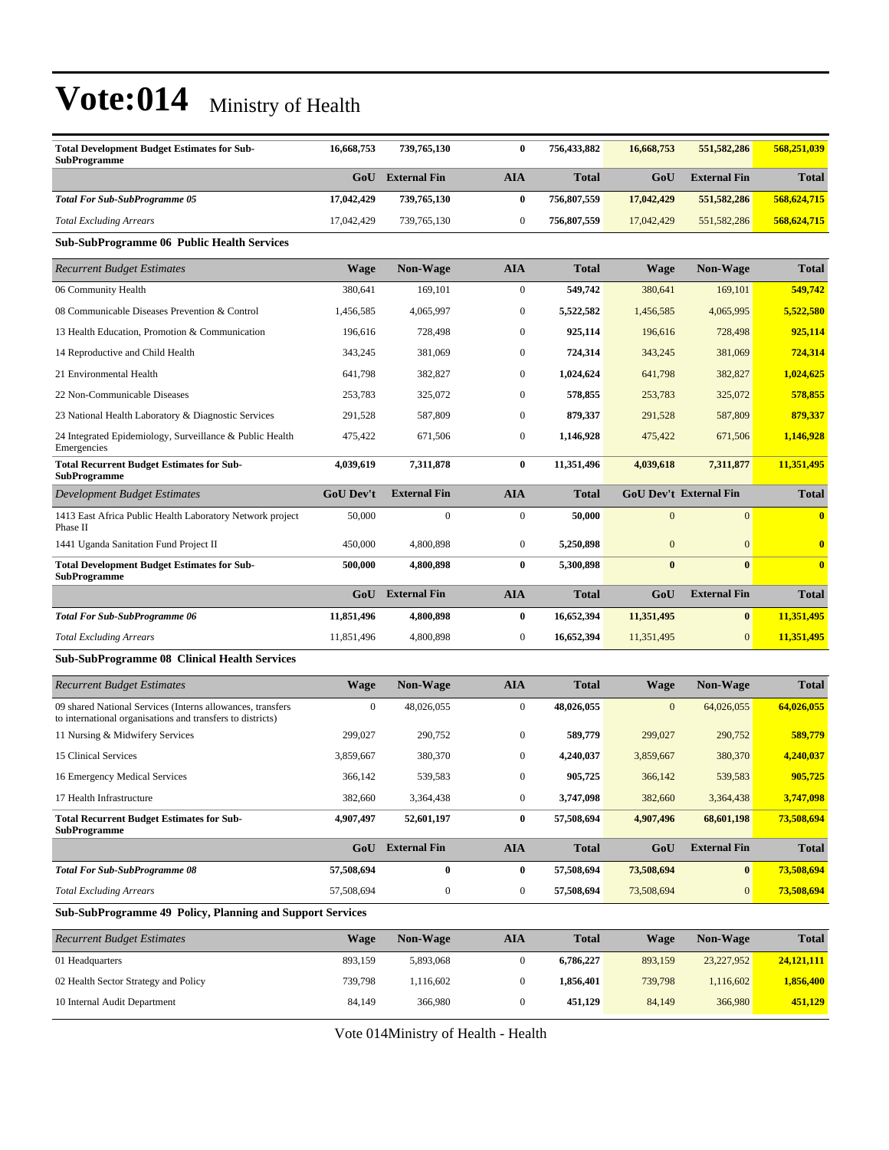| <b>Total Development Budget Estimates for Sub-</b><br><b>SubProgramme</b> | 16,668,753 | 739,765,130         |     | 756.433.882  | 16,668,753 | 551,582,286         | 568,251,039  |
|---------------------------------------------------------------------------|------------|---------------------|-----|--------------|------------|---------------------|--------------|
|                                                                           | GoU        | <b>External Fin</b> | AIA | <b>Total</b> | GoU        | <b>External Fin</b> | <b>Total</b> |
| <b>Total For Sub-SubProgramme 05</b>                                      | 17,042,429 | 739,765,130         |     | 756,807,559  | 17,042,429 | 551,582,286         | 568,624,715  |
| <b>Total Excluding Arrears</b>                                            | 17.042.429 | 739,765,130         |     | 756,807,559  | 17,042,429 | 551, 582, 286       | 568,624,715  |

**Sub-SubProgramme 06 Public Health Services**

| <b>Recurrent Budget Estimates</b>                                         | Wage             | Non-Wage            | <b>AIA</b>       | <b>Total</b> | <b>Wage</b>    | Non-Wage                      | <b>Total</b> |
|---------------------------------------------------------------------------|------------------|---------------------|------------------|--------------|----------------|-------------------------------|--------------|
| 06 Community Health                                                       | 380.641          | 169.101             | $\mathbf{0}$     | 549,742      | 380,641        | 169,101                       | 549,742      |
| 08 Communicable Diseases Prevention & Control                             | 1,456,585        | 4,065,997           | $\boldsymbol{0}$ | 5,522,582    | 1,456,585      | 4,065,995                     | 5,522,580    |
| 13 Health Education, Promotion & Communication                            | 196,616          | 728,498             | $\boldsymbol{0}$ | 925,114      | 196,616        | 728,498                       | 925,114      |
| 14 Reproductive and Child Health                                          | 343,245          | 381,069             | $\boldsymbol{0}$ | 724,314      | 343,245        | 381,069                       | 724,314      |
| 21 Environmental Health                                                   | 641,798          | 382,827             | $\overline{0}$   | 1,024,624    | 641,798        | 382,827                       | 1,024,625    |
| 22 Non-Communicable Diseases                                              | 253,783          | 325,072             | $\mathbf{0}$     | 578,855      | 253,783        | 325,072                       | 578,855      |
| 23 National Health Laboratory & Diagnostic Services                       | 291,528          | 587,809             | $\overline{0}$   | 879,337      | 291,528        | 587,809                       | 879,337      |
| 24 Integrated Epidemiology, Surveillance & Public Health<br>Emergencies   | 475,422          | 671,506             | $\boldsymbol{0}$ | 1,146,928    | 475,422        | 671,506                       | 1,146,928    |
| <b>Total Recurrent Budget Estimates for Sub-</b><br><b>SubProgramme</b>   | 4.039.619        | 7,311,878           | $\bf{0}$         | 11,351,496   | 4,039,618      | 7,311,877                     | 11,351,495   |
| Development Budget Estimates                                              | <b>GoU Dev't</b> | <b>External Fin</b> | <b>AIA</b>       | <b>Total</b> |                | <b>GoU Dev't External Fin</b> | <b>Total</b> |
| 1413 East Africa Public Health Laboratory Network project<br>Phase II     | 50,000           | $\mathbf{0}$        | $\mathbf{0}$     | 50,000       | $\overline{0}$ | $\overline{0}$                | $\mathbf{0}$ |
| 1441 Uganda Sanitation Fund Project II                                    | 450,000          | 4,800,898           | $\boldsymbol{0}$ | 5,250,898    | $\overline{0}$ | $\Omega$                      | $\mathbf{0}$ |
| <b>Total Development Budget Estimates for Sub-</b><br><b>SubProgramme</b> | 500,000          | 4,800,898           | $\bf{0}$         | 5,300,898    | $\bf{0}$       | $\mathbf{0}$                  | $\mathbf{0}$ |
|                                                                           | GoU              | <b>External Fin</b> | <b>AIA</b>       | <b>Total</b> | GoU            | <b>External Fin</b>           | <b>Total</b> |
| <b>Total For Sub-SubProgramme 06</b>                                      | 11,851,496       | 4,800,898           | 0                | 16,652,394   | 11,351,495     | $\bf{0}$                      | 11,351,495   |
| <b>Total Excluding Arrears</b>                                            | 11,851,496       | 4,800,898           | $\boldsymbol{0}$ | 16,652,394   | 11,351,495     | $\mathbf{0}$                  | 11,351,495   |

#### **Sub-SubProgramme 08 Clinical Health Services**

| <b>Recurrent Budget Estimates</b>                                                                                        | <b>Wage</b>      | Non-Wage            | <b>AIA</b>   | <b>Total</b> | <b>Wage</b>  | Non-Wage            | <b>Total</b> |
|--------------------------------------------------------------------------------------------------------------------------|------------------|---------------------|--------------|--------------|--------------|---------------------|--------------|
| 09 shared National Services (Interns allowances, transfers<br>to international organisations and transfers to districts) | $\overline{0}$   | 48,026,055          | $\mathbf{0}$ | 48,026,055   | $\mathbf{0}$ | 64,026,055          | 64,026,055   |
| 11 Nursing & Midwifery Services                                                                                          | 299,027          | 290,752             | $\mathbf{0}$ | 589,779      | 299,027      | 290,752             | 589,779      |
| 15 Clinical Services                                                                                                     | 3,859,667        | 380,370             | $\mathbf{0}$ | 4,240,037    | 3,859,667    | 380,370             | 4,240,037    |
| 16 Emergency Medical Services                                                                                            | 366,142          | 539,583             | $\mathbf{0}$ | 905,725      | 366,142      | 539,583             | 905,725      |
| 17 Health Infrastructure                                                                                                 | 382,660          | 3,364,438           | $\mathbf{0}$ | 3,747,098    | 382,660      | 3,364,438           | 3,747,098    |
| <b>Total Recurrent Budget Estimates for Sub-</b><br><b>SubProgramme</b>                                                  | 4,907,497        | 52,601,197          | $\bf{0}$     | 57,508,694   | 4,907,496    | 68,601,198          | 73,508,694   |
|                                                                                                                          | G <sub>0</sub> U | <b>External Fin</b> | <b>AIA</b>   | <b>Total</b> | GoU          | <b>External Fin</b> | <b>Total</b> |
| <b>Total For Sub-SubProgramme 08</b>                                                                                     | 57,508,694       | $\bf{0}$            | $\bf{0}$     | 57,508,694   | 73,508,694   | $\mathbf{0}$        | 73,508,694   |
| <b>Total Excluding Arrears</b>                                                                                           | 57,508,694       | $\mathbf{0}$        | $\mathbf{0}$ | 57,508,694   | 73,508,694   | $\overline{0}$      | 73,508,694   |

#### **Sub-SubProgramme 49 Policy, Planning and Support Services**

| <b>Recurrent Budget Estimates</b>    | Wage    | <b>Non-Wage</b> | AIA | <b>Total</b> | Wage    | <b>Non-Wage</b> | <b>Total</b> |
|--------------------------------------|---------|-----------------|-----|--------------|---------|-----------------|--------------|
| 01 Headquarters                      | 893,159 | 5.893.068       |     | 6.786.227    | 893,159 | 23,227,952      | 24,121,111   |
| 02 Health Sector Strategy and Policy | 739,798 | .116,602        |     | 1.856.401    | 739,798 | 1,116,602       | 1,856,400    |
| 10 Internal Audit Department         | 84.149  | 366,980         |     | 451.129      | 84,149  | 366,980         | 451,129      |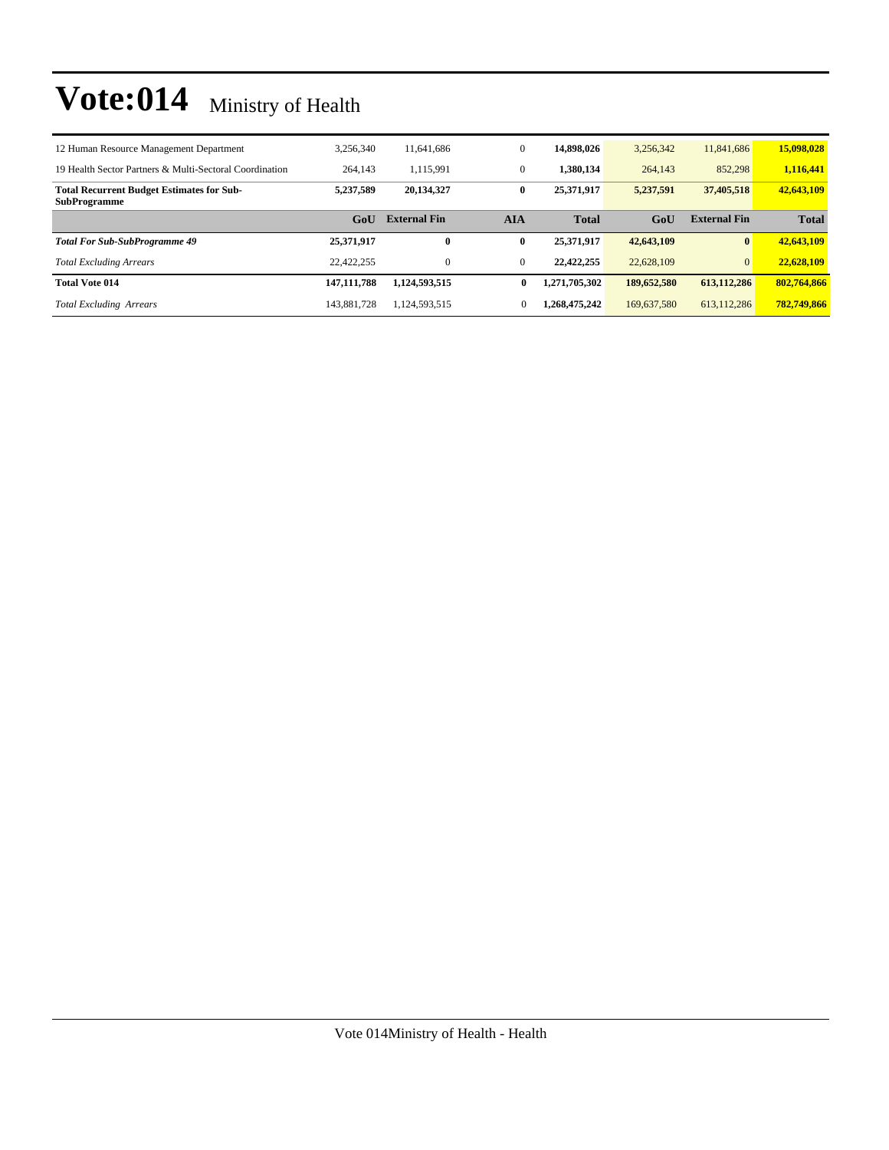| 12 Human Resource Management Department                                 | 3,256,340     | 11.641.686          | $\mathbf{0}$ | 14.898.026    | 3,256,342   | 11,841,686          | 15,098,028   |
|-------------------------------------------------------------------------|---------------|---------------------|--------------|---------------|-------------|---------------------|--------------|
| 19 Health Sector Partners & Multi-Sectoral Coordination                 | 264,143       | 1.115.991           | $\mathbf{0}$ | 1.380.134     | 264,143     | 852,298             | 1,116,441    |
| <b>Total Recurrent Budget Estimates for Sub-</b><br><b>SubProgramme</b> | 5.237.589     | 20,134,327          | $\bf{0}$     | 25.371.917    | 5,237,591   | 37,405,518          | 42,643,109   |
|                                                                         | GoU           | <b>External Fin</b> | AIA          | <b>Total</b>  | GoU         | <b>External Fin</b> | <b>Total</b> |
|                                                                         |               |                     |              |               |             |                     |              |
| <b>Total For Sub-SubProgramme 49</b>                                    | 25.371.917    | 0                   | $\bf{0}$     | 25.371.917    | 42,643,109  | $\bf{0}$            | 42,643,109   |
| <b>Total Excluding Arrears</b>                                          | 22,422,255    | $\mathbf{0}$        | $\mathbf{0}$ | 22,422,255    | 22,628,109  | $\overline{0}$      | 22,628,109   |
| <b>Total Vote 014</b>                                                   | 147, 111, 788 | 1,124,593,515       | 0            | 1,271,705,302 | 189,652,580 | 613,112,286         | 802,764,866  |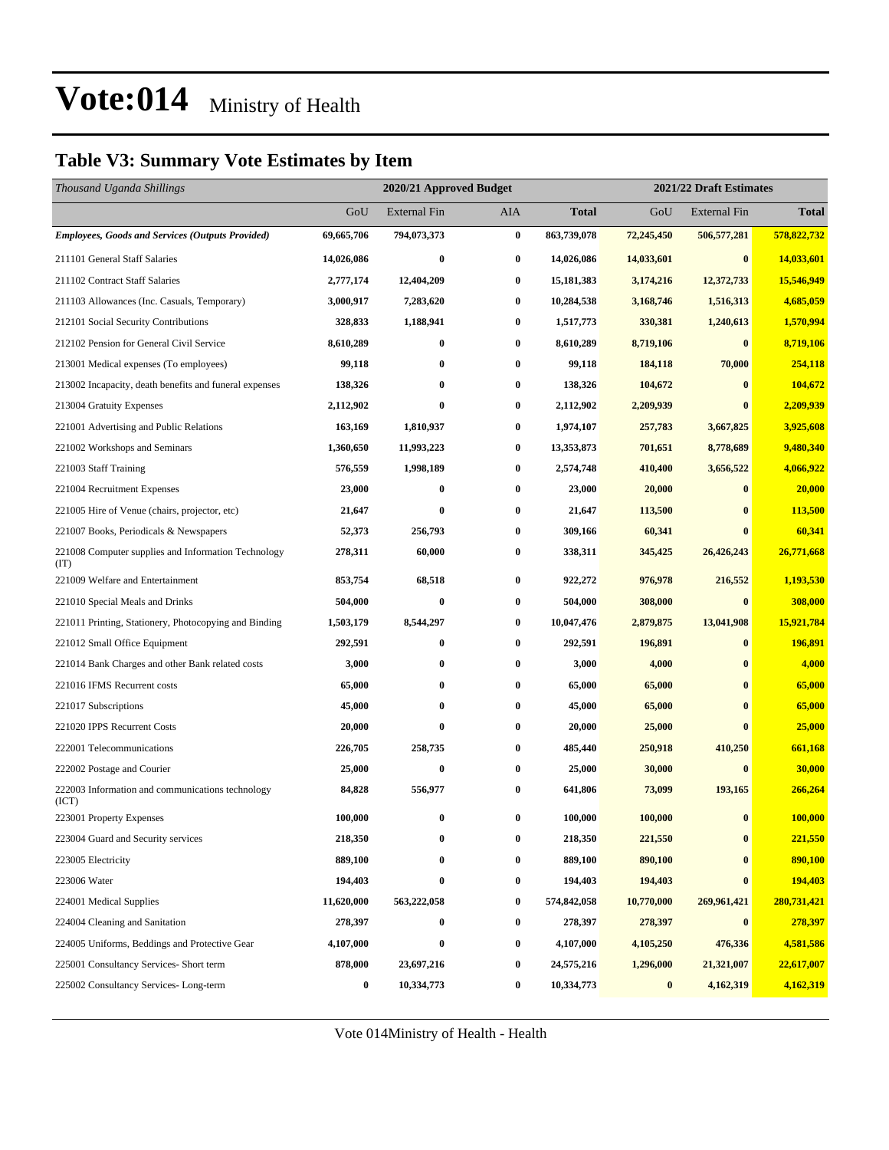### **Table V3: Summary Vote Estimates by Item**

| Thousand Uganda Shillings                                   |            | 2020/21 Approved Budget |                  |              | 2021/22 Draft Estimates |                     |              |  |  |
|-------------------------------------------------------------|------------|-------------------------|------------------|--------------|-------------------------|---------------------|--------------|--|--|
|                                                             | GoU        | <b>External Fin</b>     | AIA              | <b>Total</b> | GoU                     | <b>External Fin</b> | <b>Total</b> |  |  |
| <b>Employees, Goods and Services (Outputs Provided)</b>     | 69,665,706 | 794,073,373             | $\bf{0}$         | 863,739,078  | 72,245,450              | 506,577,281         | 578,822,732  |  |  |
| 211101 General Staff Salaries                               | 14,026,086 | $\bf{0}$                | $\bf{0}$         | 14,026,086   | 14,033,601              | $\bf{0}$            | 14,033,601   |  |  |
| 211102 Contract Staff Salaries                              | 2,777,174  | 12,404,209              | 0                | 15,181,383   | 3,174,216               | 12,372,733          | 15,546,949   |  |  |
| 211103 Allowances (Inc. Casuals, Temporary)                 | 3,000,917  | 7,283,620               | $\bf{0}$         | 10,284,538   | 3,168,746               | 1,516,313           | 4,685,059    |  |  |
| 212101 Social Security Contributions                        | 328,833    | 1,188,941               | 0                | 1,517,773    | 330,381                 | 1,240,613           | 1,570,994    |  |  |
| 212102 Pension for General Civil Service                    | 8,610,289  | $\bf{0}$                | $\bf{0}$         | 8,610,289    | 8,719,106               | $\bf{0}$            | 8,719,106    |  |  |
| 213001 Medical expenses (To employees)                      | 99,118     | $\bf{0}$                | 0                | 99,118       | 184,118                 | 70,000              | 254,118      |  |  |
| 213002 Incapacity, death benefits and funeral expenses      | 138,326    | $\bf{0}$                | 0                | 138,326      | 104,672                 | $\bf{0}$            | 104,672      |  |  |
| 213004 Gratuity Expenses                                    | 2,112,902  | $\bf{0}$                | $\bf{0}$         | 2,112,902    | 2,209,939               | $\bf{0}$            | 2,209,939    |  |  |
| 221001 Advertising and Public Relations                     | 163,169    | 1,810,937               | 0                | 1,974,107    | 257,783                 | 3,667,825           | 3,925,608    |  |  |
| 221002 Workshops and Seminars                               | 1,360,650  | 11,993,223              | $\bf{0}$         | 13,353,873   | 701,651                 | 8,778,689           | 9,480,340    |  |  |
| 221003 Staff Training                                       | 576,559    | 1,998,189               | 0                | 2,574,748    | 410,400                 | 3,656,522           | 4,066,922    |  |  |
| 221004 Recruitment Expenses                                 | 23,000     | $\boldsymbol{0}$        | $\boldsymbol{0}$ | 23,000       | 20,000                  | $\bf{0}$            | 20,000       |  |  |
| 221005 Hire of Venue (chairs, projector, etc)               | 21,647     | $\bf{0}$                | $\bf{0}$         | 21,647       | 113,500                 | $\bf{0}$            | 113,500      |  |  |
| 221007 Books, Periodicals & Newspapers                      | 52,373     | 256,793                 | $\bf{0}$         | 309,166      | 60,341                  | $\bf{0}$            | 60,341       |  |  |
| 221008 Computer supplies and Information Technology<br>(TT) | 278,311    | 60,000                  | $\bf{0}$         | 338,311      | 345,425                 | 26,426,243          | 26,771,668   |  |  |
| 221009 Welfare and Entertainment                            | 853,754    | 68,518                  | $\bf{0}$         | 922,272      | 976,978                 | 216,552             | 1,193,530    |  |  |
| 221010 Special Meals and Drinks                             | 504,000    | $\bf{0}$                | $\bf{0}$         | 504,000      | 308,000                 | $\bf{0}$            | 308,000      |  |  |
| 221011 Printing, Stationery, Photocopying and Binding       | 1,503,179  | 8,544,297               | $\bf{0}$         | 10,047,476   | 2,879,875               | 13,041,908          | 15,921,784   |  |  |
| 221012 Small Office Equipment                               | 292,591    | $\bf{0}$                | $\bf{0}$         | 292,591      | 196,891                 | $\bf{0}$            | 196,891      |  |  |
| 221014 Bank Charges and other Bank related costs            | 3,000      | $\bf{0}$                | $\bf{0}$         | 3,000        | 4,000                   | $\bf{0}$            | 4,000        |  |  |
| 221016 IFMS Recurrent costs                                 | 65,000     | $\bf{0}$                | $\bf{0}$         | 65,000       | 65,000                  | $\bf{0}$            | 65,000       |  |  |
| 221017 Subscriptions                                        | 45,000     | $\bf{0}$                | $\bf{0}$         | 45,000       | 65,000                  | $\bf{0}$            | 65,000       |  |  |
| 221020 IPPS Recurrent Costs                                 | 20,000     | $\bf{0}$                | $\bf{0}$         | 20,000       | 25,000                  | $\mathbf{0}$        | 25,000       |  |  |
| 222001 Telecommunications                                   | 226,705    | 258,735                 | $\bf{0}$         | 485,440      | 250,918                 | 410,250             | 661,168      |  |  |
| 222002 Postage and Courier                                  | 25,000     | $\bf{0}$                | $\bf{0}$         | 25,000       | 30,000                  | $\bf{0}$            | 30,000       |  |  |
| 222003 Information and communications technology<br>(ICT)   | 84,828     | 556,977                 | $\bf{0}$         | 641,806      | 73,099                  | 193,165             | 266,264      |  |  |
| 223001 Property Expenses                                    | 100,000    | $\bf{0}$                | $\bf{0}$         | 100,000      | 100,000                 | $\bf{0}$            | 100,000      |  |  |
| 223004 Guard and Security services                          | 218,350    | 0                       | $\bf{0}$         | 218,350      | 221,550                 | $\bf{0}$            | 221,550      |  |  |
| 223005 Electricity                                          | 889,100    | $\bf{0}$                | $\bf{0}$         | 889,100      | 890,100                 | $\bf{0}$            | 890,100      |  |  |
| 223006 Water                                                | 194,403    | $\bf{0}$                | $\bf{0}$         | 194,403      | 194,403                 | $\bf{0}$            | 194,403      |  |  |
| 224001 Medical Supplies                                     | 11,620,000 | 563,222,058             | 0                | 574,842,058  | 10,770,000              | 269,961,421         | 280,731,421  |  |  |
| 224004 Cleaning and Sanitation                              | 278,397    | $\bf{0}$                | $\bf{0}$         | 278,397      | 278,397                 | $\boldsymbol{0}$    | 278,397      |  |  |
| 224005 Uniforms, Beddings and Protective Gear               | 4,107,000  | $\bf{0}$                | 0                | 4,107,000    | 4,105,250               | 476,336             | 4,581,586    |  |  |
| 225001 Consultancy Services- Short term                     | 878,000    | 23,697,216              | 0                | 24,575,216   | 1,296,000               | 21,321,007          | 22,617,007   |  |  |
| 225002 Consultancy Services-Long-term                       | $\bf{0}$   | 10,334,773              | $\boldsymbol{0}$ | 10,334,773   | $\bf{0}$                | 4,162,319           | 4,162,319    |  |  |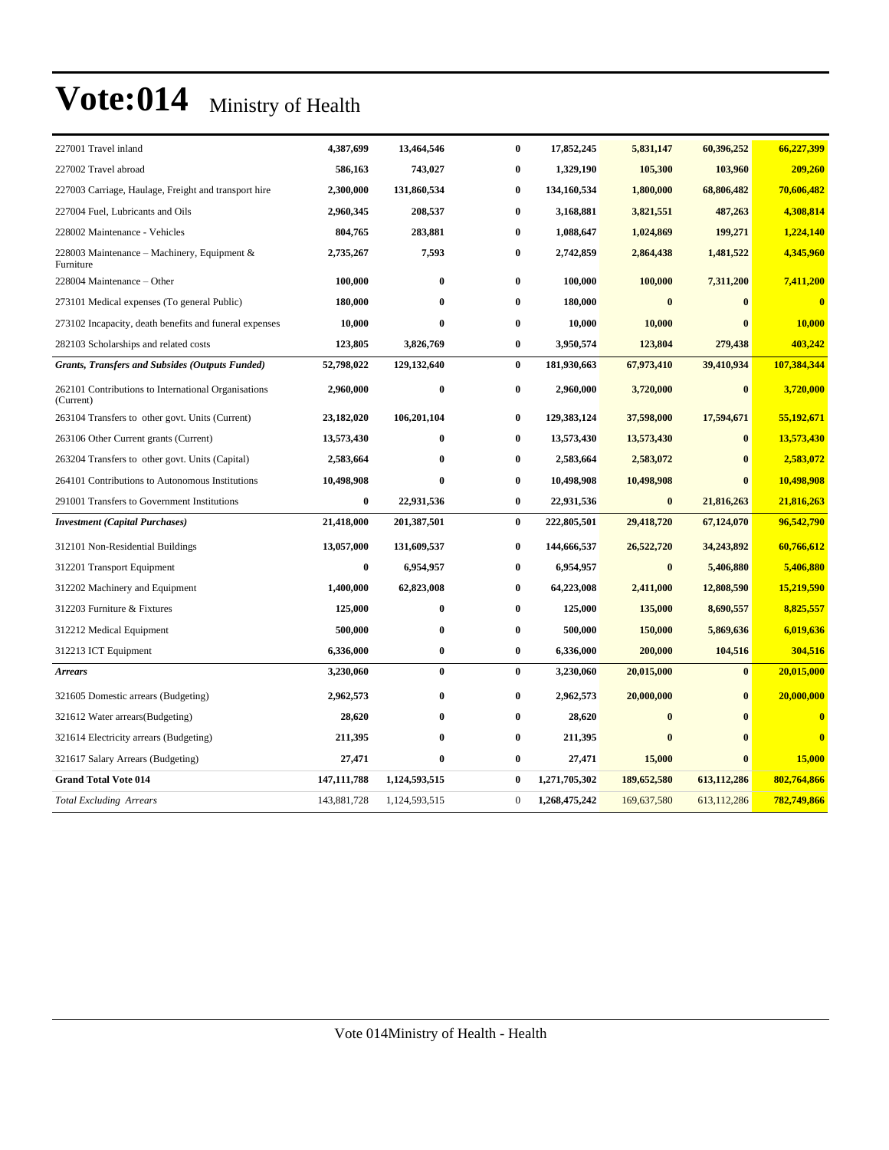| 227001 Travel inland                                             | 4,387,699     | 13,464,546    | $\bf{0}$         | 17,852,245    | 5,831,147   | 60,396,252   | 66,227,399  |
|------------------------------------------------------------------|---------------|---------------|------------------|---------------|-------------|--------------|-------------|
| 227002 Travel abroad                                             | 586,163       | 743,027       | 0                | 1,329,190     | 105,300     | 103,960      | 209,260     |
| 227003 Carriage, Haulage, Freight and transport hire             | 2,300,000     | 131,860,534   | 0                | 134,160,534   | 1,800,000   | 68,806,482   | 70,606,482  |
| 227004 Fuel, Lubricants and Oils                                 | 2,960,345     | 208,537       | 0                | 3,168,881     | 3,821,551   | 487,263      | 4,308,814   |
| 228002 Maintenance - Vehicles                                    | 804,765       | 283,881       | $\bf{0}$         | 1,088,647     | 1,024,869   | 199,271      | 1,224,140   |
| 228003 Maintenance – Machinery, Equipment &<br>Furniture         | 2,735,267     | 7,593         | 0                | 2,742,859     | 2,864,438   | 1,481,522    | 4,345,960   |
| 228004 Maintenance - Other                                       | 100,000       | $\bf{0}$      | 0                | 100,000       | 100,000     | 7,311,200    | 7,411,200   |
| 273101 Medical expenses (To general Public)                      | 180,000       | $\bf{0}$      | $\bf{0}$         | 180,000       | $\bf{0}$    | $\mathbf{0}$ | $\bf{0}$    |
| 273102 Incapacity, death benefits and funeral expenses           | 10,000        | $\bf{0}$      | $\bf{0}$         | 10,000        | 10,000      |              | 10,000      |
| 282103 Scholarships and related costs                            | 123,805       | 3,826,769     | 0                | 3,950,574     | 123,804     | 279,438      | 403,242     |
| <b>Grants, Transfers and Subsides (Outputs Funded)</b>           | 52,798,022    | 129,132,640   | $\bf{0}$         | 181,930,663   | 67,973,410  | 39,410,934   | 107,384,344 |
| 262101 Contributions to International Organisations<br>(Current) | 2,960,000     | $\bf{0}$      | $\bf{0}$         | 2,960,000     | 3,720,000   | $\bf{0}$     | 3,720,000   |
| 263104 Transfers to other govt. Units (Current)                  | 23,182,020    | 106,201,104   | 0                | 129,383,124   | 37,598,000  | 17,594,671   | 55,192,671  |
| 263106 Other Current grants (Current)                            | 13,573,430    | $\bf{0}$      | 0                | 13,573,430    | 13,573,430  | $\bf{0}$     | 13,573,430  |
| 263204 Transfers to other govt. Units (Capital)                  | 2,583,664     | $\bf{0}$      | 0                | 2,583,664     | 2,583,072   | $\bf{0}$     | 2,583,072   |
| 264101 Contributions to Autonomous Institutions                  | 10,498,908    | $\bf{0}$      | $\bf{0}$         | 10,498,908    | 10,498,908  | $\bf{0}$     | 10,498,908  |
| 291001 Transfers to Government Institutions                      | $\bf{0}$      | 22,931,536    | $\bf{0}$         | 22,931,536    | $\bf{0}$    | 21,816,263   | 21,816,263  |
| <b>Investment</b> (Capital Purchases)                            | 21,418,000    | 201,387,501   | $\bf{0}$         | 222,805,501   | 29,418,720  | 67,124,070   | 96,542,790  |
| 312101 Non-Residential Buildings                                 | 13,057,000    | 131,609,537   | $\bf{0}$         | 144,666,537   | 26,522,720  | 34,243,892   | 60,766,612  |
| 312201 Transport Equipment                                       | $\bf{0}$      | 6,954,957     | 0                | 6,954,957     | $\bf{0}$    | 5,406,880    | 5,406,880   |
| 312202 Machinery and Equipment                                   | 1,400,000     | 62,823,008    | 0                | 64,223,008    | 2,411,000   | 12,808,590   | 15,219,590  |
| 312203 Furniture & Fixtures                                      | 125,000       | $\bf{0}$      | $\bf{0}$         | 125,000       | 135,000     | 8,690,557    | 8,825,557   |
| 312212 Medical Equipment                                         | 500,000       | $\bf{0}$      | $\bf{0}$         | 500,000       | 150,000     | 5,869,636    | 6,019,636   |
| 312213 ICT Equipment                                             | 6,336,000     | $\bf{0}$      | $\bf{0}$         | 6,336,000     | 200,000     | 104,516      | 304,516     |
| <b>Arrears</b>                                                   | 3,230,060     | $\bf{0}$      | $\bf{0}$         | 3,230,060     | 20,015,000  | $\bf{0}$     | 20,015,000  |
| 321605 Domestic arrears (Budgeting)                              | 2,962,573     | $\bf{0}$      | 0                | 2,962,573     | 20,000,000  | $\mathbf{0}$ | 20,000,000  |
| 321612 Water arrears (Budgeting)                                 | 28,620        | $\bf{0}$      | $\bf{0}$         | 28,620        | $\bf{0}$    | $\mathbf{0}$ | $\bf{0}$    |
| 321614 Electricity arrears (Budgeting)                           | 211,395       | $\bf{0}$      | $\bf{0}$         | 211,395       | $\bf{0}$    |              | $\bf{0}$    |
| 321617 Salary Arrears (Budgeting)                                | 27,471        | $\bf{0}$      | 0                | 27,471        | 15,000      | $\mathbf{0}$ | 15,000      |
| <b>Grand Total Vote 014</b>                                      | 147, 111, 788 | 1,124,593,515 | $\bf{0}$         | 1,271,705,302 | 189,652,580 | 613,112,286  | 802,764,866 |
| <b>Total Excluding Arrears</b>                                   | 143,881,728   | 1,124,593,515 | $\boldsymbol{0}$ | 1,268,475,242 | 169,637,580 | 613,112,286  | 782,749,866 |
|                                                                  |               |               |                  |               |             |              |             |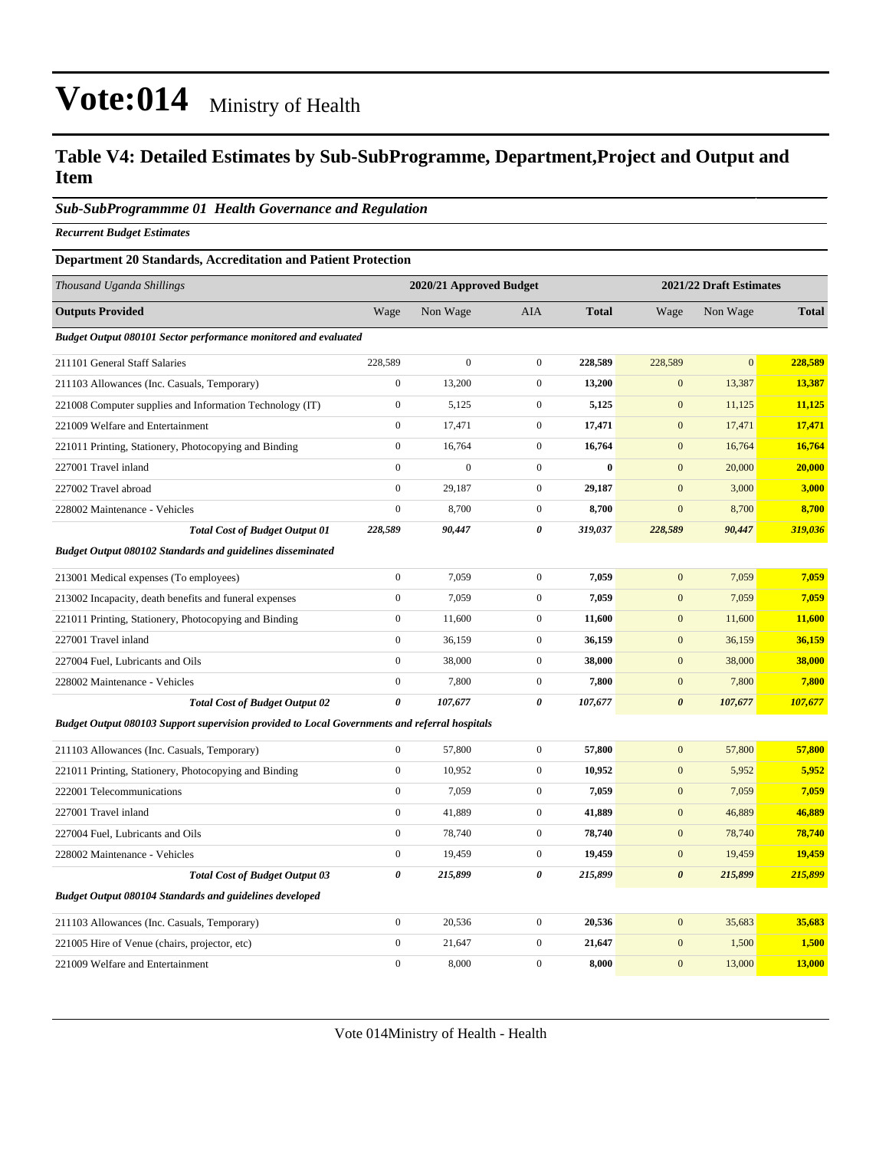#### **Table V4: Detailed Estimates by Sub-SubProgramme, Department,Project and Output and Item**

#### *Sub-SubProgrammme 01 Health Governance and Regulation*

*Recurrent Budget Estimates*

#### **Department 20 Standards, Accreditation and Patient Protection**

| Thousand Uganda Shillings                                                                     |                       | 2020/21 Approved Budget |                  |              |                       | 2021/22 Draft Estimates |              |  |  |
|-----------------------------------------------------------------------------------------------|-----------------------|-------------------------|------------------|--------------|-----------------------|-------------------------|--------------|--|--|
| <b>Outputs Provided</b>                                                                       | Wage                  | Non Wage                | <b>AIA</b>       | <b>Total</b> | Wage                  | Non Wage                | <b>Total</b> |  |  |
| Budget Output 080101 Sector performance monitored and evaluated                               |                       |                         |                  |              |                       |                         |              |  |  |
| 211101 General Staff Salaries                                                                 | 228,589               | $\overline{0}$          | $\mathbf{0}$     | 228,589      | 228,589               | $\overline{0}$          | 228,589      |  |  |
| 211103 Allowances (Inc. Casuals, Temporary)                                                   | $\boldsymbol{0}$      | 13,200                  | $\boldsymbol{0}$ | 13,200       | $\mathbf{0}$          | 13,387                  | 13,387       |  |  |
| 221008 Computer supplies and Information Technology (IT)                                      | $\boldsymbol{0}$      | 5,125                   | $\boldsymbol{0}$ | 5,125        | $\boldsymbol{0}$      | 11,125                  | 11,125       |  |  |
| 221009 Welfare and Entertainment                                                              | $\boldsymbol{0}$      | 17,471                  | $\boldsymbol{0}$ | 17,471       | $\mathbf{0}$          | 17,471                  | 17,471       |  |  |
| 221011 Printing, Stationery, Photocopying and Binding                                         | $\boldsymbol{0}$      | 16,764                  | $\boldsymbol{0}$ | 16,764       | $\mathbf{0}$          | 16,764                  | 16,764       |  |  |
| 227001 Travel inland                                                                          | $\overline{0}$        | $\mathbf{0}$            | $\mathbf{0}$     | $\bf{0}$     | $\boldsymbol{0}$      | 20,000                  | 20,000       |  |  |
| 227002 Travel abroad                                                                          | $\overline{0}$        | 29,187                  | $\mathbf{0}$     | 29,187       | $\mathbf{0}$          | 3,000                   | 3,000        |  |  |
| 228002 Maintenance - Vehicles                                                                 | $\boldsymbol{0}$      | 8,700                   | $\mathbf{0}$     | 8,700        | $\mathbf{0}$          | 8,700                   | 8,700        |  |  |
| <b>Total Cost of Budget Output 01</b>                                                         | 228,589               | 90,447                  | 0                | 319,037      | 228,589               | 90,447                  | 319,036      |  |  |
| <b>Budget Output 080102 Standards and guidelines disseminated</b>                             |                       |                         |                  |              |                       |                         |              |  |  |
| 213001 Medical expenses (To employees)                                                        | $\boldsymbol{0}$      | 7,059                   | $\boldsymbol{0}$ | 7,059        | $\mathbf{0}$          | 7,059                   | 7,059        |  |  |
| 213002 Incapacity, death benefits and funeral expenses                                        | $\boldsymbol{0}$      | 7,059                   | $\boldsymbol{0}$ | 7,059        | $\mathbf{0}$          | 7,059                   | 7,059        |  |  |
| 221011 Printing, Stationery, Photocopying and Binding                                         | $\boldsymbol{0}$      | 11,600                  | $\mathbf{0}$     | 11,600       | $\mathbf{0}$          | 11,600                  | 11,600       |  |  |
| 227001 Travel inland                                                                          | $\boldsymbol{0}$      | 36,159                  | $\mathbf{0}$     | 36,159       | $\mathbf{0}$          | 36,159                  | 36,159       |  |  |
| 227004 Fuel, Lubricants and Oils                                                              | $\overline{0}$        | 38,000                  | $\boldsymbol{0}$ | 38,000       | $\boldsymbol{0}$      | 38,000                  | 38,000       |  |  |
| 228002 Maintenance - Vehicles                                                                 | $\boldsymbol{0}$      | 7,800                   | $\boldsymbol{0}$ | 7,800        | $\boldsymbol{0}$      | 7,800                   | 7,800        |  |  |
| <b>Total Cost of Budget Output 02</b>                                                         | $\boldsymbol{\theta}$ | 107,677                 | 0                | 107,677      | $\boldsymbol{\theta}$ | 107,677                 | 107,677      |  |  |
| Budget Output 080103 Support supervision provided to Local Governments and referral hospitals |                       |                         |                  |              |                       |                         |              |  |  |
| 211103 Allowances (Inc. Casuals, Temporary)                                                   | $\mathbf{0}$          | 57,800                  | $\boldsymbol{0}$ | 57,800       | $\boldsymbol{0}$      | 57,800                  | 57,800       |  |  |
| 221011 Printing, Stationery, Photocopying and Binding                                         | $\boldsymbol{0}$      | 10,952                  | $\mathbf{0}$     | 10,952       | $\mathbf{0}$          | 5,952                   | 5,952        |  |  |
| 222001 Telecommunications                                                                     | $\boldsymbol{0}$      | 7,059                   | $\mathbf{0}$     | 7,059        | $\mathbf{0}$          | 7,059                   | 7,059        |  |  |
| 227001 Travel inland                                                                          | $\boldsymbol{0}$      | 41,889                  | $\boldsymbol{0}$ | 41,889       | $\mathbf{0}$          | 46,889                  | 46,889       |  |  |
| 227004 Fuel, Lubricants and Oils                                                              | $\boldsymbol{0}$      | 78,740                  | $\mathbf{0}$     | 78,740       | $\boldsymbol{0}$      | 78,740                  | 78,740       |  |  |
| 228002 Maintenance - Vehicles                                                                 | $\overline{0}$        | 19,459                  | $\mathbf{0}$     | 19,459       | $\mathbf 0$           | 19,459                  | 19,459       |  |  |
| <b>Total Cost of Budget Output 03</b>                                                         | $\boldsymbol{\theta}$ | 215,899                 | 0                | 215,899      | $\boldsymbol{\theta}$ | 215,899                 | 215,899      |  |  |
| <b>Budget Output 080104 Standards and guidelines developed</b>                                |                       |                         |                  |              |                       |                         |              |  |  |
| 211103 Allowances (Inc. Casuals, Temporary)                                                   | $\boldsymbol{0}$      | 20,536                  | $\boldsymbol{0}$ | 20,536       | $\mathbf{0}$          | 35,683                  | 35,683       |  |  |
| 221005 Hire of Venue (chairs, projector, etc)                                                 | $\overline{0}$        | 21,647                  | $\boldsymbol{0}$ | 21,647       | $\boldsymbol{0}$      | 1,500                   | 1,500        |  |  |
| 221009 Welfare and Entertainment                                                              | $\mathbf{0}$          | 8,000                   | $\mathbf{0}$     | 8,000        | $\overline{0}$        | 13,000                  | 13,000       |  |  |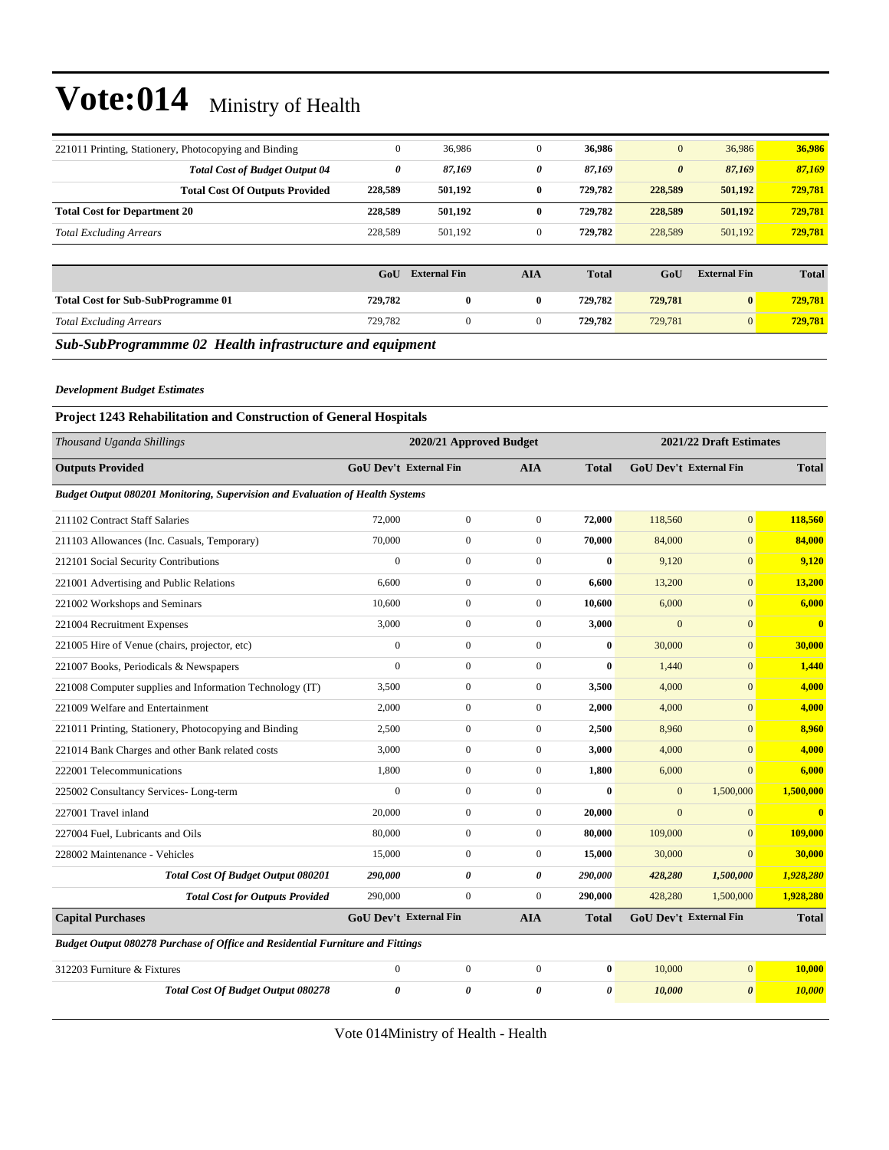| 221011 Printing, Stationery, Photocopying and Binding    | $\mathbf{0}$ | 36,986              | $\mathbf{0}$   | 36,986       | $\mathbf{0}$          | 36,986              | 36,986       |  |  |  |  |
|----------------------------------------------------------|--------------|---------------------|----------------|--------------|-----------------------|---------------------|--------------|--|--|--|--|
| <b>Total Cost of Budget Output 04</b>                    | 0            | 87,169              | 0              | 87,169       | $\boldsymbol{\theta}$ | 87,169              | 87,169       |  |  |  |  |
| <b>Total Cost Of Outputs Provided</b>                    | 228,589      | 501,192             | $\bf{0}$       | 729,782      | 228,589               | 501,192             | 729,781      |  |  |  |  |
| <b>Total Cost for Department 20</b>                      | 228,589      | 501,192             | $\bf{0}$       | 729,782      | 228,589               | 501,192             | 729,781      |  |  |  |  |
| <b>Total Excluding Arrears</b>                           | 228,589      | 501,192             | $\mathbf{0}$   | 729,782      | 228,589               | 501,192             | 729,781      |  |  |  |  |
|                                                          |              |                     |                |              |                       |                     |              |  |  |  |  |
|                                                          | GoU          | <b>External Fin</b> | <b>AIA</b>     | <b>Total</b> | GoU                   | <b>External Fin</b> | <b>Total</b> |  |  |  |  |
| <b>Total Cost for Sub-SubProgramme 01</b>                | 729,782      | $\bf{0}$            | $\bf{0}$       | 729,782      | 729,781               | $\vert 0 \vert$     | 729,781      |  |  |  |  |
| <b>Total Excluding Arrears</b>                           | 729,782      | $\mathbf{0}$        | $\overline{0}$ | 729,782      | 729,781               | $\mathbf{0}$        | 729,781      |  |  |  |  |
| Sub-SubProgrammme 02 Health infrastructure and equipment |              |                     |                |              |                       |                     |              |  |  |  |  |

#### *Development Budget Estimates*

#### **Project 1243 Rehabilitation and Construction of General Hospitals**

| Thousand Uganda Shillings                                                      |                               | 2020/21 Approved Budget       |                  |              |                | 2021/22 Draft Estimates       |                         |  |
|--------------------------------------------------------------------------------|-------------------------------|-------------------------------|------------------|--------------|----------------|-------------------------------|-------------------------|--|
| <b>Outputs Provided</b>                                                        |                               | <b>GoU Dev't External Fin</b> | <b>AIA</b>       | <b>Total</b> |                | <b>GoU Dev't External Fin</b> | <b>Total</b>            |  |
| Budget Output 080201 Monitoring, Supervision and Evaluation of Health Systems  |                               |                               |                  |              |                |                               |                         |  |
| 211102 Contract Staff Salaries                                                 | 72,000                        | $\mathbf{0}$                  | $\mathbf{0}$     | 72,000       | 118,560        | $\mathbf{0}$                  | 118,560                 |  |
| 211103 Allowances (Inc. Casuals, Temporary)                                    | 70,000                        | $\boldsymbol{0}$              | $\mathbf{0}$     | 70,000       | 84,000         | $\overline{0}$                | 84,000                  |  |
| 212101 Social Security Contributions                                           | $\overline{0}$                | $\boldsymbol{0}$              | $\mathbf{0}$     | $\bf{0}$     | 9,120          | $\overline{0}$                | 9,120                   |  |
| 221001 Advertising and Public Relations                                        | 6.600                         | $\mathbf{0}$                  | $\mathbf{0}$     | 6,600        | 13,200         | $\overline{0}$                | 13,200                  |  |
| 221002 Workshops and Seminars                                                  | 10,600                        | $\boldsymbol{0}$              | $\mathbf{0}$     | 10,600       | 6,000          | $\overline{0}$                | 6,000                   |  |
| 221004 Recruitment Expenses                                                    | 3,000                         | $\boldsymbol{0}$              | $\boldsymbol{0}$ | 3,000        | $\mathbf{0}$   | $\mathbf{0}$                  | $\overline{\mathbf{0}}$ |  |
| 221005 Hire of Venue (chairs, projector, etc)                                  | $\mathbf{0}$                  | $\boldsymbol{0}$              | $\mathbf{0}$     | $\bf{0}$     | 30,000         | $\overline{0}$                | 30,000                  |  |
| 221007 Books, Periodicals & Newspapers                                         | $\overline{0}$                | $\boldsymbol{0}$              | $\mathbf{0}$     | $\mathbf{0}$ | 1,440          | $\overline{0}$                | 1,440                   |  |
| 221008 Computer supplies and Information Technology (IT)                       | 3,500                         | $\boldsymbol{0}$              | $\mathbf{0}$     | 3,500        | 4,000          | $\overline{0}$                | 4,000                   |  |
| 221009 Welfare and Entertainment                                               | 2,000                         | $\boldsymbol{0}$              | $\boldsymbol{0}$ | 2,000        | 4,000          | $\mathbf{0}$                  | 4,000                   |  |
| 221011 Printing, Stationery, Photocopying and Binding                          | 2,500                         | $\boldsymbol{0}$              | $\mathbf{0}$     | 2,500        | 8,960          | $\overline{0}$                | 8,960                   |  |
| 221014 Bank Charges and other Bank related costs                               | 3,000                         | $\boldsymbol{0}$              | $\mathbf{0}$     | 3,000        | 4,000          | $\Omega$                      | 4,000                   |  |
| 222001 Telecommunications                                                      | 1,800                         | $\boldsymbol{0}$              | $\boldsymbol{0}$ | 1,800        | 6,000          | $\overline{0}$                | 6,000                   |  |
| 225002 Consultancy Services-Long-term                                          | $\mathbf{0}$                  | $\boldsymbol{0}$              | $\mathbf{0}$     | $\mathbf{0}$ | $\mathbf{0}$   | 1,500,000                     | 1,500,000               |  |
| 227001 Travel inland                                                           | 20,000                        | $\overline{0}$                | $\mathbf{0}$     | 20,000       | $\overline{0}$ | $\overline{0}$                | $\overline{\mathbf{0}}$ |  |
| 227004 Fuel. Lubricants and Oils                                               | 80,000                        | $\mathbf{0}$                  | $\boldsymbol{0}$ | 80,000       | 109,000        | $\mathbf{0}$                  | 109,000                 |  |
| 228002 Maintenance - Vehicles                                                  | 15,000                        | $\boldsymbol{0}$              | $\overline{0}$   | 15,000       | 30,000         | $\overline{0}$                | 30,000                  |  |
| <b>Total Cost Of Budget Output 080201</b>                                      | 290,000                       | 0                             | 0                | 290,000      | 428,280        | 1,500,000                     | 1,928,280               |  |
| <b>Total Cost for Outputs Provided</b>                                         | 290,000                       | $\mathbf{0}$                  | $\mathbf{0}$     | 290,000      | 428,280        | 1,500,000                     | 1,928,280               |  |
| <b>Capital Purchases</b>                                                       | <b>GoU Dev't External Fin</b> |                               | <b>AIA</b>       | <b>Total</b> |                | GoU Dev't External Fin        | <b>Total</b>            |  |
| Budget Output 080278 Purchase of Office and Residential Furniture and Fittings |                               |                               |                  |              |                |                               |                         |  |
| 312203 Furniture & Fixtures                                                    | $\boldsymbol{0}$              | $\boldsymbol{0}$              | $\boldsymbol{0}$ | $\bf{0}$     | 10,000         | $\overline{0}$                | 10,000                  |  |
| <b>Total Cost Of Budget Output 080278</b>                                      | $\theta$                      | $\boldsymbol{\theta}$         | 0                | $\theta$     | 10,000         | $\boldsymbol{\theta}$         | 10,000                  |  |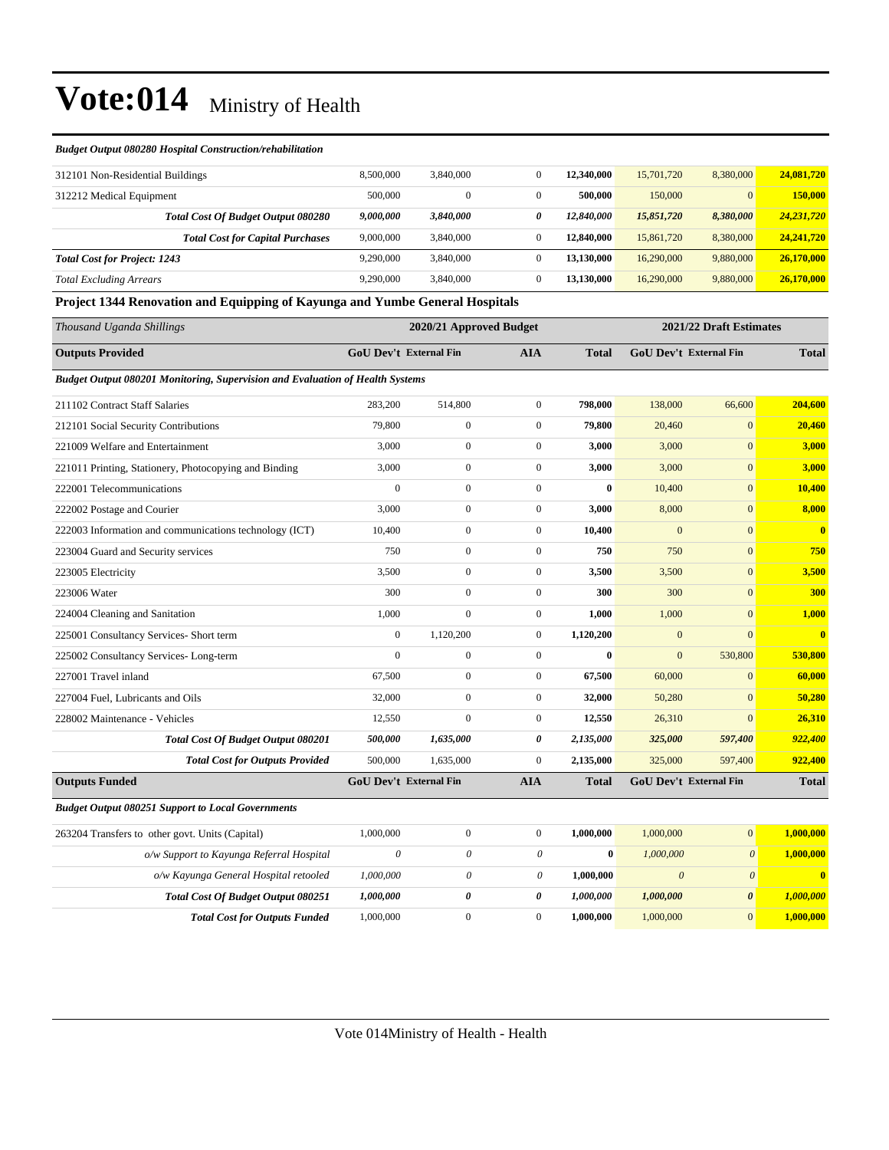#### *Budget Output 080280 Hospital Construction/rehabilitation*

| 312101 Non-Residential Buildings    |                                           | 8.500,000 | 3,840,000    | 0            | 12,340,000 | 15,701,720 | 8,380,000      | 24,081,720   |
|-------------------------------------|-------------------------------------------|-----------|--------------|--------------|------------|------------|----------------|--------------|
| 312212 Medical Equipment            |                                           | 500,000   | $\mathbf{0}$ | 0            | 500,000    | 150,000    | $\overline{0}$ | 150,000      |
|                                     | <b>Total Cost Of Budget Output 080280</b> | 9,000,000 | 3,840,000    | 0            | 12,840,000 | 15,851,720 | 8,380,000      | 24,231,720   |
|                                     | <b>Total Cost for Capital Purchases</b>   | 9,000,000 | 3,840,000    | $\mathbf{0}$ | 12,840,000 | 15,861,720 | 8,380,000      | 24, 241, 720 |
| <b>Total Cost for Project: 1243</b> |                                           | 9.290.000 | 3,840,000    | $\mathbf{0}$ | 13.130.000 | 16,290,000 | 9,880,000      | 26,170,000   |
| <b>Total Excluding Arrears</b>      |                                           | 9.290,000 | 3,840,000    | 0            | 13.130.000 | 16,290,000 | 9,880,000      | 26,170,000   |

#### **Project 1344 Renovation and Equipping of Kayunga and Yumbe General Hospitals**

| Thousand Uganda Shillings                                                     |                               | 2020/21 Approved Budget |                  |              |                       | 2021/22 Draft Estimates       |                         |
|-------------------------------------------------------------------------------|-------------------------------|-------------------------|------------------|--------------|-----------------------|-------------------------------|-------------------------|
| <b>Outputs Provided</b>                                                       | <b>GoU Dev't External Fin</b> |                         | <b>AIA</b>       | <b>Total</b> |                       | <b>GoU Dev't External Fin</b> | <b>Total</b>            |
| Budget Output 080201 Monitoring, Supervision and Evaluation of Health Systems |                               |                         |                  |              |                       |                               |                         |
| 211102 Contract Staff Salaries                                                | 283,200                       | 514,800                 | $\overline{0}$   | 798.000      | 138,000               | 66,600                        | 204,600                 |
| 212101 Social Security Contributions                                          | 79,800                        | $\overline{0}$          | $\mathbf{0}$     | 79,800       | 20,460                | $\mathbf{0}$                  | 20,460                  |
| 221009 Welfare and Entertainment                                              | 3,000                         | $\overline{0}$          | $\overline{0}$   | 3,000        | 3,000                 | $\mathbf{0}$                  | 3,000                   |
| 221011 Printing, Stationery, Photocopying and Binding                         | 3,000                         | $\overline{0}$          | $\overline{0}$   | 3,000        | 3,000                 | $\overline{0}$                | 3,000                   |
| 222001 Telecommunications                                                     | $\Omega$                      | $\overline{0}$          | $\overline{0}$   | $\bf{0}$     | 10,400                | $\mathbf{0}$                  | 10,400                  |
| 222002 Postage and Courier                                                    | 3,000                         | $\boldsymbol{0}$        | $\boldsymbol{0}$ | 3,000        | 8,000                 | $\mathbf{0}$                  | 8,000                   |
| 222003 Information and communications technology (ICT)                        | 10,400                        | $\boldsymbol{0}$        | $\boldsymbol{0}$ | 10,400       | $\mathbf{0}$          | $\mathbf{0}$                  | $\mathbf{0}$            |
| 223004 Guard and Security services                                            | 750                           | $\overline{0}$          | $\overline{0}$   | 750          | 750                   | $\overline{0}$                | 750                     |
| 223005 Electricity                                                            | 3,500                         | $\overline{0}$          | $\overline{0}$   | 3,500        | 3,500                 | $\overline{0}$                | 3,500                   |
| 223006 Water                                                                  | 300                           | $\overline{0}$          | $\overline{0}$   | 300          | 300                   | $\mathbf{0}$                  | <b>300</b>              |
| 224004 Cleaning and Sanitation                                                | 1,000                         | $\mathbf{0}$            | $\overline{0}$   | 1,000        | 1,000                 | $\overline{0}$                | 1,000                   |
| 225001 Consultancy Services- Short term                                       | $\mathbf{0}$                  | 1,120,200               | $\overline{0}$   | 1,120,200    | $\mathbf{0}$          | $\Omega$                      | $\overline{\mathbf{0}}$ |
| 225002 Consultancy Services-Long-term                                         | $\mathbf{0}$                  | $\overline{0}$          | $\mathbf{0}$     | $\bf{0}$     | $\mathbf{0}$          | 530,800                       | 530,800                 |
| 227001 Travel inland                                                          | 67,500                        | $\boldsymbol{0}$        | $\boldsymbol{0}$ | 67,500       | 60,000                | $\mathbf{0}$                  | 60,000                  |
| 227004 Fuel, Lubricants and Oils                                              | 32,000                        | $\overline{0}$          | $\overline{0}$   | 32,000       | 50,280                | $\overline{0}$                | 50,280                  |
| 228002 Maintenance - Vehicles                                                 | 12,550                        | $\overline{0}$          | $\overline{0}$   | 12,550       | 26,310                | $\Omega$                      | 26,310                  |
| <b>Total Cost Of Budget Output 080201</b>                                     | 500,000                       | 1,635,000               | 0                | 2,135,000    | 325,000               | 597,400                       | 922,400                 |
| <b>Total Cost for Outputs Provided</b>                                        | 500,000                       | 1,635,000               | $\mathbf{0}$     | 2,135,000    | 325,000               | 597,400                       | 922,400                 |
| <b>Outputs Funded</b>                                                         | <b>GoU Dev't External Fin</b> |                         | <b>AIA</b>       | <b>Total</b> |                       | GoU Dev't External Fin        | <b>Total</b>            |
| <b>Budget Output 080251 Support to Local Governments</b>                      |                               |                         |                  |              |                       |                               |                         |
| 263204 Transfers to other govt. Units (Capital)                               | 1,000,000                     | $\boldsymbol{0}$        | $\overline{0}$   | 1,000,000    | 1,000,000             | $\mathbf{0}$                  | 1,000,000               |
| o/w Support to Kayunga Referral Hospital                                      | $\theta$                      | $\theta$                | $\theta$         | $\bf{0}$     | 1,000,000             | $\boldsymbol{\theta}$         | 1,000,000               |
| o/w Kayunga General Hospital retooled                                         | 1,000,000                     | $\theta$                | 0                | 1,000,000    | $\boldsymbol{\theta}$ | $\boldsymbol{\theta}$         | $\mathbf{0}$            |
| <b>Total Cost Of Budget Output 080251</b>                                     | 1,000,000                     | 0                       | 0                | 1,000,000    | 1,000,000             | $\boldsymbol{\theta}$         | 1,000,000               |
| <b>Total Cost for Outputs Funded</b>                                          | 1,000,000                     | $\mathbf{0}$            | $\mathbf{0}$     | 1.000.000    | 1,000,000             | $\overline{0}$                | 1,000,000               |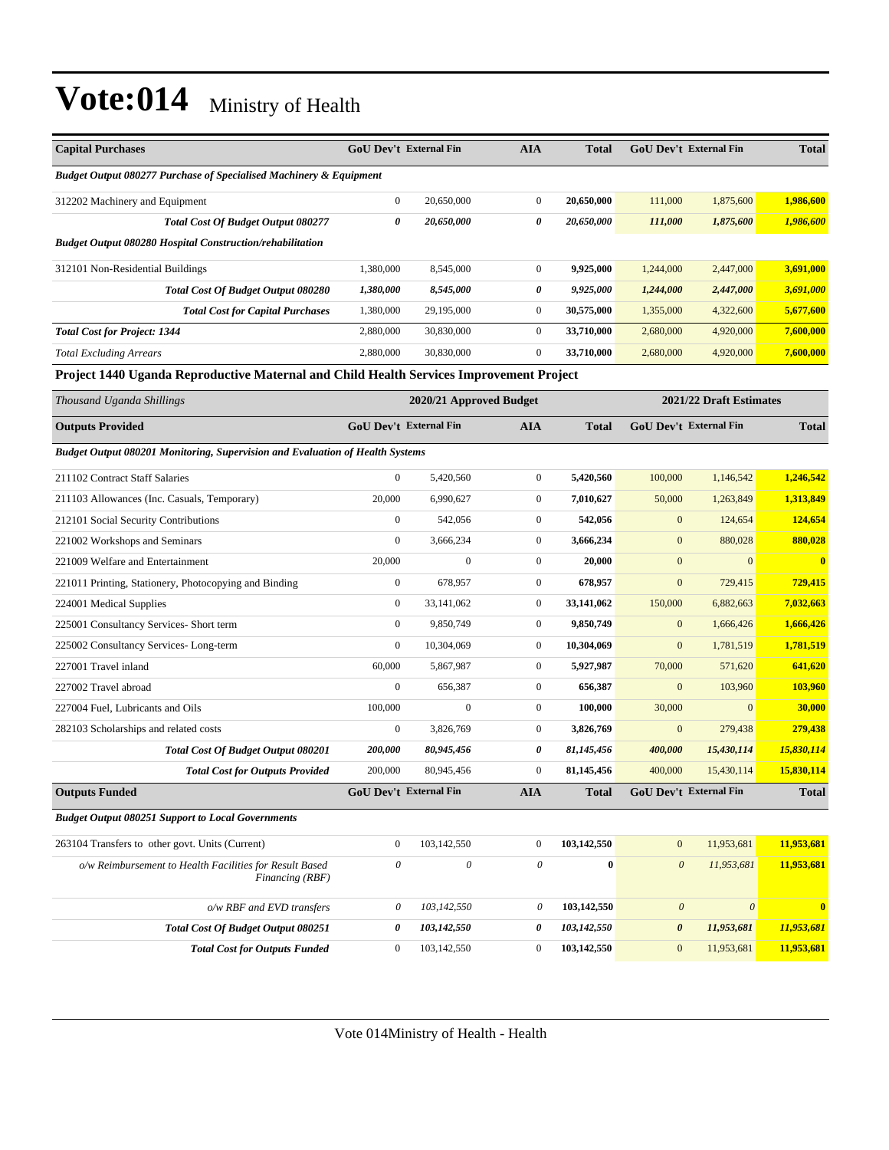| <b>Capital Purchases</b>                                                                | <b>GoU Dev't External Fin</b> |                         | <b>AIA</b>   | <b>Total</b> | <b>GoU Dev't External Fin</b> |                         | <b>Total</b> |
|-----------------------------------------------------------------------------------------|-------------------------------|-------------------------|--------------|--------------|-------------------------------|-------------------------|--------------|
| <b>Budget Output 080277 Purchase of Specialised Machinery &amp; Equipment</b>           |                               |                         |              |              |                               |                         |              |
| 312202 Machinery and Equipment                                                          | $\mathbf{0}$                  | 20,650,000              | $\mathbf{0}$ | 20,650,000   | 111,000                       | 1,875,600               | 1,986,600    |
| <b>Total Cost Of Budget Output 080277</b>                                               | 0                             | 20,650,000              | 0            | 20,650,000   | 111,000                       | 1,875,600               | 1,986,600    |
| <b>Budget Output 080280 Hospital Construction/rehabilitation</b>                        |                               |                         |              |              |                               |                         |              |
| 312101 Non-Residential Buildings                                                        | 1.380,000                     | 8,545,000               | $\mathbf{0}$ | 9,925,000    | 1,244,000                     | 2,447,000               | 3,691,000    |
| <b>Total Cost Of Budget Output 080280</b>                                               | 1,380,000                     | 8,545,000               | 0            | 9,925,000    | 1,244,000                     | 2,447,000               | 3,691,000    |
| <b>Total Cost for Capital Purchases</b>                                                 | 1,380,000                     | 29,195,000              | $\mathbf{0}$ | 30,575,000   | 1,355,000                     | 4,322,600               | 5,677,600    |
| <b>Total Cost for Project: 1344</b>                                                     | 2,880,000                     | 30,830,000              | $\mathbf{0}$ | 33,710,000   | 2,680,000                     | 4,920,000               | 7,600,000    |
| <b>Total Excluding Arrears</b>                                                          | 2,880,000                     | 30,830,000              | $\mathbf{0}$ | 33,710,000   | 2,680,000                     | 4,920,000               | 7,600,000    |
| Project 1440 Uganda Reproductive Maternal and Child Health Services Improvement Project |                               |                         |              |              |                               |                         |              |
| Thousand Uganda Shillings                                                               |                               | 2020/21 Approved Budget |              |              |                               | 2021/22 Draft Estimates |              |

| <b>Outputs Provided</b>                                                       | <b>GoU Dev't External Fin</b> |              | <b>AIA</b>       | <b>Total</b> |                       | <b>GoU Dev't External Fin</b> | <b>Total</b> |
|-------------------------------------------------------------------------------|-------------------------------|--------------|------------------|--------------|-----------------------|-------------------------------|--------------|
| Budget Output 080201 Monitoring, Supervision and Evaluation of Health Systems |                               |              |                  |              |                       |                               |              |
| 211102 Contract Staff Salaries                                                | $\mathbf{0}$                  | 5,420,560    | $\overline{0}$   | 5,420,560    | 100,000               | 1,146,542                     | 1,246,542    |
| 211103 Allowances (Inc. Casuals, Temporary)                                   | 20,000                        | 6,990,627    | $\boldsymbol{0}$ | 7,010,627    | 50,000                | 1,263,849                     | 1,313,849    |
| 212101 Social Security Contributions                                          | $\mathbf{0}$                  | 542,056      | $\overline{0}$   | 542,056      | $\mathbf{0}$          | 124,654                       | 124,654      |
| 221002 Workshops and Seminars                                                 | $\mathbf{0}$                  | 3,666,234    | $\boldsymbol{0}$ | 3,666,234    | $\mathbf{0}$          | 880,028                       | 880,028      |
| 221009 Welfare and Entertainment                                              | 20,000                        | $\mathbf{0}$ | $\overline{0}$   | 20,000       | $\mathbf{0}$          | $\overline{0}$                | $\mathbf{0}$ |
| 221011 Printing, Stationery, Photocopying and Binding                         | $\boldsymbol{0}$              | 678,957      | $\boldsymbol{0}$ | 678,957      | $\mathbf{0}$          | 729,415                       | 729,415      |
| 224001 Medical Supplies                                                       | $\mathbf{0}$                  | 33,141,062   | $\overline{0}$   | 33,141,062   | 150,000               | 6,882,663                     | 7,032,663    |
| 225001 Consultancy Services- Short term                                       | $\mathbf{0}$                  | 9,850,749    | $\overline{0}$   | 9,850,749    | $\mathbf{0}$          | 1,666,426                     | 1,666,426    |
| 225002 Consultancy Services-Long-term                                         | $\mathbf{0}$                  | 10,304,069   | $\overline{0}$   | 10,304,069   | $\mathbf{0}$          | 1,781,519                     | 1,781,519    |
| 227001 Travel inland                                                          | 60,000                        | 5,867,987    | $\boldsymbol{0}$ | 5,927,987    | 70,000                | 571,620                       | 641,620      |
| 227002 Travel abroad                                                          | $\overline{0}$                | 656,387      | $\overline{0}$   | 656,387      | $\mathbf{0}$          | 103,960                       | 103,960      |
| 227004 Fuel, Lubricants and Oils                                              | 100,000                       | $\mathbf{0}$ | $\overline{0}$   | 100,000      | 30,000                | $\Omega$                      | 30,000       |
| 282103 Scholarships and related costs                                         | $\mathbf{0}$                  | 3,826,769    | $\overline{0}$   | 3,826,769    | $\mathbf{0}$          | 279,438                       | 279,438      |
| <b>Total Cost Of Budget Output 080201</b>                                     | <i><b>200,000</b></i>         | 80,945,456   | 0                | 81,145,456   | 400,000               | 15,430,114                    | 15,830,114   |
| <b>Total Cost for Outputs Provided</b>                                        | 200,000                       | 80,945,456   | $\overline{0}$   | 81,145,456   | 400,000               | 15,430,114                    | 15,830,114   |
| <b>Outputs Funded</b>                                                         | <b>GoU Dev't External Fin</b> |              | <b>AIA</b>       | <b>Total</b> |                       | <b>GoU Dev't External Fin</b> | <b>Total</b> |
| <b>Budget Output 080251 Support to Local Governments</b>                      |                               |              |                  |              |                       |                               |              |
| 263104 Transfers to other govt. Units (Current)                               | $\mathbf{0}$                  | 103,142,550  | $\overline{0}$   | 103,142,550  | $\mathbf{0}$          | 11,953,681                    | 11,953,681   |
| o/w Reimbursement to Health Facilities for Result Based<br>Financing (RBF)    | $\theta$                      | $\theta$     | 0                | $\mathbf{0}$ | $\theta$              | 11,953,681                    | 11,953,681   |
| o/w RBF and EVD transfers                                                     | 0                             | 103,142,550  | $\theta$         | 103,142,550  | $\boldsymbol{\theta}$ | $\theta$                      | $\mathbf{0}$ |
| <b>Total Cost Of Budget Output 080251</b>                                     | 0                             | 103,142,550  | 0                | 103,142,550  | $\boldsymbol{\theta}$ | 11,953,681                    | 11,953,681   |
| <b>Total Cost for Outputs Funded</b>                                          | $\mathbf{0}$                  | 103,142,550  | $\mathbf{0}$     | 103,142,550  | $\mathbf{0}$          | 11,953,681                    | 11,953,681   |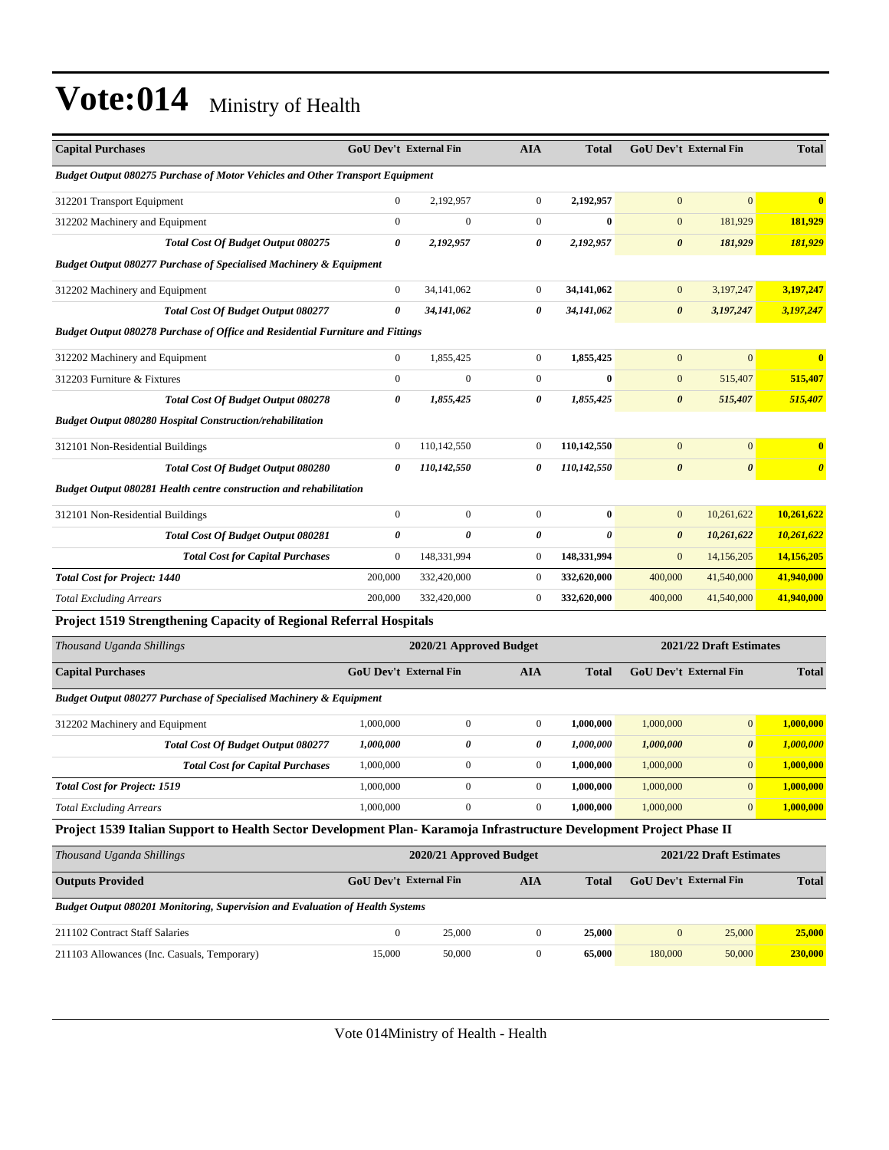| <b>Capital Purchases</b>                                                                                            | GoU Dev't External Fin |                         | <b>AIA</b>            | <b>Total</b>          | GoU Dev't External Fin |                         | <b>Total</b>          |
|---------------------------------------------------------------------------------------------------------------------|------------------------|-------------------------|-----------------------|-----------------------|------------------------|-------------------------|-----------------------|
| <b>Budget Output 080275 Purchase of Motor Vehicles and Other Transport Equipment</b>                                |                        |                         |                       |                       |                        |                         |                       |
| 312201 Transport Equipment                                                                                          | $\mathbf{0}$           | 2,192,957               | $\mathbf{0}$          | 2,192,957             | $\Omega$               | $\Omega$                | $\mathbf{0}$          |
| 312202 Machinery and Equipment                                                                                      | $\boldsymbol{0}$       | $\boldsymbol{0}$        | $\boldsymbol{0}$      | $\bf{0}$              | $\mathbf{0}$           | 181,929                 | 181,929               |
| Total Cost Of Budget Output 080275                                                                                  | 0                      | 2,192,957               | 0                     | 2,192,957             | $\boldsymbol{\theta}$  | 181,929                 | 181,929               |
| <b>Budget Output 080277 Purchase of Specialised Machinery &amp; Equipment</b>                                       |                        |                         |                       |                       |                        |                         |                       |
| 312202 Machinery and Equipment                                                                                      | $\mathbf{0}$           | 34,141,062              | $\boldsymbol{0}$      | 34,141,062            | $\mathbf{0}$           | 3,197,247               | 3,197,247             |
| Total Cost Of Budget Output 080277                                                                                  | $\theta$               | 34,141,062              | 0                     | 34,141,062            | $\boldsymbol{\theta}$  | 3,197,247               | 3,197,247             |
| Budget Output 080278 Purchase of Office and Residential Furniture and Fittings                                      |                        |                         |                       |                       |                        |                         |                       |
| 312202 Machinery and Equipment                                                                                      | $\mathbf{0}$           | 1,855,425               | $\boldsymbol{0}$      | 1,855,425             | $\mathbf{0}$           | $\overline{0}$          | $\bf{0}$              |
| 312203 Furniture & Fixtures                                                                                         | $\mathbf{0}$           | $\mathbf{0}$            | $\boldsymbol{0}$      | $\bf{0}$              | $\mathbf{0}$           | 515,407                 | 515,407               |
| <b>Total Cost Of Budget Output 080278</b>                                                                           | $\pmb{\theta}$         | 1,855,425               | $\pmb{\theta}$        | 1,855,425             | $\boldsymbol{\theta}$  | 515,407                 | 515,407               |
| <b>Budget Output 080280 Hospital Construction/rehabilitation</b>                                                    |                        |                         |                       |                       |                        |                         |                       |
| 312101 Non-Residential Buildings                                                                                    | $\mathbf{0}$           | 110,142,550             | $\boldsymbol{0}$      | 110,142,550           | $\mathbf{0}$           | $\boldsymbol{0}$        | $\bf{0}$              |
| Total Cost Of Budget Output 080280                                                                                  | 0                      | 110,142,550             | $\boldsymbol{\theta}$ | 110,142,550           | $\boldsymbol{\theta}$  | $\boldsymbol{\theta}$   | $\boldsymbol{\theta}$ |
| Budget Output 080281 Health centre construction and rehabilitation                                                  |                        |                         |                       |                       |                        |                         |                       |
| 312101 Non-Residential Buildings                                                                                    | $\mathbf{0}$           | $\boldsymbol{0}$        | $\boldsymbol{0}$      | $\bf{0}$              | $\mathbf{0}$           | 10,261,622              | 10,261,622            |
| <b>Total Cost Of Budget Output 080281</b>                                                                           | $\boldsymbol{\theta}$  | $\theta$                | $\pmb{\theta}$        | $\boldsymbol{\theta}$ | $\boldsymbol{\theta}$  | 10,261,622              | 10,261,622            |
| <b>Total Cost for Capital Purchases</b>                                                                             | $\mathbf{0}$           | 148,331,994             | $\mathbf{0}$          | 148,331,994           | $\mathbf{0}$           | 14,156,205              | 14,156,205            |
| <b>Total Cost for Project: 1440</b>                                                                                 | 200,000                | 332,420,000             | $\boldsymbol{0}$      | 332,620,000           | 400,000                | 41,540,000              | 41,940,000            |
| <b>Total Excluding Arrears</b>                                                                                      | 200,000                | 332,420,000             | $\mathbf{0}$          | 332,620,000           | 400,000                | 41,540,000              | 41,940,000            |
| Project 1519 Strengthening Capacity of Regional Referral Hospitals                                                  |                        |                         |                       |                       |                        |                         |                       |
| Thousand Uganda Shillings                                                                                           |                        | 2020/21 Approved Budget |                       |                       |                        | 2021/22 Draft Estimates |                       |
| <b>Capital Purchases</b>                                                                                            | GoU Dev't External Fin |                         | <b>AIA</b>            | <b>Total</b>          | GoU Dev't External Fin |                         | <b>Total</b>          |
| <b>Budget Output 080277 Purchase of Specialised Machinery &amp; Equipment</b>                                       |                        |                         |                       |                       |                        |                         |                       |
| 312202 Machinery and Equipment                                                                                      | 1,000,000              | $\mathbf{0}$            | $\boldsymbol{0}$      | 1,000,000             | 1,000,000              | $\mathbf{0}$            | 1,000,000             |
| <b>Total Cost Of Budget Output 080277</b>                                                                           | 1,000,000              | $\pmb{\theta}$          | 0                     | 1,000,000             | 1,000,000              | $\boldsymbol{\theta}$   | 1,000,000             |
| <b>Total Cost for Capital Purchases</b>                                                                             | 1,000,000              | $\overline{0}$          | $\mathbf{0}$          | 1,000,000             | 1,000,000              | $\mathbf{0}$            | 1,000,000             |
| <b>Total Cost for Project: 1519</b>                                                                                 | 1,000,000              | $\boldsymbol{0}$        | $\boldsymbol{0}$      | 1,000,000             | 1,000,000              | $\mathbf{0}$            | 1,000,000             |
| <b>Total Excluding Arrears</b>                                                                                      | 1,000,000              | $\theta$                | $\mathbf{0}$          | 1,000,000             | 1,000,000              | $\mathbf{0}$            | 1,000,000             |
| Project 1539 Italian Support to Health Sector Development Plan-Karamoja Infrastructure Development Project Phase II |                        |                         |                       |                       |                        |                         |                       |

| Thousand Uganda Shillings                                                            |                               | 2020/21 Approved Budget |     | 2021/22 Draft Estimates |                               |        |         |
|--------------------------------------------------------------------------------------|-------------------------------|-------------------------|-----|-------------------------|-------------------------------|--------|---------|
| <b>Outputs Provided</b>                                                              | <b>GoU</b> Dev't External Fin |                         | AIA | Total                   | <b>GoU</b> Dev't External Fin |        | Total   |
| <b>Budget Output 080201 Monitoring, Supervision and Evaluation of Health Systems</b> |                               |                         |     |                         |                               |        |         |
| 211102 Contract Staff Salaries                                                       | 0                             | 25,000                  |     | 25,000                  | $\mathbf{0}$                  | 25,000 | 25,000  |
| 211103 Allowances (Inc. Casuals, Temporary)                                          | 15,000                        | 50,000                  |     | 65,000                  | 180,000                       | 50,000 | 230,000 |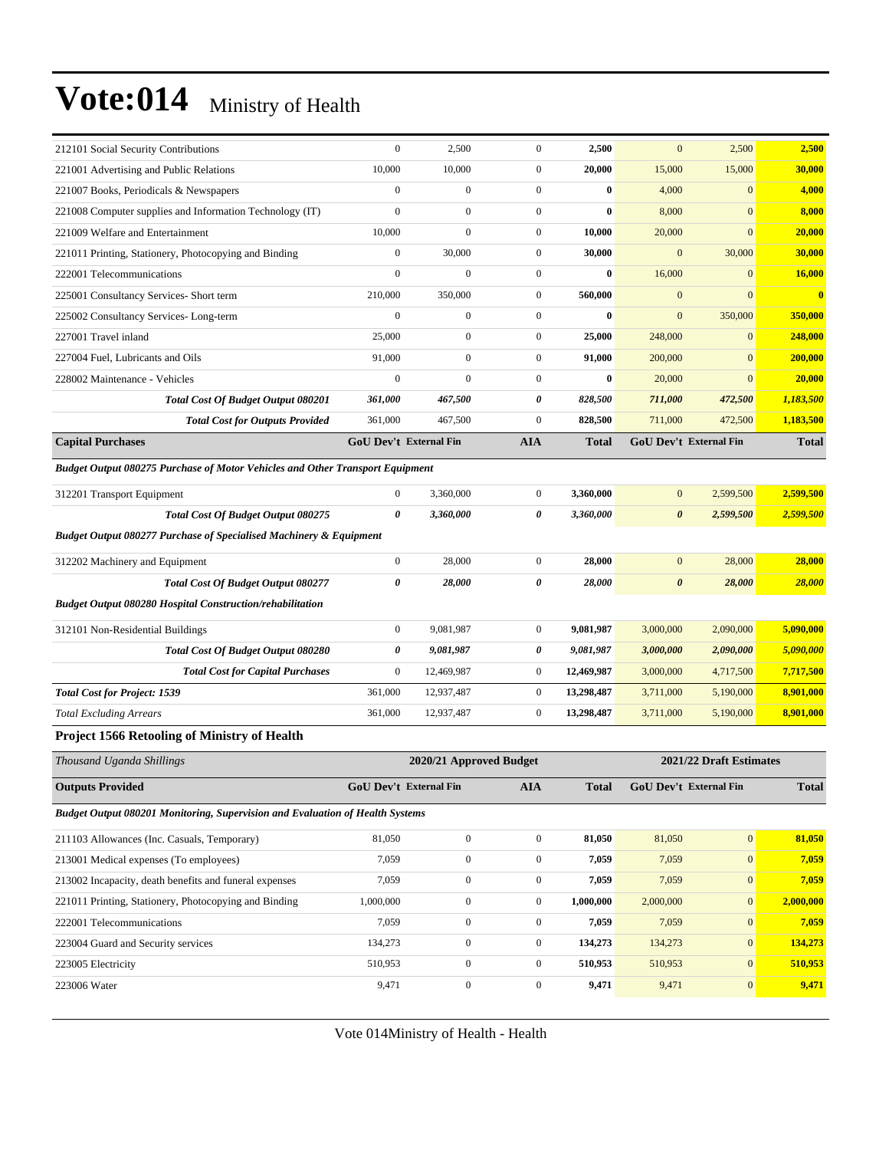| 212101 Social Security Contributions                                                 | $\mathbf{0}$                  | 2,500                   | $\boldsymbol{0}$ | 2,500        | $\mathbf{0}$           | 2,500                         | 2,500        |
|--------------------------------------------------------------------------------------|-------------------------------|-------------------------|------------------|--------------|------------------------|-------------------------------|--------------|
| 221001 Advertising and Public Relations                                              | 10,000                        | 10,000                  | $\boldsymbol{0}$ | 20,000       | 15,000                 | 15,000                        | 30,000       |
| 221007 Books, Periodicals & Newspapers                                               | $\mathbf{0}$                  | $\boldsymbol{0}$        | $\boldsymbol{0}$ | $\bf{0}$     | 4,000                  | $\mathbf{0}$                  | 4,000        |
| 221008 Computer supplies and Information Technology (IT)                             | $\mathbf{0}$                  | $\overline{0}$          | $\overline{0}$   | $\bf{0}$     | 8,000                  | $\overline{0}$                | 8,000        |
| 221009 Welfare and Entertainment                                                     | 10,000                        | $\boldsymbol{0}$        | $\boldsymbol{0}$ | 10,000       | 20,000                 | $\mathbf{0}$                  | 20,000       |
| 221011 Printing, Stationery, Photocopying and Binding                                | $\mathbf{0}$                  | 30,000                  | $\boldsymbol{0}$ | 30,000       | $\mathbf{0}$           | 30,000                        | 30,000       |
| 222001 Telecommunications                                                            | $\mathbf{0}$                  | $\boldsymbol{0}$        | $\boldsymbol{0}$ | $\bf{0}$     | 16,000                 | $\mathbf{0}$                  | 16,000       |
| 225001 Consultancy Services- Short term                                              | 210,000                       | 350,000                 | $\boldsymbol{0}$ | 560,000      | $\mathbf{0}$           | $\mathbf{0}$                  | $\bf{0}$     |
| 225002 Consultancy Services-Long-term                                                | $\mathbf{0}$                  | $\boldsymbol{0}$        | $\boldsymbol{0}$ | $\bf{0}$     | $\mathbf{0}$           | 350,000                       | 350,000      |
| 227001 Travel inland                                                                 | 25,000                        | $\boldsymbol{0}$        | $\boldsymbol{0}$ | 25,000       | 248,000                | $\mathbf{0}$                  | 248,000      |
| 227004 Fuel, Lubricants and Oils                                                     | 91,000                        | $\boldsymbol{0}$        | $\boldsymbol{0}$ | 91,000       | 200,000                | $\mathbf{0}$                  | 200,000      |
| 228002 Maintenance - Vehicles                                                        | $\mathbf{0}$                  | $\boldsymbol{0}$        | $\boldsymbol{0}$ | $\bf{0}$     | 20,000                 | $\mathbf{0}$                  | 20,000       |
| <b>Total Cost Of Budget Output 080201</b>                                            | 361,000                       | 467,500                 | 0                | 828,500      | 711,000                | 472,500                       | 1,183,500    |
| <b>Total Cost for Outputs Provided</b>                                               | 361,000                       | 467,500                 | $\boldsymbol{0}$ | 828,500      | 711,000                | 472,500                       | 1,183,500    |
| <b>Capital Purchases</b>                                                             | <b>GoU Dev't External Fin</b> |                         | <b>AIA</b>       | <b>Total</b> |                        | <b>GoU Dev't External Fin</b> | <b>Total</b> |
| Budget Output 080275 Purchase of Motor Vehicles and Other Transport Equipment        |                               |                         |                  |              |                        |                               |              |
| 312201 Transport Equipment                                                           | $\mathbf{0}$                  | 3,360,000               | $\boldsymbol{0}$ | 3,360,000    | $\mathbf{0}$           | 2,599,500                     | 2,599,500    |
| Total Cost Of Budget Output 080275                                                   | $\boldsymbol{\theta}$         | 3,360,000               | 0                | 3,360,000    | $\boldsymbol{\theta}$  | 2,599,500                     | 2,599,500    |
| <b>Budget Output 080277 Purchase of Specialised Machinery &amp; Equipment</b>        |                               |                         |                  |              |                        |                               |              |
| 312202 Machinery and Equipment                                                       | $\mathbf{0}$                  | 28,000                  | $\boldsymbol{0}$ | 28,000       | $\mathbf{0}$           | 28,000                        | 28,000       |
| <b>Total Cost Of Budget Output 080277</b>                                            | 0                             | 28,000                  | 0                | 28,000       | $\boldsymbol{\theta}$  | 28,000                        | 28,000       |
| <b>Budget Output 080280 Hospital Construction/rehabilitation</b>                     |                               |                         |                  |              |                        |                               |              |
|                                                                                      | $\mathbf{0}$                  | 9,081,987               | $\boldsymbol{0}$ | 9,081,987    | 3,000,000              | 2,090,000                     | 5,090,000    |
| 312101 Non-Residential Buildings                                                     | 0                             | 9,081,987               | 0                | 9,081,987    |                        | 2,090,000                     | 5,090,000    |
| Total Cost Of Budget Output 080280                                                   | $\boldsymbol{0}$              | 12,469,987              | $\boldsymbol{0}$ | 12,469,987   | 3,000,000<br>3,000,000 |                               | 7,717,500    |
| <b>Total Cost for Capital Purchases</b>                                              | 361,000                       | 12,937,487              | $\boldsymbol{0}$ | 13,298,487   |                        | 4,717,500                     | 8,901,000    |
| <b>Total Cost for Project: 1539</b>                                                  | 361,000                       |                         | $\boldsymbol{0}$ | 13,298,487   | 3,711,000              | 5,190,000<br>5,190,000        | 8,901,000    |
| <b>Total Excluding Arrears</b>                                                       |                               | 12,937,487              |                  |              | 3,711,000              |                               |              |
| <b>Project 1566 Retooling of Ministry of Health</b>                                  |                               |                         |                  |              |                        |                               |              |
| Thousand Uganda Shillings                                                            |                               | 2020/21 Approved Budget |                  |              |                        | 2021/22 Draft Estimates       |              |
| <b>Outputs Provided</b>                                                              | GoU Dev't External Fin        |                         | AIA              | <b>Total</b> |                        | GoU Dev't External Fin        | <b>Total</b> |
| <b>Budget Output 080201 Monitoring, Supervision and Evaluation of Health Systems</b> |                               |                         |                  |              |                        |                               |              |
| 211103 Allowances (Inc. Casuals, Temporary)                                          | 81,050                        | $\boldsymbol{0}$        | $\boldsymbol{0}$ | 81,050       | 81,050                 | $\vert 0 \vert$               | 81,050       |
| 213001 Medical expenses (To employees)                                               | 7,059                         | $\boldsymbol{0}$        | $\boldsymbol{0}$ | 7,059        | 7,059                  | 0                             | 7,059        |
| 213002 Incapacity, death benefits and funeral expenses                               | 7,059                         | $\boldsymbol{0}$        | $\boldsymbol{0}$ | 7,059        | 7,059                  | 0                             | 7,059        |
| 221011 Printing, Stationery, Photocopying and Binding                                | 1,000,000                     | $\boldsymbol{0}$        | $\boldsymbol{0}$ | 1,000,000    | 2,000,000              | 0                             | 2,000,000    |
| 222001 Telecommunications                                                            | 7,059                         | $\boldsymbol{0}$        | $\boldsymbol{0}$ | 7,059        | 7,059                  | $\vert 0 \vert$               | 7,059        |
| 223004 Guard and Security services                                                   | 134,273                       | $\boldsymbol{0}$        | $\boldsymbol{0}$ | 134,273      | 134,273                | 0                             | 134,273      |
| 223005 Electricity                                                                   | 510,953                       | $\boldsymbol{0}$        | $\boldsymbol{0}$ | 510,953      | 510,953                | 0                             | 510,953      |
| 223006 Water                                                                         | 9,471                         | $\boldsymbol{0}$        | $\boldsymbol{0}$ | 9,471        | 9,471                  | $\vert 0 \vert$               | 9,471        |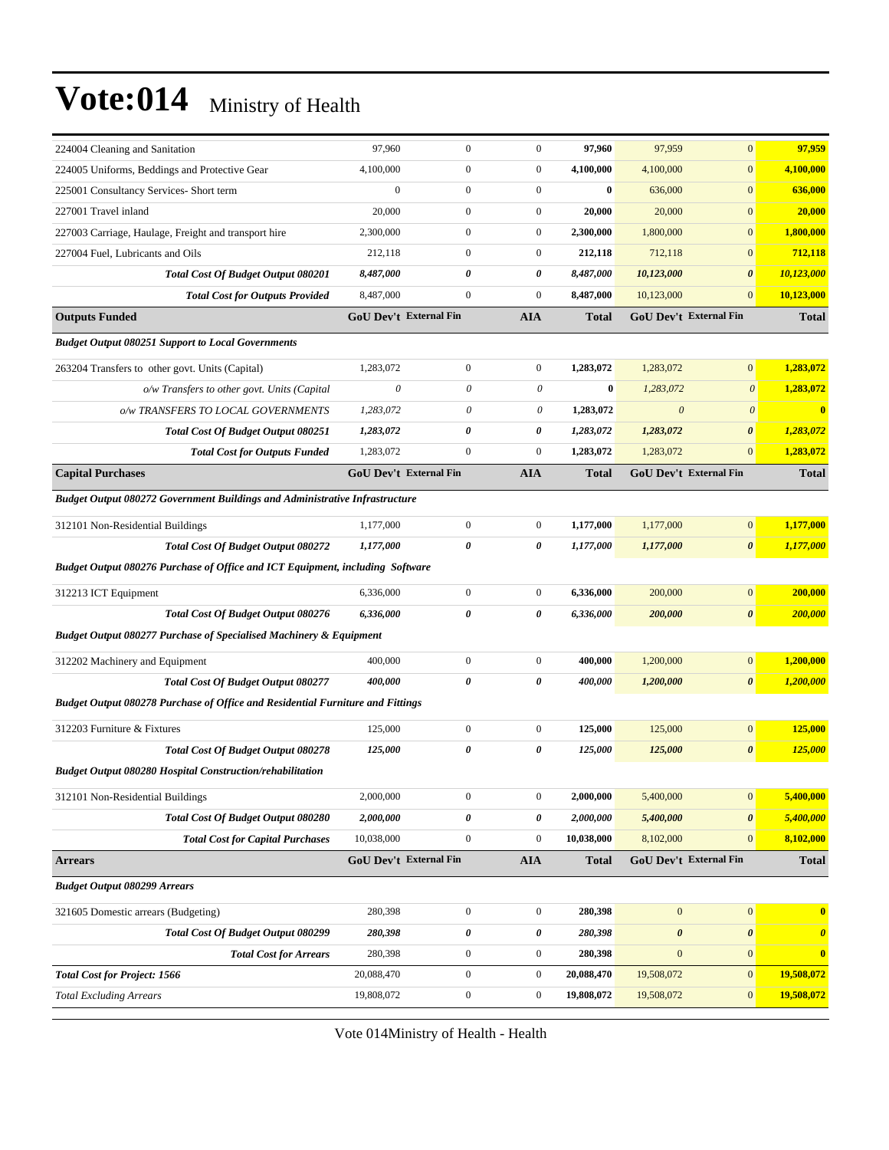| 224004 Cleaning and Sanitation                                                 | 97,960                               | $\boldsymbol{0}$ | $\boldsymbol{0}$               | 97,960       | 97,959                | $\boldsymbol{0}$                       | 97,959                |
|--------------------------------------------------------------------------------|--------------------------------------|------------------|--------------------------------|--------------|-----------------------|----------------------------------------|-----------------------|
| 224005 Uniforms, Beddings and Protective Gear                                  | 4,100,000                            | $\boldsymbol{0}$ | $\boldsymbol{0}$               | 4,100,000    | 4,100,000             | $\mathbf{0}$                           | 4,100,000             |
| 225001 Consultancy Services- Short term                                        | $\boldsymbol{0}$                     | $\boldsymbol{0}$ | $\boldsymbol{0}$               | $\bf{0}$     | 636,000               | $\mathbf{0}$                           | 636,000               |
| 227001 Travel inland                                                           | 20,000                               | $\mathbf{0}$     | $\boldsymbol{0}$               | 20,000       | 20,000                | $\mathbf{0}$                           | 20,000                |
| 227003 Carriage, Haulage, Freight and transport hire                           | 2,300,000                            | $\boldsymbol{0}$ | $\boldsymbol{0}$               | 2,300,000    | 1,800,000             | $\mathbf{0}$                           | 1.800,000             |
| 227004 Fuel, Lubricants and Oils                                               | 212,118                              | $\boldsymbol{0}$ | $\boldsymbol{0}$               | 212,118      | 712,118               | $\mathbf{0}$                           | 712,118               |
| <b>Total Cost Of Budget Output 080201</b>                                      | 8,487,000                            | $\theta$         | 0                              | 8,487,000    | 10,123,000            | $\boldsymbol{\theta}$                  | 10,123,000            |
| <b>Total Cost for Outputs Provided</b>                                         | 8,487,000                            | $\boldsymbol{0}$ | $\boldsymbol{0}$               | 8,487,000    | 10,123,000            | $\mathbf{0}$                           | 10,123,000            |
| <b>Outputs Funded</b>                                                          | <b>GoU Dev't External Fin</b>        |                  | <b>AIA</b>                     | <b>Total</b> |                       | GoU Dev't External Fin                 | <b>Total</b>          |
| <b>Budget Output 080251 Support to Local Governments</b>                       |                                      |                  |                                |              |                       |                                        |                       |
| 263204 Transfers to other govt. Units (Capital)                                | 1,283,072                            | $\overline{0}$   | $\mathbf{0}$                   | 1,283,072    | 1,283,072             | $\mathbf{0}$                           | 1,283,072             |
| o/w Transfers to other govt. Units (Capital                                    | $\boldsymbol{\theta}$                | 0                | 0                              | $\bf{0}$     | 1,283,072             | $\boldsymbol{\theta}$                  | 1,283,072             |
| o/w TRANSFERS TO LOCAL GOVERNMENTS                                             | 1,283,072                            | 0                | 0                              | 1,283,072    | $\boldsymbol{\theta}$ | $\boldsymbol{\theta}$                  | $\bf{0}$              |
| Total Cost Of Budget Output 080251                                             | 1,283,072                            | 0                | 0                              | 1,283,072    | 1,283,072             | $\boldsymbol{\theta}$                  | 1,283,072             |
| <b>Total Cost for Outputs Funded</b>                                           | 1,283,072                            | $\overline{0}$   | $\boldsymbol{0}$               | 1,283,072    | 1,283,072             | $\mathbf{0}$                           | 1,283,072             |
| <b>Capital Purchases</b>                                                       | <b>GoU Dev't External Fin</b>        |                  | <b>AIA</b>                     | <b>Total</b> |                       | GoU Dev't External Fin                 | <b>Total</b>          |
| Budget Output 080272 Government Buildings and Administrative Infrastructure    |                                      |                  |                                |              |                       |                                        |                       |
| 312101 Non-Residential Buildings                                               | 1,177,000                            | $\mathbf{0}$     | $\boldsymbol{0}$               | 1,177,000    | 1,177,000             | $\boldsymbol{0}$                       | 1,177,000             |
| <b>Total Cost Of Budget Output 080272</b>                                      | 1,177,000                            | 0                | 0                              | 1,177,000    | 1,177,000             | $\boldsymbol{\theta}$                  | 1,177,000             |
| Budget Output 080276 Purchase of Office and ICT Equipment, including Software  |                                      |                  |                                |              |                       |                                        |                       |
| 312213 ICT Equipment                                                           | 6,336,000                            | $\boldsymbol{0}$ | $\boldsymbol{0}$               | 6,336,000    | 200,000               | $\boldsymbol{0}$                       | 200,000               |
| Total Cost Of Budget Output 080276                                             | 6,336,000                            | 0                | 0                              | 6,336,000    | 200,000               | $\boldsymbol{\theta}$                  | 200,000               |
| <b>Budget Output 080277 Purchase of Specialised Machinery &amp; Equipment</b>  |                                      |                  |                                |              |                       |                                        |                       |
| 312202 Machinery and Equipment                                                 | 400,000                              | $\boldsymbol{0}$ | $\boldsymbol{0}$               | 400,000      | 1,200,000             | $\boldsymbol{0}$                       | 1,200,000             |
| <b>Total Cost Of Budget Output 080277</b>                                      | 400,000                              | 0                | 0                              | 400,000      | 1,200,000             | $\boldsymbol{\theta}$                  | 1,200,000             |
| Budget Output 080278 Purchase of Office and Residential Furniture and Fittings |                                      |                  |                                |              |                       |                                        |                       |
| 312203 Furniture & Fixtures                                                    | 125,000                              | $\boldsymbol{0}$ | $\boldsymbol{0}$               | 125,000      | 125,000               | $\boldsymbol{0}$                       | 125,000               |
| <b>Total Cost Of Budget Output 080278</b>                                      | 125,000                              | $\theta$         | 0                              | 125,000      | 125,000               | $\boldsymbol{\theta}$                  | 125,000               |
| <b>Budget Output 080280 Hospital Construction/rehabilitation</b>               |                                      |                  |                                |              |                       |                                        |                       |
|                                                                                |                                      |                  |                                |              |                       |                                        |                       |
| 312101 Non-Residential Buildings                                               | 2,000,000                            | $\boldsymbol{0}$ | $\boldsymbol{0}$               | 2,000,000    | 5,400,000             | $\mathbf{0}$                           | 5,400,000             |
| <b>Total Cost Of Budget Output 080280</b>                                      | 2,000,000                            | 0                | $\pmb{\theta}$                 | 2,000,000    | 5,400,000             | $\pmb{\theta}$                         | 5,400,000             |
| <b>Total Cost for Capital Purchases</b>                                        | 10,038,000<br>GoU Dev't External Fin | $\boldsymbol{0}$ | $\boldsymbol{0}$<br><b>AIA</b> | 10,038,000   | 8,102,000             | $\mathbf{0}$<br>GoU Dev't External Fin | 8,102,000             |
| <b>Arrears</b>                                                                 |                                      |                  |                                | <b>Total</b> |                       |                                        | <b>Total</b>          |
| <b>Budget Output 080299 Arrears</b>                                            |                                      |                  |                                |              |                       |                                        |                       |
| 321605 Domestic arrears (Budgeting)                                            | 280,398                              | $\boldsymbol{0}$ | $\mathbf{0}$                   | 280,398      | $\boldsymbol{0}$      | $\boldsymbol{0}$                       | $\mathbf{0}$          |
| Total Cost Of Budget Output 080299                                             | 280,398                              | 0                | 0                              | 280,398      | $\pmb{\theta}$        | $\pmb{\theta}$                         | $\boldsymbol{\theta}$ |
| <b>Total Cost for Arrears</b>                                                  | 280,398                              | $\boldsymbol{0}$ | $\boldsymbol{0}$               | 280,398      | $\mathbf{0}$          | $\mathbf{0}$                           | $\bf{0}$              |
| <b>Total Cost for Project: 1566</b>                                            | 20,088,470                           | $\boldsymbol{0}$ | $\boldsymbol{0}$               | 20,088,470   | 19,508,072            | $\mathbf{0}$                           | 19,508,072            |
| <b>Total Excluding Arrears</b>                                                 | 19,808,072                           | $\boldsymbol{0}$ | $\boldsymbol{0}$               | 19,808,072   | 19,508,072            | $\mathbf{0}$                           | 19,508,072            |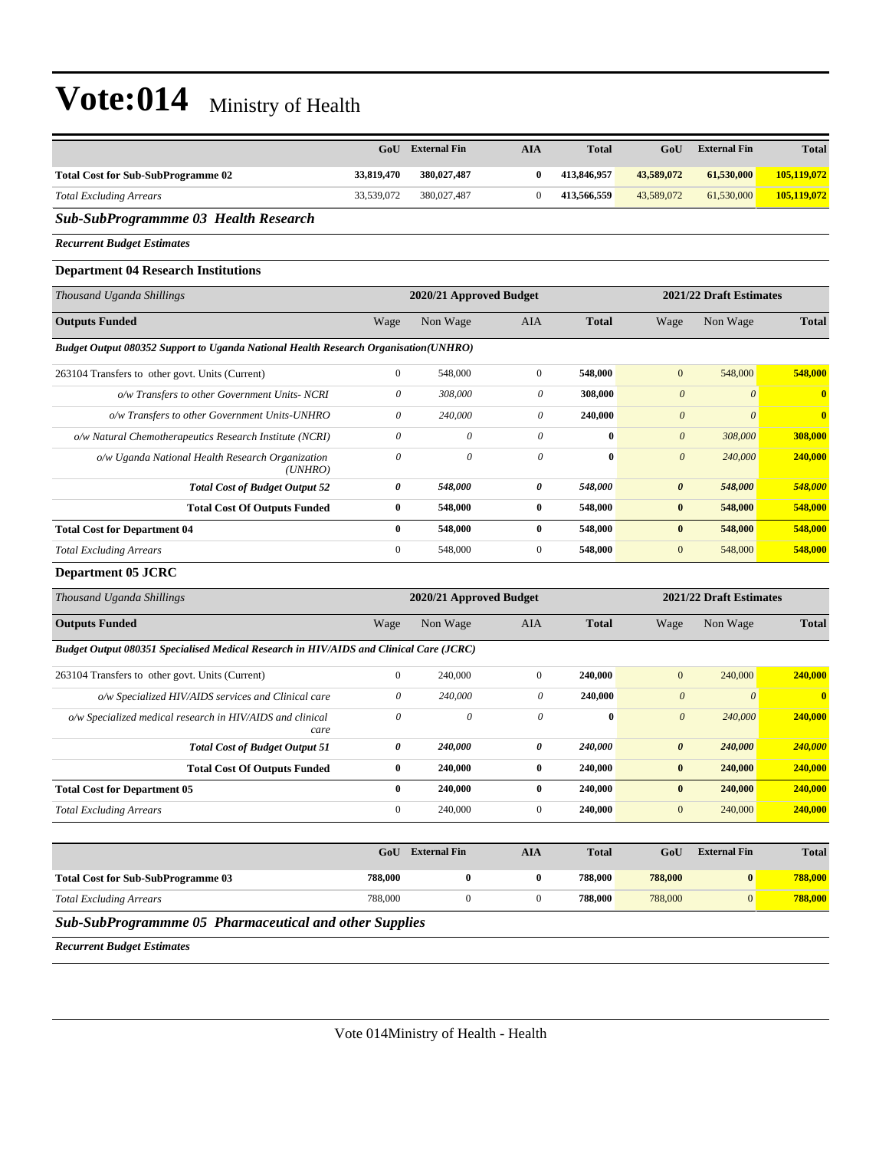|                                                                                           |                       | <b>GoU</b> External Fin   | <b>AIA</b>            | <b>Total</b> | GoU                       | <b>External Fin</b>     | <b>Total</b>            |
|-------------------------------------------------------------------------------------------|-----------------------|---------------------------|-----------------------|--------------|---------------------------|-------------------------|-------------------------|
| <b>Total Cost for Sub-SubProgramme 02</b>                                                 | 33,819,470            | 380,027,487               | $\bf{0}$              | 413,846,957  | 43,589,072                | 61,530,000              | 105,119,072             |
| <b>Total Excluding Arrears</b>                                                            | 33,539,072            | 380,027,487               | $\mathbf{0}$          | 413,566,559  | 43,589,072                | 61,530,000              | 105,119,072             |
| <b>Sub-SubProgrammme 03 Health Research</b>                                               |                       |                           |                       |              |                           |                         |                         |
| <b>Recurrent Budget Estimates</b>                                                         |                       |                           |                       |              |                           |                         |                         |
| <b>Department 04 Research Institutions</b>                                                |                       |                           |                       |              |                           |                         |                         |
| Thousand Uganda Shillings                                                                 |                       | 2020/21 Approved Budget   |                       |              |                           | 2021/22 Draft Estimates |                         |
| <b>Outputs Funded</b>                                                                     | Wage                  | Non Wage                  | AIA                   | <b>Total</b> | Wage                      | Non Wage                | <b>Total</b>            |
| Budget Output 080352 Support to Uganda National Health Research Organisation(UNHRO)       |                       |                           |                       |              |                           |                         |                         |
| 263104 Transfers to other govt. Units (Current)                                           | $\boldsymbol{0}$      | 548,000                   | $\boldsymbol{0}$      | 548,000      | $\mathbf{0}$              | 548,000                 | 548,000                 |
| o/w Transfers to other Government Units- NCRI                                             | $\boldsymbol{\theta}$ | 308,000                   | $\boldsymbol{\theta}$ | 308,000      | $\boldsymbol{\theta}$     | $\boldsymbol{\theta}$   | o                       |
| o/w Transfers to other Government Units-UNHRO                                             | $\theta$              | 240,000                   | 0                     | 240,000      | $\boldsymbol{\theta}$     | $\mathcal{O}$           | $\bf{0}$                |
| o/w Natural Chemotherapeutics Research Institute (NCRI)                                   | $\theta$              | $\boldsymbol{\mathit{0}}$ | 0                     | $\bf{0}$     | $\boldsymbol{\mathit{0}}$ | 308,000                 | 308,000                 |
| o/w Uganda National Health Research Organization<br>(UNHRO)                               | $\mathcal O$          | $\theta$                  | $\theta$              | $\bf{0}$     | $\boldsymbol{\theta}$     | 240,000                 | 240,000                 |
| <b>Total Cost of Budget Output 52</b>                                                     | 0                     | 548,000                   | 0                     | 548,000      | $\boldsymbol{\theta}$     | 548,000                 | 548,000                 |
| <b>Total Cost Of Outputs Funded</b>                                                       | $\bf{0}$              | 548,000                   | $\bf{0}$              | 548,000      | $\bf{0}$                  | 548,000                 | 548,000                 |
| <b>Total Cost for Department 04</b>                                                       | $\bf{0}$              | 548,000                   | $\bf{0}$              | 548,000      | $\bf{0}$                  | 548,000                 | 548,000                 |
| <b>Total Excluding Arrears</b>                                                            | $\boldsymbol{0}$      | 548,000                   | $\mathbf{0}$          | 548,000      | $\mathbf{0}$              | 548,000                 | 548,000                 |
| <b>Department 05 JCRC</b>                                                                 |                       |                           |                       |              |                           |                         |                         |
| Thousand Uganda Shillings                                                                 |                       | 2020/21 Approved Budget   |                       |              |                           | 2021/22 Draft Estimates |                         |
| <b>Outputs Funded</b>                                                                     | Wage                  | Non Wage                  | AIA                   | <b>Total</b> | Wage                      | Non Wage                | <b>Total</b>            |
| Budget Output 080351 Specialised Medical Research in HIV/AIDS and Clinical Care (JCRC)    |                       |                           |                       |              |                           |                         |                         |
| 263104 Transfers to other govt. Units (Current)                                           | $\boldsymbol{0}$      | 240,000                   | $\boldsymbol{0}$      | 240,000      | $\mathbf{0}$              | 240,000                 | 240,000                 |
| o/w Specialized HIV/AIDS services and Clinical care                                       | $\boldsymbol{\theta}$ | 240,000                   | $\theta$              | 240,000      | $\boldsymbol{\theta}$     | $\boldsymbol{\theta}$   | $\overline{\mathbf{0}}$ |
| o/w Specialized medical research in HIV/AIDS and clinical<br>care                         | $\theta$              | 0                         | 0                     | $\bf{0}$     | $\boldsymbol{\theta}$     | 240,000                 | 240,000                 |
| <b>Total Cost of Budget Output 51</b>                                                     | 0                     | 240,000                   | 0                     | 240,000      | $\boldsymbol{\theta}$     | 240,000                 | 240,000                 |
| <b>Total Cost Of Outputs Funded</b>                                                       | $\bf{0}$              | 240,000                   | $\bf{0}$              | 240,000      | $\bf{0}$                  | 240,000                 | 240,000                 |
| <b>Total Cost for Department 05</b>                                                       | $\bf{0}$              | 240,000                   | $\bf{0}$              | 240,000      | $\pmb{0}$                 | 240,000                 | 240,000                 |
| <b>Total Excluding Arrears</b>                                                            | $\boldsymbol{0}$      | 240,000                   | $\boldsymbol{0}$      | 240,000      | $\mathbf{0}$              | 240,000                 | 240,000                 |
|                                                                                           |                       | GoU External Fin          | <b>AIA</b>            | <b>Total</b> | GoU                       | <b>External Fin</b>     | <b>Total</b>            |
|                                                                                           |                       |                           |                       |              |                           |                         |                         |
| <b>Total Cost for Sub-SubProgramme 03</b>                                                 | 788,000               | $\bf{0}$                  | $\bf{0}$              | 788,000      | 788,000                   | $\bf{0}$                | 788,000                 |
| <b>Total Excluding Arrears</b><br>Sub SubProgramming 05 Pharmaceutical and other Supplies | 788,000               | $\boldsymbol{0}$          | $\boldsymbol{0}$      | 788,000      | 788,000                   | $\mathbf{0}$            | 788,000                 |

*Sub-SubProgrammme 05 Pharmaceutical and other Supplies*

*Recurrent Budget Estimates*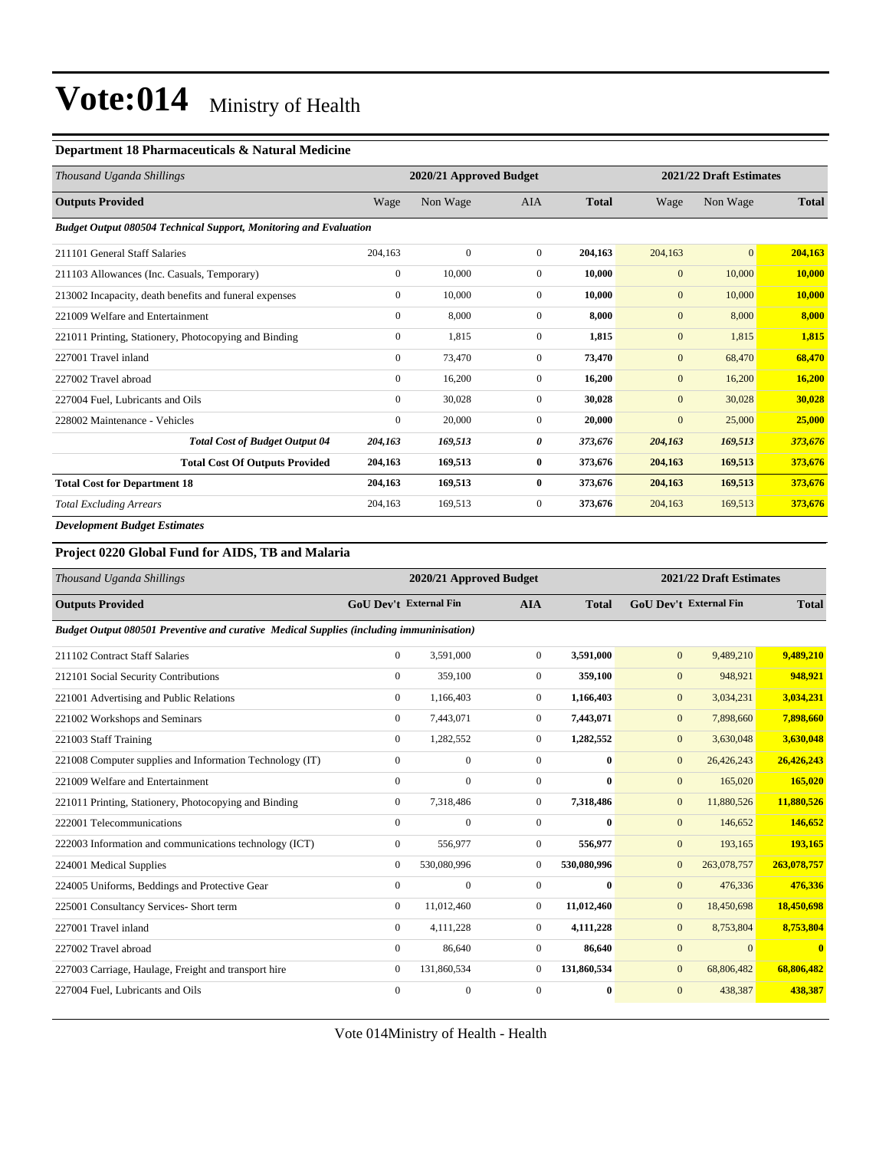#### **Department 18 Pharmaceuticals & Natural Medicine**

| Thousand Uganda Shillings                                                | 2020/21 Approved Budget |              |                |              |                  | 2021/22 Draft Estimates |              |  |
|--------------------------------------------------------------------------|-------------------------|--------------|----------------|--------------|------------------|-------------------------|--------------|--|
| <b>Outputs Provided</b>                                                  | Wage                    | Non Wage     | <b>AIA</b>     | <b>Total</b> | Wage             | Non Wage                | <b>Total</b> |  |
| <b>Budget Output 080504 Technical Support, Monitoring and Evaluation</b> |                         |              |                |              |                  |                         |              |  |
| 211101 General Staff Salaries                                            | 204.163                 | $\mathbf{0}$ | $\overline{0}$ | 204.163      | 204,163          | $\overline{0}$          | 204,163      |  |
| 211103 Allowances (Inc. Casuals, Temporary)                              | $\mathbf{0}$            | 10,000       | $\mathbf{0}$   | 10,000       | $\mathbf{0}$     | 10,000                  | 10,000       |  |
| 213002 Incapacity, death benefits and funeral expenses                   | $\overline{0}$          | 10,000       | $\Omega$       | 10,000       | $\overline{0}$   | 10,000                  | 10,000       |  |
| 221009 Welfare and Entertainment                                         | $\overline{0}$          | 8,000        | $\mathbf{0}$   | 8,000        | $\mathbf{0}$     | 8,000                   | 8,000        |  |
| 221011 Printing, Stationery, Photocopying and Binding                    | $\overline{0}$          | 1,815        | $\mathbf{0}$   | 1,815        | $\boldsymbol{0}$ | 1,815                   | 1,815        |  |
| 227001 Travel inland                                                     | $\overline{0}$          | 73,470       | $\mathbf{0}$   | 73,470       | $\mathbf{0}$     | 68,470                  | 68,470       |  |
| 227002 Travel abroad                                                     | $\overline{0}$          | 16,200       | $\mathbf{0}$   | 16,200       | $\mathbf{0}$     | 16,200                  | 16,200       |  |
| 227004 Fuel, Lubricants and Oils                                         | $\mathbf{0}$            | 30,028       | $\mathbf{0}$   | 30,028       | $\mathbf{0}$     | 30,028                  | 30,028       |  |
| 228002 Maintenance - Vehicles                                            | $\mathbf{0}$            | 20,000       | $\mathbf{0}$   | 20,000       | $\overline{0}$   | 25,000                  | 25,000       |  |
| <b>Total Cost of Budget Output 04</b>                                    | 204,163                 | 169,513      | 0              | 373,676      | 204,163          | 169,513                 | 373,676      |  |
| <b>Total Cost Of Outputs Provided</b>                                    | 204,163                 | 169,513      | $\bf{0}$       | 373,676      | 204,163          | 169,513                 | 373,676      |  |
| <b>Total Cost for Department 18</b>                                      | 204,163                 | 169,513      | $\bf{0}$       | 373,676      | 204,163          | 169,513                 | 373,676      |  |
| <b>Total Excluding Arrears</b>                                           | 204,163                 | 169,513      | $\mathbf{0}$   | 373,676      | 204,163          | 169,513                 | 373,676      |  |
| <b>Development Budget Estimates</b>                                      |                         |              |                |              |                  |                         |              |  |

#### **Project 0220 Global Fund for AIDS, TB and Malaria**

| Thousand Uganda Shillings                                                                |                               | 2020/21 Approved Budget |                |              |                | 2021/22 Draft Estimates       |              |
|------------------------------------------------------------------------------------------|-------------------------------|-------------------------|----------------|--------------|----------------|-------------------------------|--------------|
| <b>Outputs Provided</b>                                                                  | <b>GoU Dev't External Fin</b> |                         | <b>AIA</b>     | <b>Total</b> |                | <b>GoU Dev't External Fin</b> | <b>Total</b> |
| Budget Output 080501 Preventive and curative Medical Supplies (including immuninisation) |                               |                         |                |              |                |                               |              |
| 211102 Contract Staff Salaries                                                           | $\Omega$                      | 3,591,000               | $\Omega$       | 3,591,000    | $\overline{0}$ | 9,489,210                     | 9,489,210    |
| 212101 Social Security Contributions                                                     | $\Omega$                      | 359,100                 | $\Omega$       | 359,100      | $\overline{0}$ | 948,921                       | 948,921      |
| 221001 Advertising and Public Relations                                                  | $\Omega$                      | 1,166,403               | $\Omega$       | 1,166,403    | $\mathbf{0}$   | 3,034,231                     | 3,034,231    |
| 221002 Workshops and Seminars                                                            | $\overline{0}$                | 7,443,071               | $\mathbf{0}$   | 7,443,071    | $\mathbf{0}$   | 7,898,660                     | 7,898,660    |
| 221003 Staff Training                                                                    | $\mathbf{0}$                  | 1,282,552               | $\mathbf{0}$   | 1,282,552    | $\mathbf{0}$   | 3,630,048                     | 3,630,048    |
| 221008 Computer supplies and Information Technology (IT)                                 | $\mathbf{0}$                  | $\mathbf{0}$            | $\mathbf{0}$   | $\mathbf{0}$ | $\overline{0}$ | 26,426,243                    | 26,426,243   |
| 221009 Welfare and Entertainment                                                         | $\Omega$                      | $\Omega$                | $\Omega$       | 0            | $\overline{0}$ | 165,020                       | 165,020      |
| 221011 Printing, Stationery, Photocopying and Binding                                    | $\overline{0}$                | 7,318,486               | $\mathbf{0}$   | 7,318,486    | $\mathbf{0}$   | 11,880,526                    | 11,880,526   |
| 222001 Telecommunications                                                                | $\mathbf{0}$                  | $\mathbf{0}$            | $\mathbf{0}$   | $\mathbf{0}$ | $\overline{0}$ | 146,652                       | 146,652      |
| 222003 Information and communications technology (ICT)                                   | $\mathbf{0}$                  | 556,977                 | $\overline{0}$ | 556,977      | $\overline{0}$ | 193,165                       | 193,165      |
| 224001 Medical Supplies                                                                  | $\Omega$                      | 530,080,996             | $\mathbf{0}$   | 530,080,996  | $\overline{0}$ | 263,078,757                   | 263,078,757  |
| 224005 Uniforms, Beddings and Protective Gear                                            | $\mathbf{0}$                  | $\mathbf{0}$            | $\overline{0}$ | $\mathbf{0}$ | $\mathbf{0}$   | 476,336                       | 476,336      |
| 225001 Consultancy Services- Short term                                                  | $\mathbf{0}$                  | 11,012,460              | $\mathbf{0}$   | 11,012,460   | $\mathbf{0}$   | 18,450,698                    | 18,450,698   |
| 227001 Travel inland                                                                     | $\Omega$                      | 4,111,228               | $\Omega$       | 4,111,228    | $\overline{0}$ | 8,753,804                     | 8,753,804    |
| 227002 Travel abroad                                                                     | $\Omega$                      | 86,640                  | $\Omega$       | 86,640       | $\overline{0}$ | $\Omega$                      | $\mathbf{0}$ |
| 227003 Carriage, Haulage, Freight and transport hire                                     | $\Omega$                      | 131,860,534             | $\Omega$       | 131,860,534  | $\overline{0}$ | 68,806,482                    | 68,806,482   |
| 227004 Fuel. Lubricants and Oils                                                         | $\Omega$                      | $\mathbf{0}$            | $\Omega$       | $\mathbf{0}$ | $\mathbf{0}$   | 438,387                       | 438,387      |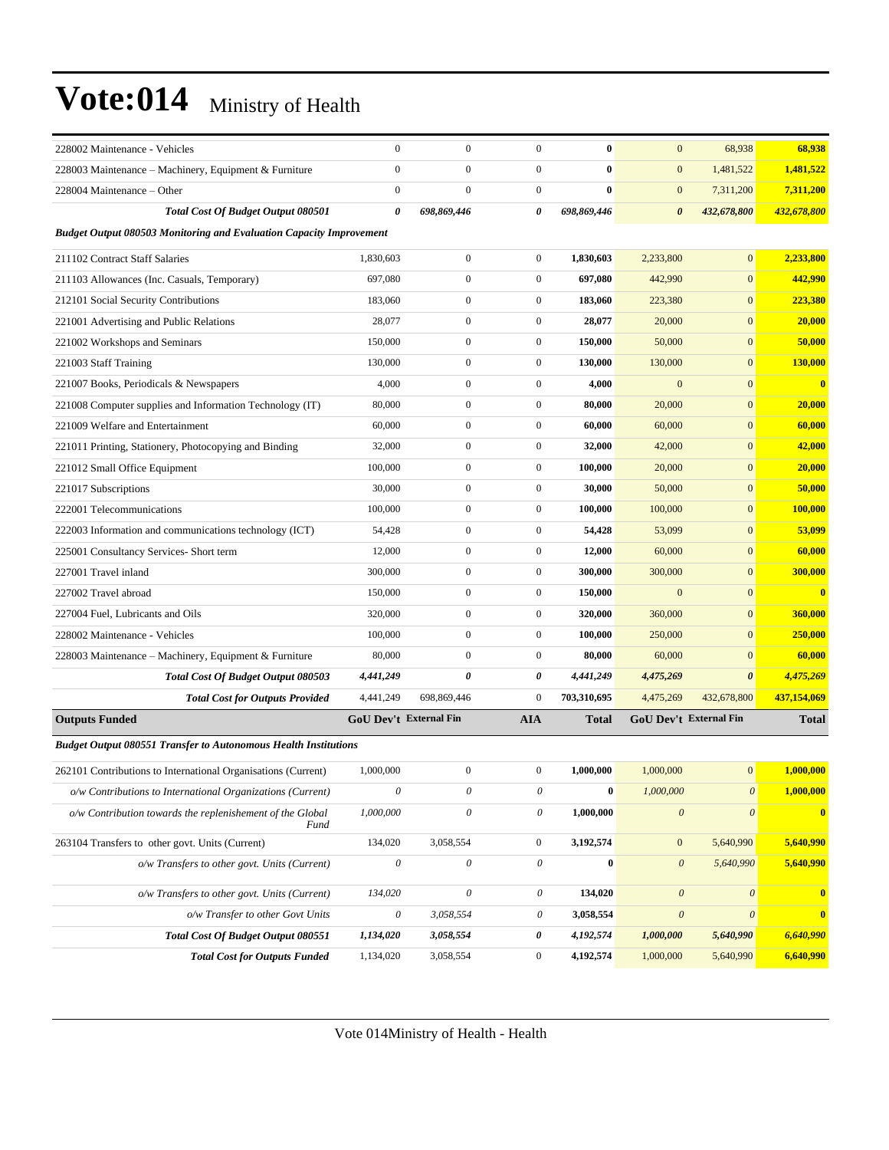| 228002 Maintenance - Vehicles                                              | $\mathbf{0}$              | $\boldsymbol{0}$          | $\mathbf{0}$              | $\bf{0}$     | $\mathbf{0}$          | 68,938                 | 68,938       |
|----------------------------------------------------------------------------|---------------------------|---------------------------|---------------------------|--------------|-----------------------|------------------------|--------------|
| 228003 Maintenance – Machinery, Equipment & Furniture                      | $\mathbf{0}$              | $\boldsymbol{0}$          | $\boldsymbol{0}$          | $\bf{0}$     | $\mathbf{0}$          | 1,481,522              | 1,481,522    |
| 228004 Maintenance - Other                                                 | $\mathbf{0}$              | $\boldsymbol{0}$          | $\boldsymbol{0}$          | $\bf{0}$     | $\mathbf{0}$          | 7,311,200              | 7,311,200    |
| <b>Total Cost Of Budget Output 080501</b>                                  | 0                         | 698,869,446               | 0                         | 698,869,446  | $\boldsymbol{\theta}$ | 432,678,800            | 432,678,800  |
| <b>Budget Output 080503 Monitoring and Evaluation Capacity Improvement</b> |                           |                           |                           |              |                       |                        |              |
| 211102 Contract Staff Salaries                                             | 1,830,603                 | $\boldsymbol{0}$          | $\boldsymbol{0}$          | 1,830,603    | 2,233,800             | $\boldsymbol{0}$       | 2,233,800    |
| 211103 Allowances (Inc. Casuals, Temporary)                                | 697,080                   | $\boldsymbol{0}$          | $\boldsymbol{0}$          | 697,080      | 442,990               | $\mathbf{0}$           | 442,990      |
| 212101 Social Security Contributions                                       | 183,060                   | $\boldsymbol{0}$          | $\boldsymbol{0}$          | 183,060      | 223,380               | $\mathbf{0}$           | 223,380      |
| 221001 Advertising and Public Relations                                    | 28,077                    | $\boldsymbol{0}$          | $\boldsymbol{0}$          | 28,077       | 20,000                | $\mathbf{0}$           | 20,000       |
| 221002 Workshops and Seminars                                              | 150,000                   | $\boldsymbol{0}$          | $\boldsymbol{0}$          | 150,000      | 50,000                | $\mathbf{0}$           | 50,000       |
| 221003 Staff Training                                                      | 130,000                   | $\boldsymbol{0}$          | $\boldsymbol{0}$          | 130,000      | 130,000               | $\mathbf{0}$           | 130,000      |
| 221007 Books, Periodicals & Newspapers                                     | 4,000                     | $\boldsymbol{0}$          | $\boldsymbol{0}$          | 4,000        | $\mathbf{0}$          | $\mathbf{0}$           | $\bf{0}$     |
| 221008 Computer supplies and Information Technology (IT)                   | 80,000                    | $\boldsymbol{0}$          | $\boldsymbol{0}$          | 80,000       | 20,000                | $\mathbf{0}$           | 20,000       |
| 221009 Welfare and Entertainment                                           | 60,000                    | $\boldsymbol{0}$          | $\boldsymbol{0}$          | 60,000       | 60,000                | $\mathbf{0}$           | 60,000       |
| 221011 Printing, Stationery, Photocopying and Binding                      | 32,000                    | $\boldsymbol{0}$          | $\boldsymbol{0}$          | 32,000       | 42,000                | $\mathbf{0}$           | 42,000       |
| 221012 Small Office Equipment                                              | 100,000                   | $\boldsymbol{0}$          | $\boldsymbol{0}$          | 100,000      | 20,000                | $\mathbf{0}$           | 20,000       |
| 221017 Subscriptions                                                       | 30,000                    | $\boldsymbol{0}$          | $\boldsymbol{0}$          | 30,000       | 50,000                | $\mathbf{0}$           | 50,000       |
| 222001 Telecommunications                                                  | 100,000                   | $\boldsymbol{0}$          | $\boldsymbol{0}$          | 100,000      | 100,000               | $\mathbf{0}$           | 100,000      |
| 222003 Information and communications technology (ICT)                     | 54,428                    | $\boldsymbol{0}$          | $\boldsymbol{0}$          | 54,428       | 53,099                | $\mathbf{0}$           | 53,099       |
| 225001 Consultancy Services- Short term                                    | 12,000                    | $\boldsymbol{0}$          | $\boldsymbol{0}$          | 12,000       | 60,000                | $\mathbf{0}$           | 60,000       |
| 227001 Travel inland                                                       | 300,000                   | $\boldsymbol{0}$          | $\boldsymbol{0}$          | 300,000      | 300,000               | $\mathbf{0}$           | 300,000      |
| 227002 Travel abroad                                                       | 150,000                   | $\boldsymbol{0}$          | $\boldsymbol{0}$          | 150,000      | $\mathbf{0}$          | $\mathbf{0}$           | $\bf{0}$     |
| 227004 Fuel, Lubricants and Oils                                           | 320,000                   | $\boldsymbol{0}$          | $\boldsymbol{0}$          | 320,000      | 360,000               | $\mathbf{0}$           | 360,000      |
| 228002 Maintenance - Vehicles                                              | 100,000                   | $\boldsymbol{0}$          | $\boldsymbol{0}$          | 100,000      | 250,000               | $\mathbf{0}$           | 250,000      |
| 228003 Maintenance – Machinery, Equipment & Furniture                      | 80,000                    | $\boldsymbol{0}$          | $\boldsymbol{0}$          | 80,000       | 60,000                | $\mathbf{0}$           | 60,000       |
| Total Cost Of Budget Output 080503                                         | 4,441,249                 | 0                         | 0                         | 4,441,249    | 4,475,269             | $\boldsymbol{\theta}$  | 4,475,269    |
| <b>Total Cost for Outputs Provided</b>                                     | 4,441,249                 | 698,869,446               | $\boldsymbol{0}$          | 703,310,695  | 4,475,269             | 432,678,800            | 437,154,069  |
| <b>Outputs Funded</b>                                                      | GoU Dev't External Fin    |                           | <b>AIA</b>                | <b>Total</b> |                       | GoU Dev't External Fin | <b>Total</b> |
| <b>Budget Output 080551 Transfer to Autonomous Health Institutions</b>     |                           |                           |                           |              |                       |                        |              |
| 262101 Contributions to International Organisations (Current)              | 1,000,000                 | $\boldsymbol{0}$          | $\boldsymbol{0}$          | 1,000,000    | 1,000,000             | $\boldsymbol{0}$       | 1,000,000    |
| o/w Contributions to International Organizations (Current)                 | $\boldsymbol{\mathit{0}}$ | $\theta$                  | $\boldsymbol{\mathit{0}}$ | $\bf{0}$     | 1,000,000             | $\boldsymbol{\theta}$  | 1,000,000    |
| o/w Contribution towards the replenishement of the Global<br>Fund          | 1,000,000                 | $\theta$                  | $\theta$                  | 1,000,000    | $\boldsymbol{\theta}$ | $\theta$               | $\mathbf{0}$ |
| 263104 Transfers to other govt. Units (Current)                            | 134,020                   | 3,058,554                 | $\boldsymbol{0}$          | 3,192,574    | $\boldsymbol{0}$      | 5,640,990              | 5,640,990    |
| o/w Transfers to other govt. Units (Current)                               | $\boldsymbol{\mathit{0}}$ | $\boldsymbol{\mathit{0}}$ | $\boldsymbol{\mathit{0}}$ | $\bf{0}$     | $\boldsymbol{\theta}$ | 5,640,990              | 5,640,990    |
| o/w Transfers to other govt. Units (Current)                               | 134,020                   | 0                         | 0                         | 134,020      | $\boldsymbol{\theta}$ | $\boldsymbol{\theta}$  | $\mathbf{0}$ |
| o/w Transfer to other Govt Units                                           | $\boldsymbol{\mathit{0}}$ | 3,058,554                 | 0                         | 3,058,554    | $\boldsymbol{\theta}$ | $\boldsymbol{\theta}$  | $\mathbf{0}$ |
| Total Cost Of Budget Output 080551                                         | 1,134,020                 | 3,058,554                 | 0                         | 4,192,574    | 1,000,000             | 5,640,990              | 6,640,990    |
| <b>Total Cost for Outputs Funded</b>                                       | 1,134,020                 | 3,058,554                 | $\boldsymbol{0}$          | 4,192,574    | 1,000,000             | 5,640,990              | 6,640,990    |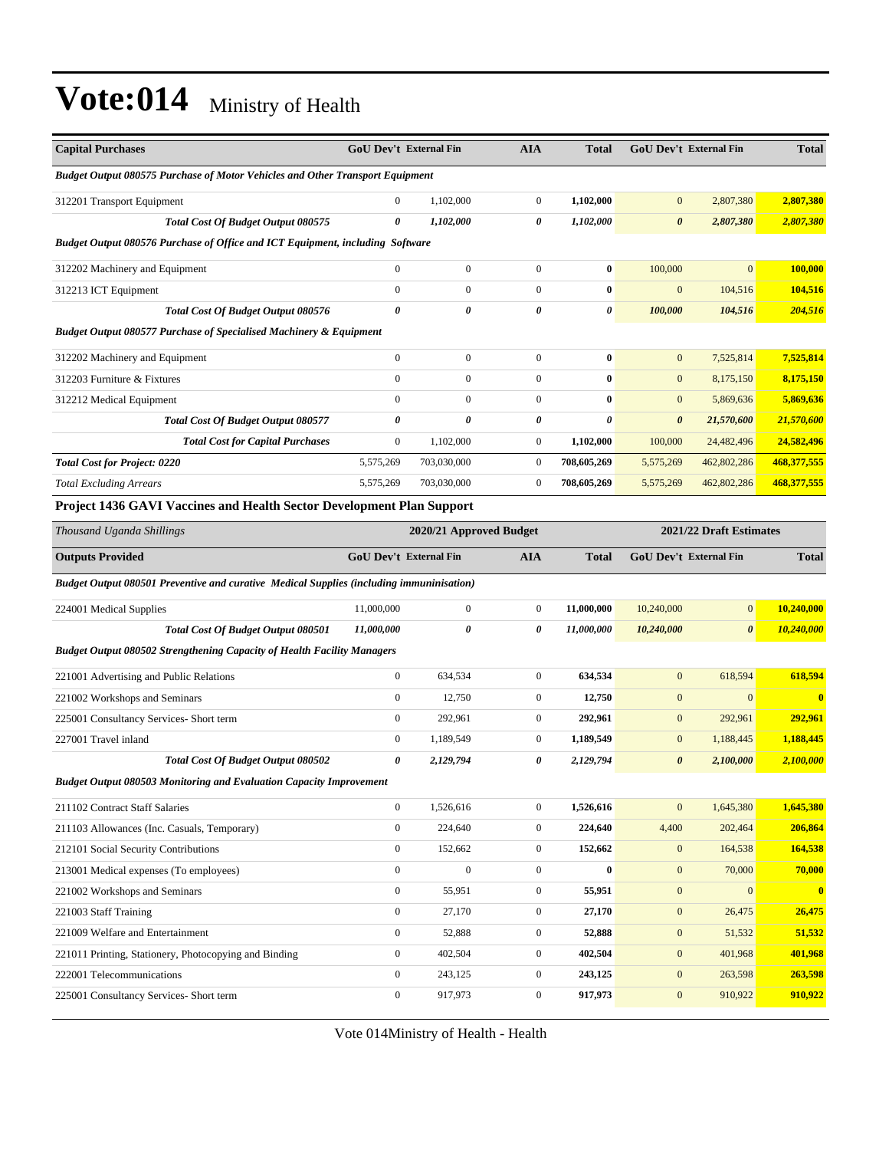| <b>Capital Purchases</b>                                                                 | GoU Dev't External Fin |                  | <b>AIA</b>       | <b>Total</b>          |                       | GoU Dev't External Fin | <b>Total</b> |
|------------------------------------------------------------------------------------------|------------------------|------------------|------------------|-----------------------|-----------------------|------------------------|--------------|
| <b>Budget Output 080575 Purchase of Motor Vehicles and Other Transport Equipment</b>     |                        |                  |                  |                       |                       |                        |              |
| 312201 Transport Equipment                                                               | $\mathbf{0}$           | 1,102,000        | $\boldsymbol{0}$ | 1,102,000             | $\mathbf{0}$          | 2,807,380              | 2,807,380    |
| Total Cost Of Budget Output 080575                                                       | 0                      | 1,102,000        | 0                | 1,102,000             | $\boldsymbol{\theta}$ | 2,807,380              | 2,807,380    |
| Budget Output 080576 Purchase of Office and ICT Equipment, including Software            |                        |                  |                  |                       |                       |                        |              |
| 312202 Machinery and Equipment                                                           | $\mathbf{0}$           | $\overline{0}$   | $\boldsymbol{0}$ | $\bf{0}$              | 100,000               | $\overline{0}$         | 100,000      |
| 312213 ICT Equipment                                                                     | $\mathbf{0}$           | $\boldsymbol{0}$ | $\boldsymbol{0}$ | $\bf{0}$              | $\boldsymbol{0}$      | 104,516                | 104,516      |
| Total Cost Of Budget Output 080576                                                       | $\boldsymbol{\theta}$  | 0                | 0                | $\pmb{\theta}$        | 100,000               | 104,516                | 204,516      |
| <b>Budget Output 080577 Purchase of Specialised Machinery &amp; Equipment</b>            |                        |                  |                  |                       |                       |                        |              |
| 312202 Machinery and Equipment                                                           | $\mathbf{0}$           | $\mathbf{0}$     | $\boldsymbol{0}$ | $\bf{0}$              | $\mathbf{0}$          | 7,525,814              | 7,525,814    |
| 312203 Furniture & Fixtures                                                              | $\boldsymbol{0}$       | $\boldsymbol{0}$ | $\overline{0}$   | $\bf{0}$              | $\mathbf{0}$          | 8,175,150              | 8,175,150    |
| 312212 Medical Equipment                                                                 | $\mathbf{0}$           | $\overline{0}$   | $\overline{0}$   | $\bf{0}$              | $\mathbf{0}$          | 5,869,636              | 5,869,636    |
| Total Cost Of Budget Output 080577                                                       | 0                      | 0                | 0                | $\boldsymbol{\theta}$ | $\boldsymbol{\theta}$ | 21,570,600             | 21,570,600   |
| <b>Total Cost for Capital Purchases</b>                                                  | $\mathbf{0}$           | 1,102,000        | $\boldsymbol{0}$ | 1,102,000             | 100,000               | 24,482,496             | 24,582,496   |
| <b>Total Cost for Project: 0220</b>                                                      | 5,575,269              | 703,030,000      | $\boldsymbol{0}$ | 708,605,269           | 5,575,269             | 462,802,286            | 468,377,555  |
| <b>Total Excluding Arrears</b>                                                           | 5,575,269              | 703,030,000      | $\boldsymbol{0}$ | 708,605,269           | 5,575,269             | 462,802,286            | 468,377,555  |
| <b>Project 1436 GAVI Vaccines and Health Sector Development Plan Support</b>             |                        |                  |                  |                       |                       |                        |              |
| 2020/21 Approved Budget<br>2021/22 Draft Estimates<br>Thousand Uganda Shillings          |                        |                  |                  |                       |                       |                        |              |
| <b>Outputs Provided</b>                                                                  | GoU Dev't External Fin |                  | AIA              | <b>Total</b>          |                       | GoU Dev't External Fin | <b>Total</b> |
| Budget Output 080501 Preventive and curative Medical Supplies (including immuninisation) |                        |                  |                  |                       |                       |                        |              |
| 224001 Medical Supplies                                                                  | 11,000,000             | $\boldsymbol{0}$ | $\boldsymbol{0}$ | 11,000,000            | 10,240,000            | $\overline{0}$         | 10,240,000   |
| Total Cost Of Budget Output 080501                                                       | 11,000,000             | 0                | 0                | 11,000,000            | 10,240,000            | $\boldsymbol{\theta}$  | 10,240,000   |
| <b>Budget Output 080502 Strengthening Capacity of Health Facility Managers</b>           |                        |                  |                  |                       |                       |                        |              |
| 221001 Advertising and Public Relations                                                  | $\mathbf{0}$           | 634,534          | $\boldsymbol{0}$ | 634,534               | $\mathbf{0}$          | 618,594                | 618,594      |
| 221002 Workshops and Seminars                                                            | $\mathbf{0}$           | 12,750           | $\boldsymbol{0}$ | 12,750                | $\mathbf{0}$          | $\mathbf{0}$           | $\bf{0}$     |
| 225001 Consultancy Services- Short term                                                  | $\boldsymbol{0}$       | 292,961          | $\boldsymbol{0}$ | 292,961               | $\mathbf{0}$          | 292,961                | 292,961      |
| 227001 Travel inland                                                                     | $\mathbf{0}$           | 1,189,549        | $\boldsymbol{0}$ | 1,189,549             | $\bf{0}$              | 1,188,445              | 1,188,445    |
| Total Cost Of Budget Output 080502                                                       | 0                      | 2,129,794        | 0                | 2,129,794             | $\boldsymbol{\theta}$ | 2,100,000              | 2,100,000    |
| Budget Output 080503 Monitoring and Evaluation Capacity Improvement                      |                        |                  |                  |                       |                       |                        |              |
| 211102 Contract Staff Salaries                                                           | $\mathbf{0}$           | 1,526,616        | $\boldsymbol{0}$ | 1,526,616             | $\boldsymbol{0}$      | 1,645,380              | 1,645,380    |
| 211103 Allowances (Inc. Casuals, Temporary)                                              | $\mathbf{0}$           | 224,640          | $\boldsymbol{0}$ | 224,640               | 4,400                 | 202,464                | 206,864      |
| 212101 Social Security Contributions                                                     | $\mathbf{0}$           | 152,662          | $\boldsymbol{0}$ | 152,662               | $\boldsymbol{0}$      | 164,538                | 164,538      |
| 213001 Medical expenses (To employees)                                                   | $\mathbf{0}$           | $\boldsymbol{0}$ | $\boldsymbol{0}$ | $\bf{0}$              | $\bf{0}$              | 70,000                 | 70,000       |
| 221002 Workshops and Seminars                                                            | $\mathbf{0}$           | 55,951           | $\boldsymbol{0}$ | 55,951                | $\bf{0}$              | $\overline{0}$         | $\mathbf{0}$ |
| 221003 Staff Training                                                                    | $\boldsymbol{0}$       | 27,170           | $\boldsymbol{0}$ | 27,170                | $\bf{0}$              | 26,475                 | 26,475       |
| 221009 Welfare and Entertainment                                                         | $\mathbf{0}$           | 52,888           | $\boldsymbol{0}$ | 52,888                | $\bf{0}$              | 51,532                 | 51,532       |
| 221011 Printing, Stationery, Photocopying and Binding                                    | $\mathbf{0}$           | 402,504          | $\boldsymbol{0}$ | 402,504               | $\bf{0}$              | 401,968                | 401,968      |
| 222001 Telecommunications                                                                | $\boldsymbol{0}$       | 243,125          | $\boldsymbol{0}$ | 243,125               | $\bf{0}$              | 263,598                | 263,598      |
| 225001 Consultancy Services- Short term                                                  | $\boldsymbol{0}$       | 917,973          | $\boldsymbol{0}$ | 917,973               | $\bf{0}$              | 910,922                | 910,922      |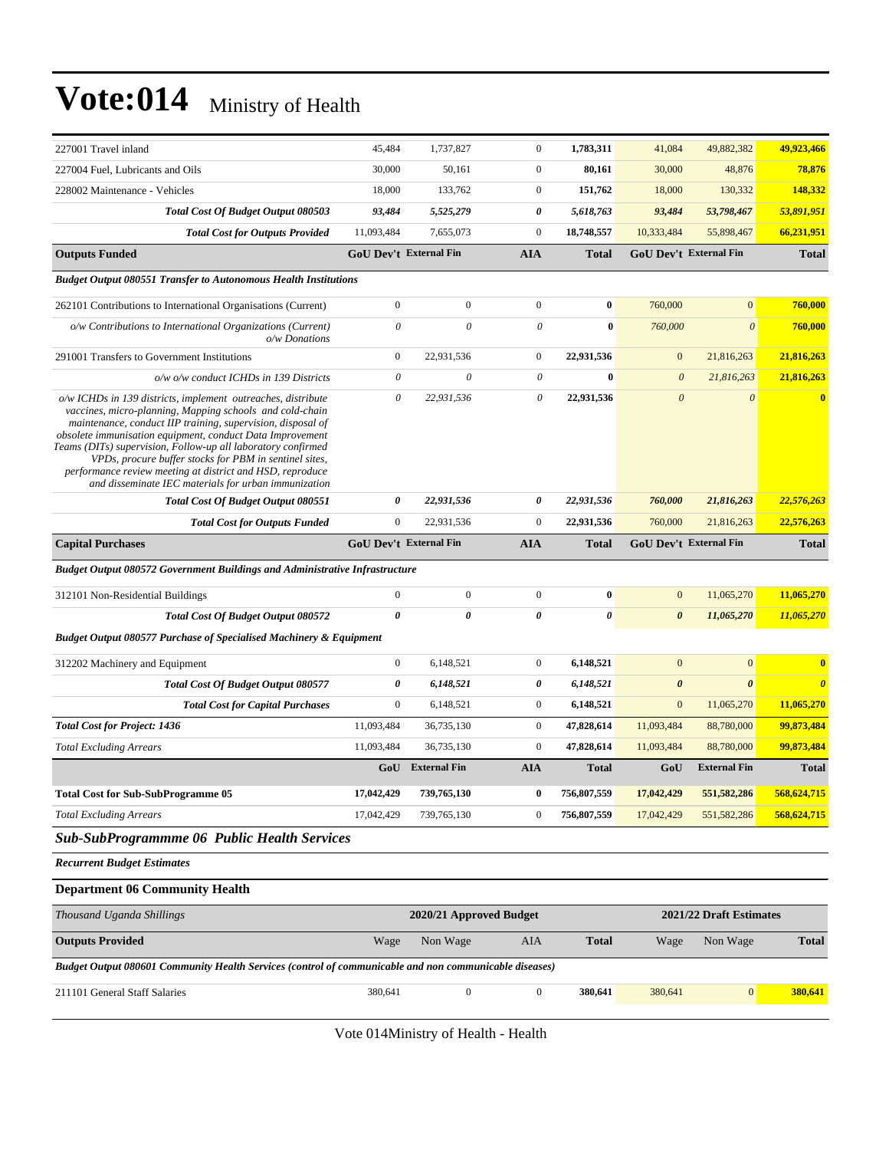| 227001 Travel inland                                                                                                                                                                                                                                                                                                                                                                                                                                                                                | 45,484                                             | 1,737,827               | $\mathbf{0}$              | 1,783,311             | 41,084                        | 49,882,382            | 49,923,466              |
|-----------------------------------------------------------------------------------------------------------------------------------------------------------------------------------------------------------------------------------------------------------------------------------------------------------------------------------------------------------------------------------------------------------------------------------------------------------------------------------------------------|----------------------------------------------------|-------------------------|---------------------------|-----------------------|-------------------------------|-----------------------|-------------------------|
| 227004 Fuel, Lubricants and Oils                                                                                                                                                                                                                                                                                                                                                                                                                                                                    | 30,000                                             | 50,161                  | $\mathbf{0}$              | 80,161                | 30,000                        | 48,876                | 78,876                  |
| 228002 Maintenance - Vehicles                                                                                                                                                                                                                                                                                                                                                                                                                                                                       | 18,000                                             | 133,762                 | $\mathbf{0}$              | 151,762               | 18,000                        | 130,332               | 148,332                 |
| Total Cost Of Budget Output 080503                                                                                                                                                                                                                                                                                                                                                                                                                                                                  | 93,484                                             | 5,525,279               | 0                         | 5,618,763             | 93,484                        | 53,798,467            | 53,891,951              |
| <b>Total Cost for Outputs Provided</b>                                                                                                                                                                                                                                                                                                                                                                                                                                                              | 11,093,484                                         | 7.655.073               | $\mathbf{0}$              | 18,748,557            | 10,333,484                    | 55,898,467            | 66,231,951              |
| <b>Outputs Funded</b>                                                                                                                                                                                                                                                                                                                                                                                                                                                                               | <b>GoU Dev't External Fin</b>                      |                         | <b>AIA</b>                | <b>Total</b>          | GoU Dev't External Fin        |                       | <b>Total</b>            |
| <b>Budget Output 080551 Transfer to Autonomous Health Institutions</b>                                                                                                                                                                                                                                                                                                                                                                                                                              |                                                    |                         |                           |                       |                               |                       |                         |
| 262101 Contributions to International Organisations (Current)                                                                                                                                                                                                                                                                                                                                                                                                                                       | $\boldsymbol{0}$                                   | $\boldsymbol{0}$        | $\mathbf{0}$              | $\bf{0}$              | 760,000                       | $\overline{0}$        | 760,000                 |
| o/w Contributions to International Organizations (Current)<br>$o/w$ Donations                                                                                                                                                                                                                                                                                                                                                                                                                       | $\boldsymbol{\theta}$                              | $\theta$                | $\theta$                  | $\bf{0}$              | 760,000                       | $\theta$              | 760,000                 |
| 291001 Transfers to Government Institutions                                                                                                                                                                                                                                                                                                                                                                                                                                                         | $\boldsymbol{0}$                                   | 22,931,536              | $\boldsymbol{0}$          | 22,931,536            | $\mathbf{0}$                  | 21,816,263            | 21,816,263              |
| o/w o/w conduct ICHDs in 139 Districts                                                                                                                                                                                                                                                                                                                                                                                                                                                              | $\theta$                                           | $\boldsymbol{\theta}$   | $\boldsymbol{\mathit{0}}$ | $\bf{0}$              | $\boldsymbol{\theta}$         | 21,816,263            | 21,816,263              |
| o/w ICHDs in 139 districts, implement outreaches, distribute<br>vaccines, micro-planning, Mapping schools and cold-chain<br>maintenance, conduct IIP training, supervision, disposal of<br>obsolete immunisation equipment, conduct Data Improvement<br>Teams (DITs) supervision, Follow-up all laboratory confirmed<br>VPDs, procure buffer stocks for PBM in sentinel sites,<br>performance review meeting at district and HSD, reproduce<br>and disseminate IEC materials for urban immunization | $\theta$                                           | 22,931,536              | $\boldsymbol{\mathit{0}}$ | 22,931,536            | $\boldsymbol{\theta}$         | $\theta$              | $\overline{\mathbf{0}}$ |
| Total Cost Of Budget Output 080551                                                                                                                                                                                                                                                                                                                                                                                                                                                                  | 0                                                  | 22,931,536              | 0                         | 22,931,536            | 760,000                       | 21,816,263            | 22,576,263              |
| <b>Total Cost for Outputs Funded</b>                                                                                                                                                                                                                                                                                                                                                                                                                                                                | $\boldsymbol{0}$                                   | 22,931,536              | $\mathbf{0}$              | 22,931,536            | 760,000                       | 21,816,263            | 22,576,263              |
| <b>Capital Purchases</b>                                                                                                                                                                                                                                                                                                                                                                                                                                                                            | <b>GoU Dev't External Fin</b>                      |                         | <b>AIA</b>                | <b>Total</b>          | <b>GoU Dev't External Fin</b> |                       | <b>Total</b>            |
| <b>Budget Output 080572 Government Buildings and Administrative Infrastructure</b>                                                                                                                                                                                                                                                                                                                                                                                                                  |                                                    |                         |                           |                       |                               |                       |                         |
| 312101 Non-Residential Buildings                                                                                                                                                                                                                                                                                                                                                                                                                                                                    | $\overline{0}$                                     | $\boldsymbol{0}$        | $\mathbf{0}$              | $\bf{0}$              | $\mathbf{0}$                  | 11,065,270            | 11,065,270              |
| Total Cost Of Budget Output 080572                                                                                                                                                                                                                                                                                                                                                                                                                                                                  | $\theta$                                           | $\boldsymbol{\theta}$   | $\boldsymbol{\theta}$     | $\boldsymbol{\theta}$ | $\boldsymbol{\theta}$         | 11,065,270            | 11,065,270              |
| <b>Budget Output 080577 Purchase of Specialised Machinery &amp; Equipment</b>                                                                                                                                                                                                                                                                                                                                                                                                                       |                                                    |                         |                           |                       |                               |                       |                         |
| 312202 Machinery and Equipment                                                                                                                                                                                                                                                                                                                                                                                                                                                                      | $\overline{0}$                                     | 6,148,521               | $\boldsymbol{0}$          | 6,148,521             | $\mathbf{0}$                  | $\mathbf{0}$          | $\bf{0}$                |
| <b>Total Cost Of Budget Output 080577</b>                                                                                                                                                                                                                                                                                                                                                                                                                                                           | 0                                                  | 6,148,521               | 0                         | 6,148,521             | $\boldsymbol{\theta}$         | $\boldsymbol{\theta}$ | $\boldsymbol{\theta}$   |
| <b>Total Cost for Capital Purchases</b>                                                                                                                                                                                                                                                                                                                                                                                                                                                             | $\boldsymbol{0}$                                   | 6,148,521               | $\boldsymbol{0}$          | 6,148,521             | $\mathbf{0}$                  | 11,065,270            | 11,065,270              |
| <b>Total Cost for Project: 1436</b>                                                                                                                                                                                                                                                                                                                                                                                                                                                                 | 11,093,484                                         | 36,735,130              | $\boldsymbol{0}$          | 47,828,614            | 11,093,484                    | 88,780,000            | 99,873,484              |
| <b>Total Excluding Arrears</b>                                                                                                                                                                                                                                                                                                                                                                                                                                                                      | 11,093,484                                         | 36,735,130              | $\boldsymbol{0}$          | 47,828,614            | 11,093,484                    | 88,780,000            | 99,873,484              |
|                                                                                                                                                                                                                                                                                                                                                                                                                                                                                                     |                                                    | <b>GoU</b> External Fin | <b>AIA</b>                | <b>Total</b>          | GoU                           | <b>External Fin</b>   | <b>Total</b>            |
| <b>Total Cost for Sub-SubProgramme 05</b>                                                                                                                                                                                                                                                                                                                                                                                                                                                           | 17,042,429                                         | 739,765,130             | $\bf{0}$                  | 756,807,559           | 17,042,429                    | 551, 582, 286         | 568,624,715             |
| <b>Total Excluding Arrears</b>                                                                                                                                                                                                                                                                                                                                                                                                                                                                      | 17,042,429                                         | 739,765,130             | $\boldsymbol{0}$          | 756,807,559           | 17,042,429                    | 551,582,286           | 568,624,715             |
| <b>Sub-SubProgrammme 06 Public Health Services</b>                                                                                                                                                                                                                                                                                                                                                                                                                                                  |                                                    |                         |                           |                       |                               |                       |                         |
| <b>Recurrent Budget Estimates</b>                                                                                                                                                                                                                                                                                                                                                                                                                                                                   |                                                    |                         |                           |                       |                               |                       |                         |
| <b>Department 06 Community Health</b>                                                                                                                                                                                                                                                                                                                                                                                                                                                               |                                                    |                         |                           |                       |                               |                       |                         |
| Thousand Uganda Shillings                                                                                                                                                                                                                                                                                                                                                                                                                                                                           | 2020/21 Approved Budget<br>2021/22 Draft Estimates |                         |                           |                       |                               |                       |                         |
| <b>Outputs Provided</b>                                                                                                                                                                                                                                                                                                                                                                                                                                                                             | Wage                                               | Non Wage                | AIA                       | <b>Total</b>          | Wage                          | Non Wage              | <b>Total</b>            |
| Budget Output 080601 Community Health Services (control of communicable and non communicable diseases)                                                                                                                                                                                                                                                                                                                                                                                              |                                                    |                         |                           |                       |                               |                       |                         |
| 211101 General Staff Salaries                                                                                                                                                                                                                                                                                                                                                                                                                                                                       | 380,641                                            | $\boldsymbol{0}$        | $\boldsymbol{0}$          | 380,641               | 380,641                       | $\mathbf{0}$          | 380,641                 |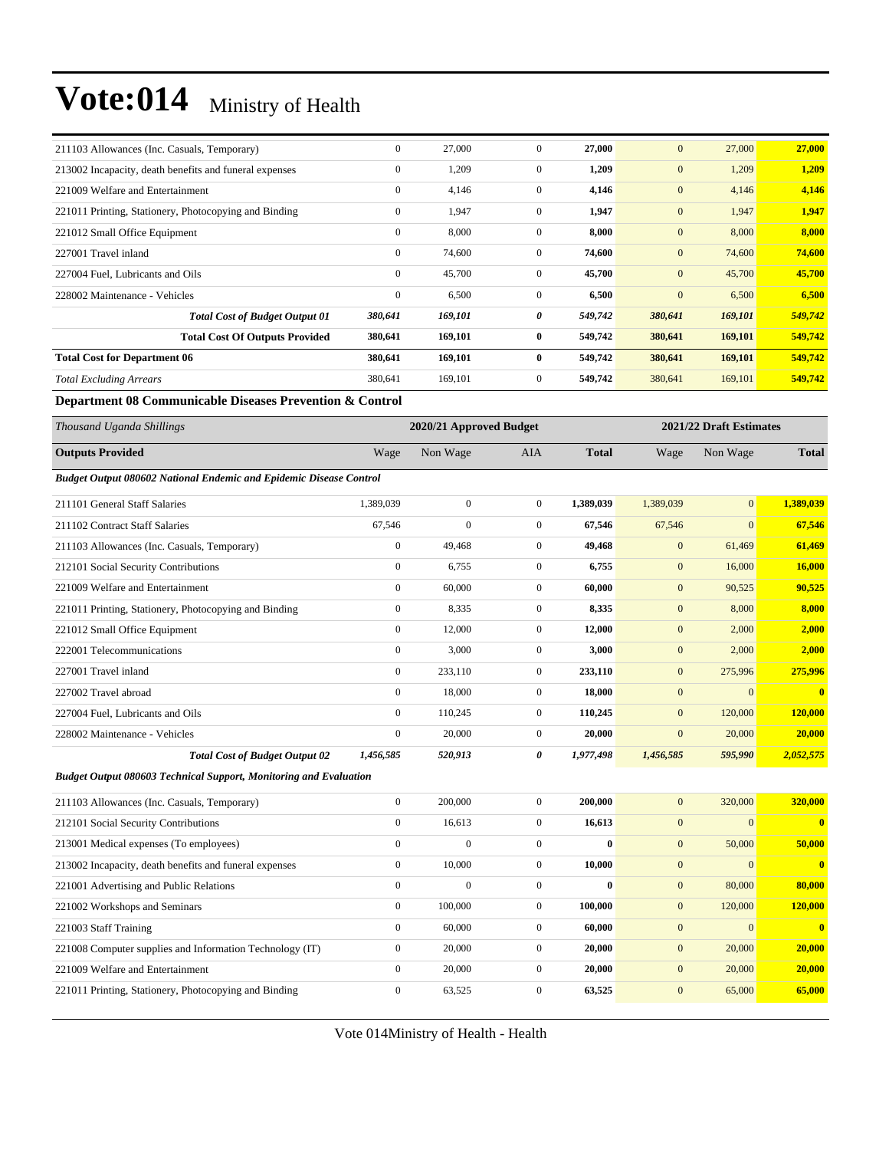| 211103 Allowances (Inc. Casuals, Temporary)            | $\overline{0}$ | 27,000  | $\mathbf{0}$ | 27,000  | $\mathbf{0}$     | 27,000  | 27,000  |
|--------------------------------------------------------|----------------|---------|--------------|---------|------------------|---------|---------|
| 213002 Incapacity, death benefits and funeral expenses | $\mathbf{0}$   | 1,209   | $\mathbf{0}$ | 1,209   | $\mathbf{0}$     | 1,209   | 1,209   |
| 221009 Welfare and Entertainment                       | $\mathbf{0}$   | 4,146   | $\mathbf{0}$ | 4,146   | $\boldsymbol{0}$ | 4,146   | 4,146   |
| 221011 Printing, Stationery, Photocopying and Binding  | $\mathbf{0}$   | 1,947   | $\mathbf{0}$ | 1,947   | $\mathbf{0}$     | 1,947   | 1,947   |
| 221012 Small Office Equipment                          | $\mathbf{0}$   | 8,000   | $\mathbf{0}$ | 8,000   | $\overline{0}$   | 8,000   | 8,000   |
| 227001 Travel inland                                   | $\overline{0}$ | 74,600  | $\mathbf{0}$ | 74,600  | $\mathbf{0}$     | 74,600  | 74,600  |
| 227004 Fuel, Lubricants and Oils                       | $\mathbf{0}$   | 45,700  | $\mathbf{0}$ | 45,700  | $\mathbf{0}$     | 45,700  | 45,700  |
| 228002 Maintenance - Vehicles                          | $\mathbf{0}$   | 6,500   | $\Omega$     | 6,500   | $\mathbf{0}$     | 6,500   | 6,500   |
| <b>Total Cost of Budget Output 01</b>                  | 380,641        | 169,101 | 0            | 549,742 | 380,641          | 169,101 | 549,742 |
| <b>Total Cost Of Outputs Provided</b>                  | 380,641        | 169,101 | $\bf{0}$     | 549,742 | 380,641          | 169,101 | 549,742 |
| <b>Total Cost for Department 06</b>                    | 380,641        | 169,101 | $\bf{0}$     | 549,742 | 380,641          | 169,101 | 549,742 |
| <b>Total Excluding Arrears</b>                         | 380,641        | 169,101 | $\mathbf{0}$ | 549,742 | 380,641          | 169,101 | 549,742 |

#### **Department 08 Communicable Diseases Prevention & Control**

| Thousand Uganda Shillings                                                 | 2020/21 Approved Budget |                |                       |              |                  | 2021/22 Draft Estimates |                         |  |
|---------------------------------------------------------------------------|-------------------------|----------------|-----------------------|--------------|------------------|-------------------------|-------------------------|--|
| <b>Outputs Provided</b>                                                   | Wage                    | Non Wage       | <b>AIA</b>            | <b>Total</b> | Wage             | Non Wage                | <b>Total</b>            |  |
| <b>Budget Output 080602 National Endemic and Epidemic Disease Control</b> |                         |                |                       |              |                  |                         |                         |  |
| 211101 General Staff Salaries                                             | 1,389,039               | $\mathbf{0}$   | $\mathbf{0}$          | 1,389,039    | 1,389,039        | $\overline{0}$          | 1,389,039               |  |
| 211102 Contract Staff Salaries                                            | 67,546                  | $\mathbf{0}$   | $\mathbf{0}$          | 67,546       | 67,546           | $\overline{0}$          | 67,546                  |  |
| 211103 Allowances (Inc. Casuals, Temporary)                               | $\boldsymbol{0}$        | 49,468         | $\mathbf{0}$          | 49,468       | $\mathbf{0}$     | 61,469                  | 61,469                  |  |
| 212101 Social Security Contributions                                      | $\overline{0}$          | 6,755          | $\mathbf{0}$          | 6,755        | $\mathbf{0}$     | 16,000                  | 16,000                  |  |
| 221009 Welfare and Entertainment                                          | $\overline{0}$          | 60,000         | $\mathbf{0}$          | 60,000       | $\mathbf{0}$     | 90,525                  | 90,525                  |  |
| 221011 Printing, Stationery, Photocopying and Binding                     | $\overline{0}$          | 8,335          | $\mathbf{0}$          | 8,335        | $\mathbf{0}$     | 8,000                   | 8,000                   |  |
| 221012 Small Office Equipment                                             | $\overline{0}$          | 12,000         | $\mathbf{0}$          | 12,000       | $\mathbf{0}$     | 2,000                   | 2,000                   |  |
| 222001 Telecommunications                                                 | $\overline{0}$          | 3,000          | $\mathbf{0}$          | 3,000        | $\mathbf{0}$     | 2,000                   | 2,000                   |  |
| 227001 Travel inland                                                      | $\overline{0}$          | 233,110        | $\mathbf{0}$          | 233,110      | $\mathbf{0}$     | 275,996                 | 275,996                 |  |
| 227002 Travel abroad                                                      | $\overline{0}$          | 18,000         | $\overline{0}$        | 18,000       | $\mathbf{0}$     | $\overline{0}$          | $\mathbf{0}$            |  |
| 227004 Fuel, Lubricants and Oils                                          | $\overline{0}$          | 110,245        | $\mathbf{0}$          | 110,245      | $\mathbf{0}$     | 120,000                 | 120,000                 |  |
| 228002 Maintenance - Vehicles                                             | $\overline{0}$          | 20,000         | $\mathbf{0}$          | 20,000       | $\mathbf{0}$     | 20,000                  | 20,000                  |  |
| <b>Total Cost of Budget Output 02</b>                                     | 1,456,585               | 520,913        | $\boldsymbol{\theta}$ | 1,977,498    | 1,456,585        | 595,990                 | 2,052,575               |  |
| <b>Budget Output 080603 Technical Support, Monitoring and Evaluation</b>  |                         |                |                       |              |                  |                         |                         |  |
| 211103 Allowances (Inc. Casuals, Temporary)                               | $\overline{0}$          | 200,000        | $\mathbf{0}$          | 200,000      | $\mathbf{0}$     | 320,000                 | 320,000                 |  |
| 212101 Social Security Contributions                                      | $\overline{0}$          | 16,613         | $\mathbf{0}$          | 16,613       | $\mathbf{0}$     | $\Omega$                | $\overline{\mathbf{0}}$ |  |
| 213001 Medical expenses (To employees)                                    | $\boldsymbol{0}$        | $\overline{0}$ | $\overline{0}$        | $\bf{0}$     | $\mathbf{0}$     | 50,000                  | 50,000                  |  |
| 213002 Incapacity, death benefits and funeral expenses                    | $\overline{0}$          | 10,000         | $\mathbf{0}$          | 10,000       | $\mathbf{0}$     | $\Omega$                | $\overline{\mathbf{0}}$ |  |
| 221001 Advertising and Public Relations                                   | $\overline{0}$          | $\mathbf{0}$   | $\mathbf{0}$          | $\bf{0}$     | $\boldsymbol{0}$ | 80,000                  | 80,000                  |  |
| 221002 Workshops and Seminars                                             | $\mathbf{0}$            | 100,000        | $\mathbf{0}$          | 100,000      | $\mathbf{0}$     | 120,000                 | 120,000                 |  |

221003 Staff Training 0 60,000 0 **60,000** 0 0 **0** 221008 Computer supplies and Information Technology (IT) 0 20,000 0 **20,000** 0 20,000 **20,000** 221009 Welfare and Entertainment 0 20,000 0 **20,000** 0 20,000 **20,000** 221011 Printing, Stationery, Photocopying and Binding 0 63,525 0 **63,525** 0 65,000 **65,000**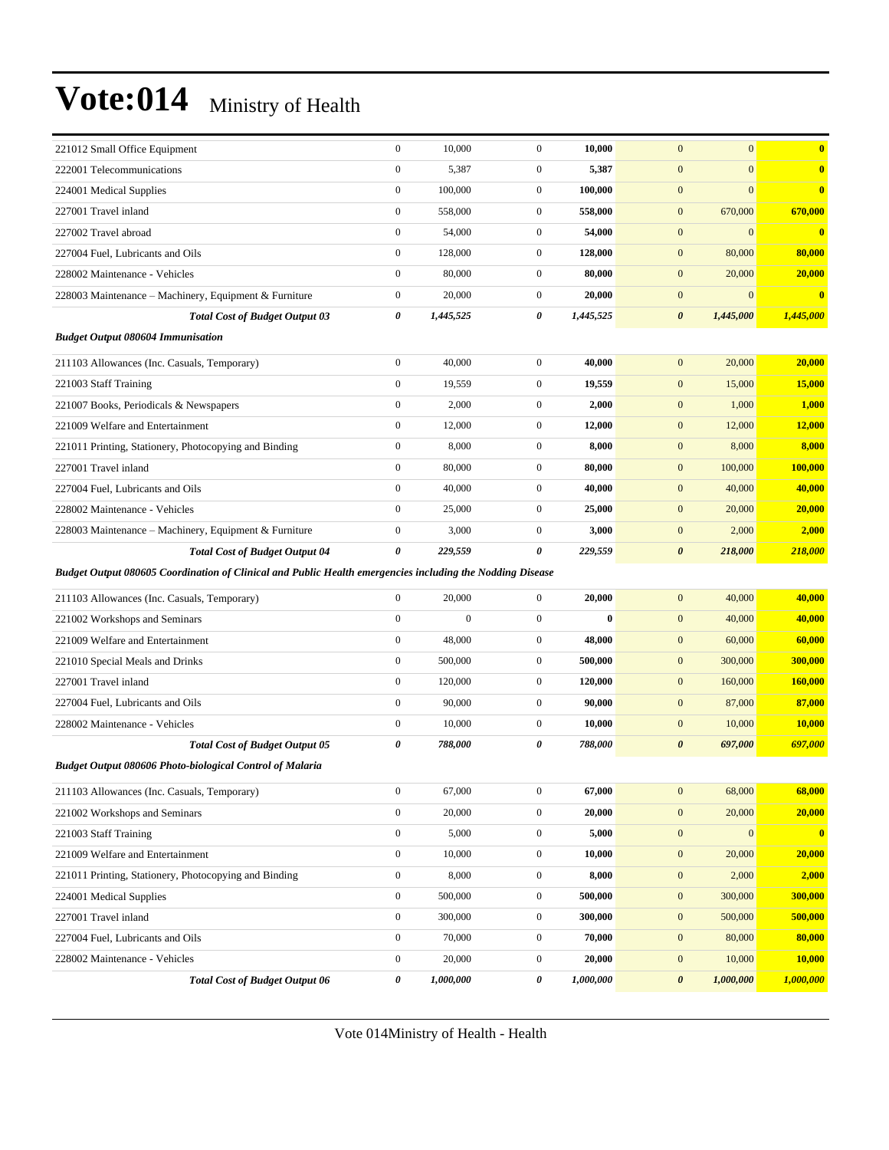| 221012 Small Office Equipment                                                                             | $\boldsymbol{0}$ | 10,000       | $\mathbf{0}$     | 10,000    | $\mathbf{0}$<br>$\overline{0}$     | $\bf{0}$       |
|-----------------------------------------------------------------------------------------------------------|------------------|--------------|------------------|-----------|------------------------------------|----------------|
| 222001 Telecommunications                                                                                 | $\boldsymbol{0}$ | 5,387        | $\mathbf{0}$     | 5,387     | $\overline{0}$<br>$\mathbf{0}$     | $\bf{0}$       |
| 224001 Medical Supplies                                                                                   | $\boldsymbol{0}$ | 100,000      | $\mathbf{0}$     | 100,000   | $\mathbf{0}$<br>$\overline{0}$     | $\bf{0}$       |
| 227001 Travel inland                                                                                      | $\boldsymbol{0}$ | 558,000      | $\mathbf{0}$     | 558,000   | $\boldsymbol{0}$<br>670,000        | 670,000        |
| 227002 Travel abroad                                                                                      | $\boldsymbol{0}$ | 54,000       | $\mathbf{0}$     | 54,000    | $\mathbf{0}$<br>$\overline{0}$     | $\bf{0}$       |
| 227004 Fuel, Lubricants and Oils                                                                          | $\boldsymbol{0}$ | 128,000      | $\mathbf{0}$     | 128,000   | 80,000<br>$\mathbf{0}$             | 80,000         |
| 228002 Maintenance - Vehicles                                                                             | $\boldsymbol{0}$ | 80,000       | $\mathbf{0}$     | 80,000    | $\boldsymbol{0}$<br>20,000         | 20,000         |
| 228003 Maintenance - Machinery, Equipment & Furniture                                                     | $\boldsymbol{0}$ | 20,000       | $\mathbf{0}$     | 20,000    | $\mathbf{0}$<br>$\boldsymbol{0}$   | $\bf{0}$       |
| <b>Total Cost of Budget Output 03</b>                                                                     | 0                | 1,445,525    | 0                | 1,445,525 | $\boldsymbol{\theta}$<br>1,445,000 | 1,445,000      |
| <b>Budget Output 080604 Immunisation</b>                                                                  |                  |              |                  |           |                                    |                |
| 211103 Allowances (Inc. Casuals, Temporary)                                                               | $\boldsymbol{0}$ | 40,000       | $\mathbf{0}$     | 40,000    | 20,000<br>$\mathbf{0}$             | 20,000         |
| 221003 Staff Training                                                                                     | $\boldsymbol{0}$ | 19,559       | $\mathbf{0}$     | 19,559    | $\mathbf{0}$<br>15,000             | 15,000         |
| 221007 Books, Periodicals & Newspapers                                                                    | $\boldsymbol{0}$ | 2,000        | $\mathbf{0}$     | 2,000     | $\mathbf{0}$<br>1,000              | 1,000          |
| 221009 Welfare and Entertainment                                                                          | $\boldsymbol{0}$ | 12,000       | $\mathbf{0}$     | 12,000    | $\boldsymbol{0}$<br>12,000         | 12,000         |
| 221011 Printing, Stationery, Photocopying and Binding                                                     | $\boldsymbol{0}$ | 8,000        | $\mathbf{0}$     | 8,000     | $\boldsymbol{0}$<br>8,000          | 8,000          |
| 227001 Travel inland                                                                                      | $\boldsymbol{0}$ | 80,000       | $\mathbf{0}$     | 80,000    | $\mathbf{0}$<br>100,000            | 100,000        |
| 227004 Fuel, Lubricants and Oils                                                                          | $\boldsymbol{0}$ | 40,000       | $\mathbf{0}$     | 40,000    | $\mathbf{0}$<br>40,000             | 40,000         |
| 228002 Maintenance - Vehicles                                                                             | $\boldsymbol{0}$ | 25,000       | $\mathbf{0}$     | 25,000    | $\mathbf{0}$<br>20,000             | 20,000         |
| 228003 Maintenance - Machinery, Equipment & Furniture                                                     | $\boldsymbol{0}$ | 3,000        | $\mathbf{0}$     | 3,000     | $\mathbf{0}$<br>2,000              | 2,000          |
| <b>Total Cost of Budget Output 04</b>                                                                     | 0                | 229,559      | 0                | 229,559   | $\boldsymbol{\theta}$<br>218,000   | 218,000        |
|                                                                                                           |                  |              |                  |           |                                    |                |
| Budget Output 080605 Coordination of Clinical and Public Health emergencies including the Nodding Disease |                  |              |                  |           |                                    |                |
| 211103 Allowances (Inc. Casuals, Temporary)                                                               | $\boldsymbol{0}$ | 20,000       | $\mathbf{0}$     | 20,000    | $\mathbf{0}$<br>40,000             | 40,000         |
| 221002 Workshops and Seminars                                                                             | $\boldsymbol{0}$ | $\mathbf{0}$ | $\boldsymbol{0}$ | $\bf{0}$  | 40,000<br>$\mathbf{0}$             | 40,000         |
| 221009 Welfare and Entertainment                                                                          | $\boldsymbol{0}$ | 48,000       | $\mathbf{0}$     | 48,000    | $\boldsymbol{0}$<br>60,000         | 60,000         |
| 221010 Special Meals and Drinks                                                                           | $\boldsymbol{0}$ | 500,000      | $\mathbf{0}$     | 500,000   | $\boldsymbol{0}$<br>300,000        | 300,000        |
| 227001 Travel inland                                                                                      | $\boldsymbol{0}$ | 120,000      | $\mathbf{0}$     | 120,000   | $\mathbf{0}$<br>160,000            | <b>160,000</b> |
| 227004 Fuel, Lubricants and Oils                                                                          | $\boldsymbol{0}$ | 90,000       | $\mathbf{0}$     | 90,000    | $\mathbf{0}$<br>87,000             | 87,000         |
| 228002 Maintenance - Vehicles                                                                             | $\boldsymbol{0}$ | 10,000       | $\mathbf{0}$     | 10,000    | $\mathbf{0}$<br>10,000             | 10,000         |
| <b>Total Cost of Budget Output 05</b>                                                                     | 0                | 788,000      | 0                | 788,000   | $\boldsymbol{\theta}$<br>697,000   | 697,000        |
| Budget Output 080606 Photo-biological Control of Malaria                                                  |                  |              |                  |           |                                    |                |
| 211103 Allowances (Inc. Casuals, Temporary)                                                               | $\boldsymbol{0}$ | 67,000       | $\boldsymbol{0}$ | 67,000    | 68,000<br>$\boldsymbol{0}$         | 68,000         |
| 221002 Workshops and Seminars                                                                             | $\boldsymbol{0}$ | 20,000       | $\mathbf{0}$     | 20,000    | $\boldsymbol{0}$<br>20,000         | 20,000         |
| 221003 Staff Training                                                                                     | $\boldsymbol{0}$ | 5,000        | $\boldsymbol{0}$ | 5,000     | $\boldsymbol{0}$<br>$\overline{0}$ | $\bf{0}$       |
| 221009 Welfare and Entertainment                                                                          | $\boldsymbol{0}$ | 10,000       | $\boldsymbol{0}$ | 10,000    | $\boldsymbol{0}$<br>20,000         | 20,000         |
| 221011 Printing, Stationery, Photocopying and Binding                                                     | $\boldsymbol{0}$ | 8,000        | $\boldsymbol{0}$ | 8,000     | $\boldsymbol{0}$<br>2,000          | 2,000          |
| 224001 Medical Supplies                                                                                   | $\boldsymbol{0}$ | 500,000      | $\boldsymbol{0}$ | 500,000   | $\boldsymbol{0}$<br>300,000        | 300,000        |
| 227001 Travel inland                                                                                      | $\boldsymbol{0}$ | 300,000      | $\boldsymbol{0}$ | 300,000   | $\boldsymbol{0}$<br>500,000        | 500,000        |
| 227004 Fuel, Lubricants and Oils                                                                          | $\boldsymbol{0}$ | 70,000       | $\boldsymbol{0}$ | 70,000    | $\boldsymbol{0}$<br>80,000         | 80,000         |
| 228002 Maintenance - Vehicles                                                                             | $\boldsymbol{0}$ | 20,000       | $\boldsymbol{0}$ | 20,000    | 10,000<br>$\boldsymbol{0}$         | 10,000         |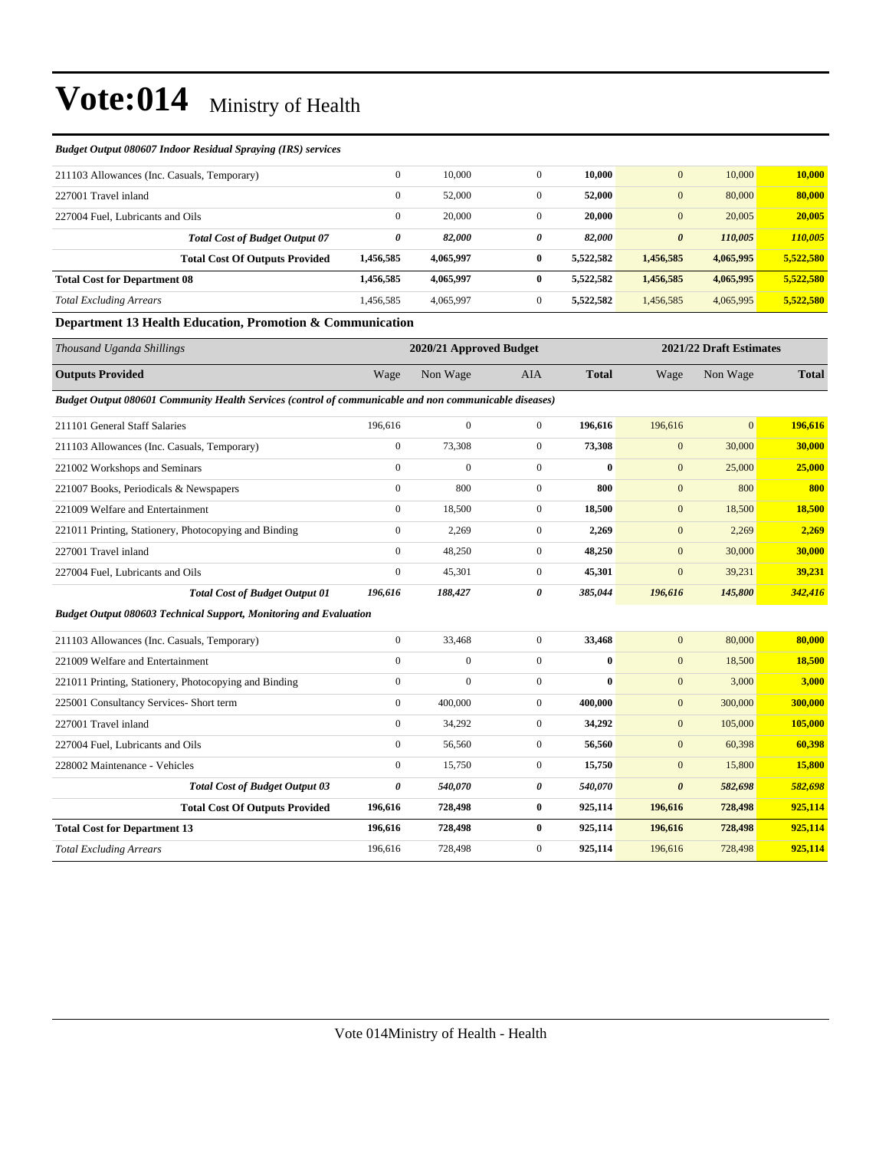#### *Budget Output 080607 Indoor Residual Spraying (IRS) services*

| 211103 Allowances (Inc. Casuals, Temporary) |           | $\Omega$     | 10.000    |          | 10.000    | $\mathbf{0}$          | 10,000    | 10.000    |
|---------------------------------------------|-----------|--------------|-----------|----------|-----------|-----------------------|-----------|-----------|
| 227001 Travel inland                        |           | $\mathbf{0}$ | 52,000    | $\Omega$ | 52,000    | $\mathbf{0}$          | 80,000    | 80,000    |
| 227004 Fuel. Lubricants and Oils            |           | $\mathbf{0}$ | 20,000    | $\Omega$ | 20,000    | $\mathbf{0}$          | 20,005    | 20,005    |
| <b>Total Cost of Budget Output 07</b>       |           | 0            | 82,000    | 0        | 82.000    | $\boldsymbol{\theta}$ | 110,005   | 110,005   |
| <b>Total Cost Of Outputs Provided</b>       | 1,456,585 |              | 4,065,997 | 0        | 5.522.582 | 1,456,585             | 4,065,995 | 5,522,580 |
| <b>Total Cost for Department 08</b>         | 1,456,585 |              | 4,065,997 | 0        | 5.522.582 | 1,456,585             | 4,065,995 | 5,522,580 |
| <b>Total Excluding Arrears</b>              | 1,456,585 |              | 4,065,997 | $\Omega$ | 5,522,582 | 1,456,585             | 4,065,995 | 5,522,580 |

#### **Department 13 Health Education, Promotion & Communication**

| Thousand Uganda Shillings                                                                              |                       | 2020/21 Approved Budget |                |              |                       | 2021/22 Draft Estimates |              |  |
|--------------------------------------------------------------------------------------------------------|-----------------------|-------------------------|----------------|--------------|-----------------------|-------------------------|--------------|--|
| <b>Outputs Provided</b>                                                                                | Wage                  | Non Wage                | <b>AIA</b>     | <b>Total</b> | Wage                  | Non Wage                | <b>Total</b> |  |
| Budget Output 080601 Community Health Services (control of communicable and non communicable diseases) |                       |                         |                |              |                       |                         |              |  |
| 211101 General Staff Salaries                                                                          | 196,616               | $\mathbf{0}$            | $\overline{0}$ | 196,616      | 196,616               | $\overline{0}$          | 196,616      |  |
| 211103 Allowances (Inc. Casuals, Temporary)                                                            | $\mathbf{0}$          | 73,308                  | $\overline{0}$ | 73,308       | $\mathbf{0}$          | 30,000                  | 30,000       |  |
| 221002 Workshops and Seminars                                                                          | $\mathbf{0}$          | $\overline{0}$          | $\overline{0}$ | $\bf{0}$     | $\mathbf{0}$          | 25,000                  | 25,000       |  |
| 221007 Books, Periodicals & Newspapers                                                                 | $\mathbf{0}$          | 800                     | $\overline{0}$ | 800          | $\mathbf{0}$          | 800                     | 800          |  |
| 221009 Welfare and Entertainment                                                                       | $\mathbf{0}$          | 18,500                  | $\overline{0}$ | 18,500       | $\mathbf{0}$          | 18,500                  | 18,500       |  |
| 221011 Printing, Stationery, Photocopying and Binding                                                  | $\mathbf{0}$          | 2,269                   | $\overline{0}$ | 2,269        | $\mathbf{0}$          | 2,269                   | 2,269        |  |
| 227001 Travel inland                                                                                   | $\mathbf{0}$          | 48,250                  | $\overline{0}$ | 48,250       | $\mathbf{0}$          | 30,000                  | 30,000       |  |
| 227004 Fuel, Lubricants and Oils                                                                       | $\mathbf{0}$          | 45,301                  | $\overline{0}$ | 45,301       | $\mathbf{0}$          | 39,231                  | 39,231       |  |
| <b>Total Cost of Budget Output 01</b>                                                                  | 196,616               | 188,427                 | 0              | 385,044      | 196,616               | 145,800                 | 342,416      |  |
| <b>Budget Output 080603 Technical Support, Monitoring and Evaluation</b>                               |                       |                         |                |              |                       |                         |              |  |
| 211103 Allowances (Inc. Casuals, Temporary)                                                            | $\mathbf{0}$          | 33,468                  | $\mathbf{0}$   | 33,468       | $\mathbf{0}$          | 80,000                  | 80,000       |  |
| 221009 Welfare and Entertainment                                                                       | $\mathbf{0}$          | $\overline{0}$          | $\overline{0}$ | $\bf{0}$     | $\mathbf{0}$          | 18,500                  | 18,500       |  |
| 221011 Printing, Stationery, Photocopying and Binding                                                  | $\boldsymbol{0}$      | $\overline{0}$          | $\overline{0}$ | $\bf{0}$     | $\mathbf{0}$          | 3,000                   | 3,000        |  |
| 225001 Consultancy Services- Short term                                                                | $\mathbf{0}$          | 400,000                 | $\overline{0}$ | 400,000      | $\mathbf{0}$          | 300,000                 | 300,000      |  |
| 227001 Travel inland                                                                                   | $\mathbf{0}$          | 34,292                  | $\overline{0}$ | 34,292       | $\mathbf{0}$          | 105,000                 | 105,000      |  |
| 227004 Fuel, Lubricants and Oils                                                                       | $\boldsymbol{0}$      | 56,560                  | $\mathbf{0}$   | 56,560       | $\mathbf{0}$          | 60,398                  | 60,398       |  |
| 228002 Maintenance - Vehicles                                                                          | $\mathbf{0}$          | 15,750                  | $\overline{0}$ | 15,750       | $\mathbf{0}$          | 15,800                  | 15,800       |  |
| <b>Total Cost of Budget Output 03</b>                                                                  | $\boldsymbol{\theta}$ | 540,070                 | 0              | 540,070      | $\boldsymbol{\theta}$ | 582,698                 | 582,698      |  |
| <b>Total Cost Of Outputs Provided</b>                                                                  | 196,616               | 728,498                 | $\bf{0}$       | 925,114      | 196,616               | 728,498                 | 925,114      |  |
| <b>Total Cost for Department 13</b>                                                                    | 196,616               | 728,498                 | $\bf{0}$       | 925,114      | 196,616               | 728,498                 | 925,114      |  |
| <b>Total Excluding Arrears</b>                                                                         | 196,616               | 728,498                 | $\overline{0}$ | 925,114      | 196,616               | 728,498                 | 925,114      |  |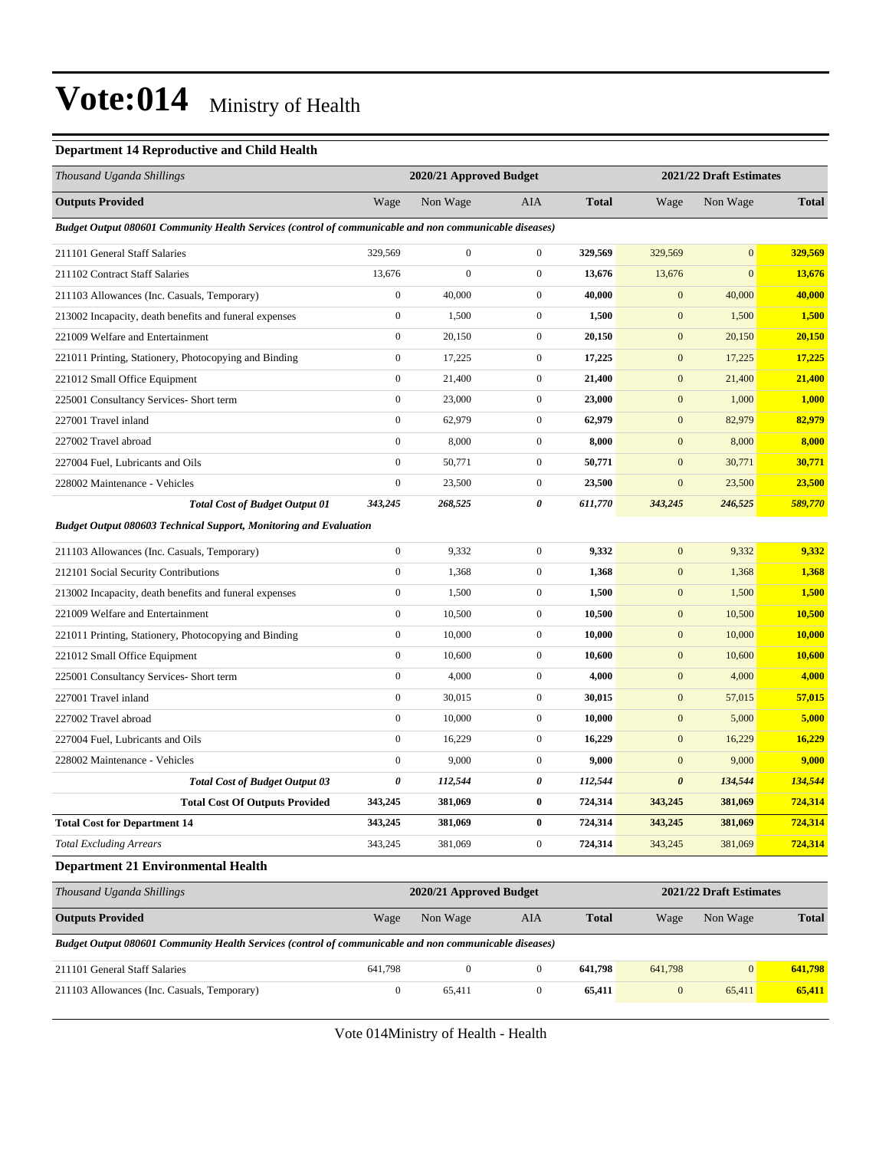#### **Department 14 Reproductive and Child Health**

| Thousand Uganda Shillings                                                                              | 2020/21 Approved Budget |                         |                  |              | 2021/22 Draft Estimates |                         |              |
|--------------------------------------------------------------------------------------------------------|-------------------------|-------------------------|------------------|--------------|-------------------------|-------------------------|--------------|
| <b>Outputs Provided</b>                                                                                | Wage                    | Non Wage                | <b>AIA</b>       | <b>Total</b> | Wage                    | Non Wage                | <b>Total</b> |
| Budget Output 080601 Community Health Services (control of communicable and non communicable diseases) |                         |                         |                  |              |                         |                         |              |
| 211101 General Staff Salaries                                                                          | 329,569                 | $\boldsymbol{0}$        | $\boldsymbol{0}$ | 329,569      | 329,569                 | $\mathbf{0}$            | 329,569      |
| 211102 Contract Staff Salaries                                                                         | 13,676                  | $\boldsymbol{0}$        | $\boldsymbol{0}$ | 13,676       | 13,676                  | $\mathbf{0}$            | 13,676       |
| 211103 Allowances (Inc. Casuals, Temporary)                                                            | $\boldsymbol{0}$        | 40,000                  | $\boldsymbol{0}$ | 40,000       | $\mathbf{0}$            | 40,000                  | 40,000       |
| 213002 Incapacity, death benefits and funeral expenses                                                 | $\boldsymbol{0}$        | 1,500                   | $\boldsymbol{0}$ | 1,500        | $\mathbf{0}$            | 1,500                   | 1,500        |
| 221009 Welfare and Entertainment                                                                       | $\boldsymbol{0}$        | 20,150                  | $\boldsymbol{0}$ | 20,150       | $\mathbf{0}$            | 20,150                  | 20,150       |
| 221011 Printing, Stationery, Photocopying and Binding                                                  | $\boldsymbol{0}$        | 17,225                  | $\boldsymbol{0}$ | 17,225       | $\mathbf{0}$            | 17,225                  | 17,225       |
| 221012 Small Office Equipment                                                                          | $\boldsymbol{0}$        | 21,400                  | $\boldsymbol{0}$ | 21,400       | $\mathbf{0}$            | 21,400                  | 21,400       |
| 225001 Consultancy Services- Short term                                                                | $\boldsymbol{0}$        | 23,000                  | $\boldsymbol{0}$ | 23,000       | $\mathbf{0}$            | 1,000                   | 1,000        |
| 227001 Travel inland                                                                                   | $\boldsymbol{0}$        | 62,979                  | $\boldsymbol{0}$ | 62,979       | $\mathbf{0}$            | 82,979                  | 82,979       |
| 227002 Travel abroad                                                                                   | $\boldsymbol{0}$        | 8,000                   | $\boldsymbol{0}$ | 8,000        | $\mathbf{0}$            | 8,000                   | 8,000        |
| 227004 Fuel, Lubricants and Oils                                                                       | $\boldsymbol{0}$        | 50,771                  | $\boldsymbol{0}$ | 50,771       | $\mathbf{0}$            | 30,771                  | 30,771       |
| 228002 Maintenance - Vehicles                                                                          | $\boldsymbol{0}$        | 23,500                  | $\boldsymbol{0}$ | 23,500       | $\mathbf{0}$            | 23,500                  | 23,500       |
| <b>Total Cost of Budget Output 01</b>                                                                  | 343,245                 | 268,525                 | 0                | 611,770      | 343,245                 | 246,525                 | 589,770      |
| <b>Budget Output 080603 Technical Support, Monitoring and Evaluation</b>                               |                         |                         |                  |              |                         |                         |              |
| 211103 Allowances (Inc. Casuals, Temporary)                                                            | $\boldsymbol{0}$        | 9,332                   | $\boldsymbol{0}$ | 9,332        | $\mathbf{0}$            | 9,332                   | 9,332        |
| 212101 Social Security Contributions                                                                   | $\boldsymbol{0}$        | 1,368                   | $\boldsymbol{0}$ | 1,368        | $\mathbf{0}$            | 1,368                   | 1,368        |
| 213002 Incapacity, death benefits and funeral expenses                                                 | $\boldsymbol{0}$        | 1,500                   | $\boldsymbol{0}$ | 1,500        | $\mathbf{0}$            | 1,500                   | 1,500        |
| 221009 Welfare and Entertainment                                                                       | $\boldsymbol{0}$        | 10,500                  | $\boldsymbol{0}$ | 10,500       | $\mathbf{0}$            | 10,500                  | 10,500       |
| 221011 Printing, Stationery, Photocopying and Binding                                                  | $\boldsymbol{0}$        | 10,000                  | $\boldsymbol{0}$ | 10,000       | $\mathbf{0}$            | 10,000                  | 10,000       |
| 221012 Small Office Equipment                                                                          | $\boldsymbol{0}$        | 10,600                  | $\boldsymbol{0}$ | 10,600       | $\mathbf{0}$            | 10,600                  | 10,600       |
| 225001 Consultancy Services- Short term                                                                | $\boldsymbol{0}$        | 4,000                   | $\boldsymbol{0}$ | 4,000        | $\mathbf{0}$            | 4,000                   | 4,000        |
| 227001 Travel inland                                                                                   | $\boldsymbol{0}$        | 30,015                  | $\boldsymbol{0}$ | 30,015       | $\mathbf{0}$            | 57,015                  | 57,015       |
| 227002 Travel abroad                                                                                   | $\boldsymbol{0}$        | 10,000                  | $\boldsymbol{0}$ | 10,000       | $\mathbf{0}$            | 5,000                   | 5,000        |
| 227004 Fuel, Lubricants and Oils                                                                       | $\boldsymbol{0}$        | 16,229                  | $\boldsymbol{0}$ | 16,229       | $\mathbf{0}$            | 16,229                  | 16,229       |
| 228002 Maintenance - Vehicles                                                                          | $\boldsymbol{0}$        | 9,000                   | $\boldsymbol{0}$ | 9,000        | $\mathbf{0}$            | 9,000                   | 9,000        |
| <b>Total Cost of Budget Output 03</b>                                                                  | 0                       | 112,544                 | 0                | 112,544      | $\boldsymbol{\theta}$   | 134,544                 | 134,544      |
| <b>Total Cost Of Outputs Provided</b>                                                                  | 343,245                 | 381,069                 | $\bf{0}$         | 724,314      | 343,245                 | 381,069                 | 724,314      |
| <b>Total Cost for Department 14</b>                                                                    | 343,245                 | 381,069                 | $\bf{0}$         | 724,314      | 343,245                 | 381,069                 | 724,314      |
| <b>Total Excluding Arrears</b>                                                                         | 343,245                 | 381,069                 | $\boldsymbol{0}$ | 724,314      | 343,245                 | 381,069                 | 724,314      |
| <b>Department 21 Environmental Health</b>                                                              |                         |                         |                  |              |                         |                         |              |
| Thousand Uganda Shillings                                                                              |                         | 2020/21 Approved Budget |                  |              |                         | 2021/22 Draft Estimates |              |
| <b>Outputs Provided</b>                                                                                | Wage                    | Non Wage                | AIA              | <b>Total</b> | Wage                    | Non Wage                | <b>Total</b> |
| Budget Output 080601 Community Health Services (control of communicable and non communicable diseases) |                         |                         |                  |              |                         |                         |              |
| 211101 General Staff Salaries                                                                          | 641,798                 | $\boldsymbol{0}$        | $\overline{0}$   | 641,798      | 641,798                 | $\mathbf{0}$            | 641,798      |
| 211103 Allowances (Inc. Casuals, Temporary)                                                            | $\boldsymbol{0}$        | 65,411                  | $\boldsymbol{0}$ | 65,411       | $\boldsymbol{0}$        | 65,411                  | 65,411       |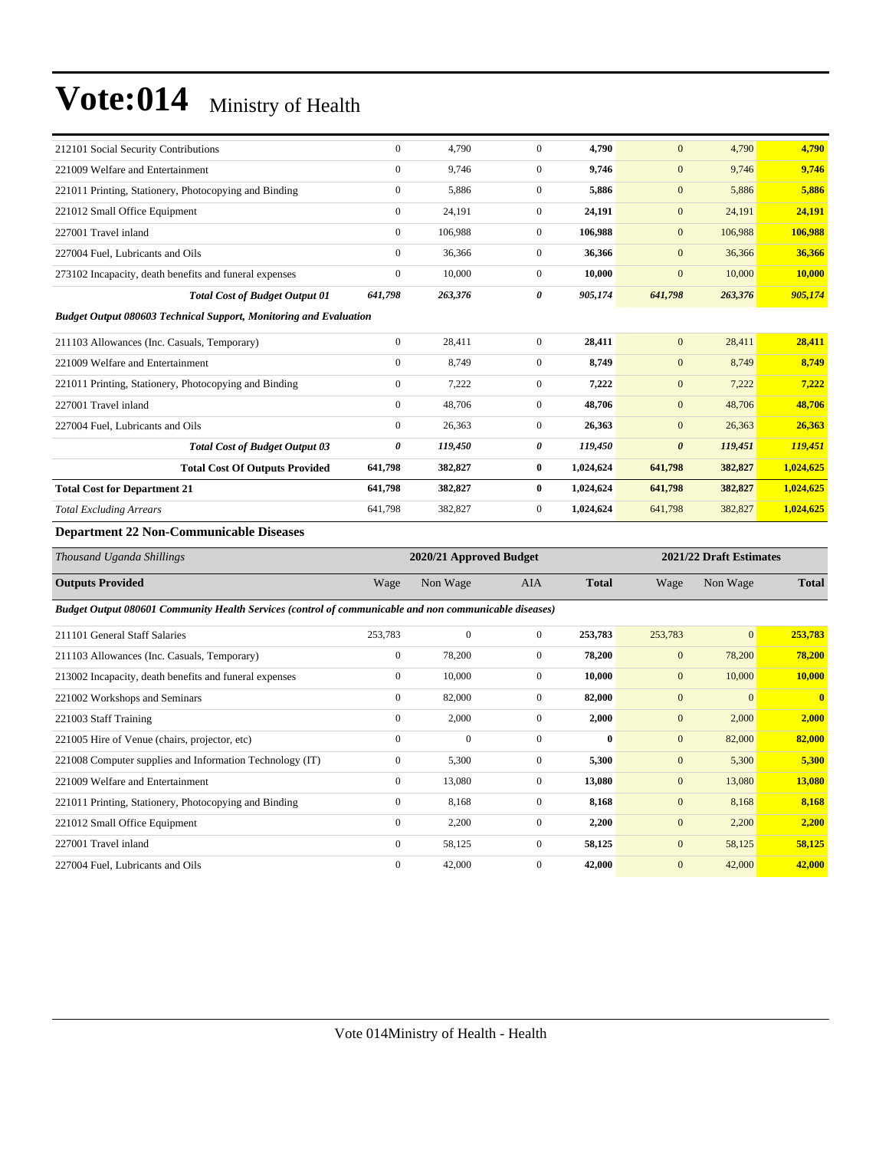| 212101 Social Security Contributions                                                                   | $\boldsymbol{0}$ | 4,790                   | $\boldsymbol{0}$ | 4,790        | $\mathbf{0}$          | 4,790                   | 4,790                   |  |  |  |
|--------------------------------------------------------------------------------------------------------|------------------|-------------------------|------------------|--------------|-----------------------|-------------------------|-------------------------|--|--|--|
| 221009 Welfare and Entertainment                                                                       | $\boldsymbol{0}$ | 9,746                   | $\mathbf{0}$     | 9,746        | $\mathbf{0}$          | 9,746                   | 9,746                   |  |  |  |
| 221011 Printing, Stationery, Photocopying and Binding                                                  | $\mathbf{0}$     | 5,886                   | $\mathbf{0}$     | 5,886        | $\boldsymbol{0}$      | 5,886                   | 5,886                   |  |  |  |
| 221012 Small Office Equipment                                                                          | $\boldsymbol{0}$ | 24,191                  | $\boldsymbol{0}$ | 24,191       | $\mathbf{0}$          | 24,191                  | 24,191                  |  |  |  |
| 227001 Travel inland                                                                                   | $\boldsymbol{0}$ | 106,988                 | $\boldsymbol{0}$ | 106,988      | $\mathbf{0}$          | 106,988                 | 106,988                 |  |  |  |
| 227004 Fuel, Lubricants and Oils                                                                       | $\boldsymbol{0}$ | 36,366                  | $\boldsymbol{0}$ | 36,366       | $\boldsymbol{0}$      | 36,366                  | 36,366                  |  |  |  |
| 273102 Incapacity, death benefits and funeral expenses                                                 | $\boldsymbol{0}$ | 10,000                  | $\boldsymbol{0}$ | 10,000       | $\mathbf{0}$          | 10,000                  | 10,000                  |  |  |  |
| <b>Total Cost of Budget Output 01</b>                                                                  | 641,798          | 263,376                 | $\theta$         | 905,174      | 641,798               | 263,376                 | 905,174                 |  |  |  |
| <b>Budget Output 080603 Technical Support, Monitoring and Evaluation</b>                               |                  |                         |                  |              |                       |                         |                         |  |  |  |
| 211103 Allowances (Inc. Casuals, Temporary)                                                            | $\boldsymbol{0}$ | 28,411                  | $\boldsymbol{0}$ | 28,411       | $\boldsymbol{0}$      | 28,411                  | 28,411                  |  |  |  |
| 221009 Welfare and Entertainment                                                                       | $\boldsymbol{0}$ | 8,749                   | $\boldsymbol{0}$ | 8,749        | $\mathbf{0}$          | 8,749                   | 8,749                   |  |  |  |
| 221011 Printing, Stationery, Photocopying and Binding                                                  | $\mathbf{0}$     | 7,222                   | $\overline{0}$   | 7,222        | $\mathbf{0}$          | 7,222                   | 7,222                   |  |  |  |
| 227001 Travel inland                                                                                   | $\boldsymbol{0}$ | 48,706                  | $\mathbf{0}$     | 48,706       | $\mathbf{0}$          | 48,706                  | 48,706                  |  |  |  |
| 227004 Fuel, Lubricants and Oils                                                                       | $\mathbf{0}$     | 26,363                  | $\overline{0}$   | 26,363       | $\mathbf{0}$          | 26,363                  | 26,363                  |  |  |  |
| <b>Total Cost of Budget Output 03</b>                                                                  | 0                | 119,450                 | 0                | 119,450      | $\boldsymbol{\theta}$ | 119,451                 | 119,451                 |  |  |  |
| <b>Total Cost Of Outputs Provided</b>                                                                  | 641,798          | 382,827                 | $\bf{0}$         | 1,024,624    | 641,798               | 382,827                 | 1,024,625               |  |  |  |
| <b>Total Cost for Department 21</b>                                                                    | 641,798          | 382,827                 | $\bf{0}$         | 1,024,624    | 641,798               | 382,827                 | 1,024,625               |  |  |  |
| <b>Total Excluding Arrears</b>                                                                         | 641,798          | 382,827                 | $\boldsymbol{0}$ | 1,024,624    | 641,798               | 382,827                 | 1,024,625               |  |  |  |
| <b>Department 22 Non-Communicable Diseases</b>                                                         |                  |                         |                  |              |                       |                         |                         |  |  |  |
| Thousand Uganda Shillings                                                                              |                  | 2020/21 Approved Budget |                  |              |                       | 2021/22 Draft Estimates |                         |  |  |  |
| <b>Outputs Provided</b>                                                                                | Wage             | Non Wage                | AIA              | <b>Total</b> | Wage                  | Non Wage                | <b>Total</b>            |  |  |  |
| Budget Output 080601 Community Health Services (control of communicable and non communicable diseases) |                  |                         |                  |              |                       |                         |                         |  |  |  |
| 211101 General Staff Salaries                                                                          | 253,783          | $\mathbf{0}$            | $\mathbf{0}$     | 253,783      | 253,783               | $\overline{0}$          | 253,783                 |  |  |  |
| 211103 Allowances (Inc. Casuals, Temporary)                                                            | $\boldsymbol{0}$ | 78,200                  | $\boldsymbol{0}$ | 78,200       | $\boldsymbol{0}$      | 78,200                  | 78,200                  |  |  |  |
| 213002 Incapacity, death benefits and funeral expenses                                                 | $\boldsymbol{0}$ | 10,000                  | $\mathbf{0}$     | 10,000       | $\mathbf{0}$          | 10,000                  | 10,000                  |  |  |  |
| 221002 Workshops and Seminars                                                                          | $\boldsymbol{0}$ | 82,000                  | $\boldsymbol{0}$ | 82,000       | $\mathbf{0}$          | $\mathbf{0}$            | $\overline{\mathbf{0}}$ |  |  |  |
| 221003 Staff Training                                                                                  | $\boldsymbol{0}$ | 2,000                   | $\mathbf{0}$     | 2,000        | $\mathbf{0}$          | 2,000                   | 2,000                   |  |  |  |
| 221005 Hire of Venue (chairs, projector, etc)                                                          | $\mathbf{0}$     | $\Omega$                | $\mathbf{0}$     | $\mathbf{0}$ | $\boldsymbol{0}$      | 82,000                  | 82,000                  |  |  |  |
| 221008 Computer supplies and Information Technology (IT)                                               | $\boldsymbol{0}$ | 5,300                   | $\mathbf{0}$     | 5,300        | $\mathbf{0}$          | 5,300                   | 5,300                   |  |  |  |
| 221009 Welfare and Entertainment                                                                       | $\boldsymbol{0}$ | 13,080                  | $\boldsymbol{0}$ | 13,080       | $\mathbf{0}$          | 13,080                  | 13,080                  |  |  |  |
| 221011 Printing, Stationery, Photocopying and Binding                                                  | $\boldsymbol{0}$ | 8,168                   | $\boldsymbol{0}$ | 8,168        | $\boldsymbol{0}$      | 8,168                   | 8,168                   |  |  |  |
| 221012 Small Office Equipment                                                                          | $\boldsymbol{0}$ | 2,200                   | $\boldsymbol{0}$ | 2,200        | $\mathbf{0}$          | 2,200                   | 2,200                   |  |  |  |
| 227001 Travel inland                                                                                   | $\boldsymbol{0}$ | 58,125                  | $\boldsymbol{0}$ | 58,125       | $\boldsymbol{0}$      | 58,125                  | 58,125                  |  |  |  |
| 227004 Fuel, Lubricants and Oils                                                                       | $\mathbf{0}$     | 42,000                  | $\mathbf{0}$     | 42,000       | $\mathbf{0}$          | 42,000                  | 42,000                  |  |  |  |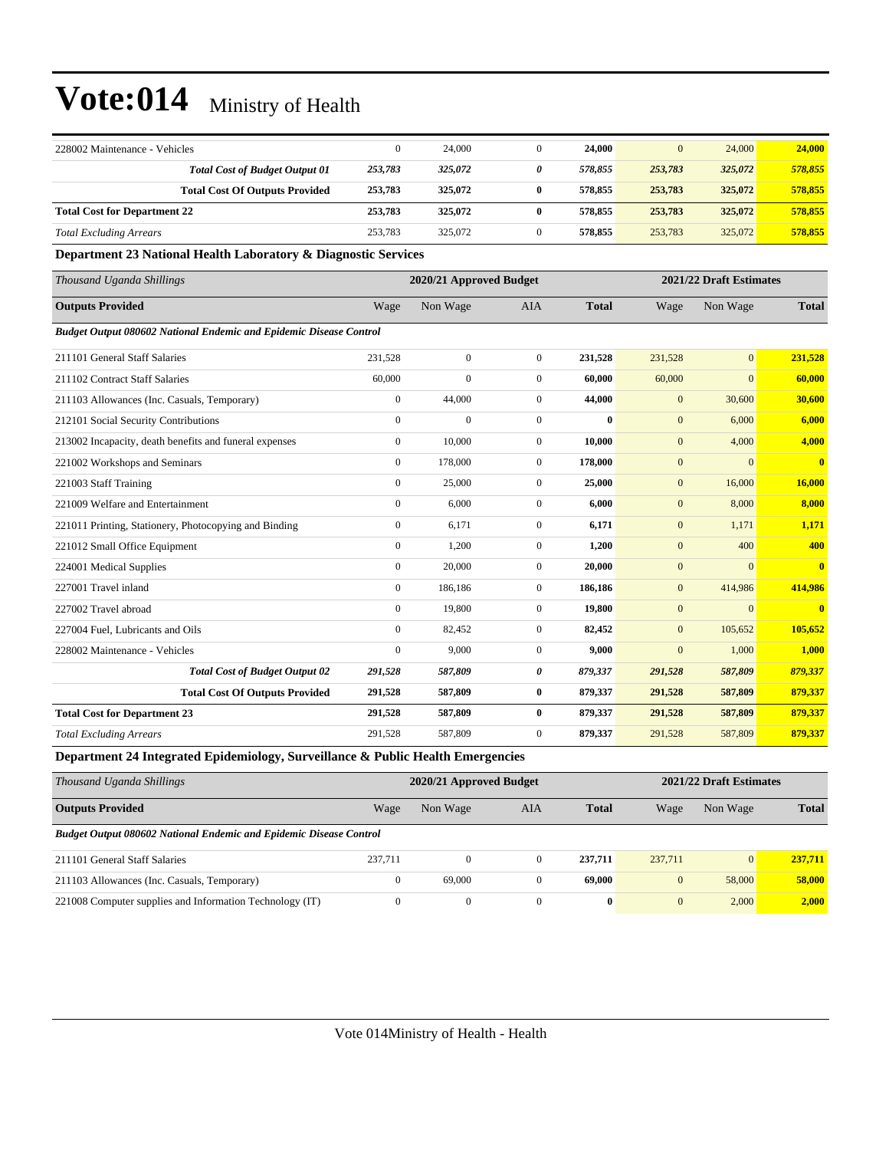| 228002 Maintenance - Vehicles       |                                                                                       |         | 24,000  | 24,000  | 0       | 24,000  | 24,000  |
|-------------------------------------|---------------------------------------------------------------------------------------|---------|---------|---------|---------|---------|---------|
|                                     | <b>Total Cost of Budget Output 01</b>                                                 | 253,783 | 325,072 | 578,855 | 253,783 | 325,072 | 578,855 |
|                                     | <b>Total Cost Of Outputs Provided</b>                                                 | 253,783 | 325,072 | 578,855 | 253,783 | 325,072 | 578,855 |
| <b>Total Cost for Department 22</b> |                                                                                       | 253,783 | 325,072 | 578,855 | 253,783 | 325,072 | 578,855 |
| <b>Total Excluding Arrears</b>      |                                                                                       | 253.783 | 325,072 | 578,855 | 253,783 | 325,072 | 578,855 |
| .                                   | $\sim$ $\sim$ $\sim$<br>--- -- - -<br>the contract of the contract of the contract of |         |         |         |         |         |         |

#### **Department 23 National Health Laboratory & Diagnostic Services**

| Thousand Uganda Shillings                                                 | 2020/21 Approved Budget |                |                |              |                | 2021/22 Draft Estimates |                         |  |
|---------------------------------------------------------------------------|-------------------------|----------------|----------------|--------------|----------------|-------------------------|-------------------------|--|
| <b>Outputs Provided</b>                                                   | Wage                    | Non Wage       | <b>AIA</b>     | <b>Total</b> | Wage           | Non Wage                | <b>Total</b>            |  |
| <b>Budget Output 080602 National Endemic and Epidemic Disease Control</b> |                         |                |                |              |                |                         |                         |  |
| 211101 General Staff Salaries                                             | 231.528                 | $\overline{0}$ | $\overline{0}$ | 231,528      | 231,528        | $\overline{0}$          | 231,528                 |  |
| 211102 Contract Staff Salaries                                            | 60,000                  | $\theta$       | $\overline{0}$ | 60,000       | 60,000         | $\overline{0}$          | 60,000                  |  |
| 211103 Allowances (Inc. Casuals, Temporary)                               | $\overline{0}$          | 44,000         | $\overline{0}$ | 44,000       | $\mathbf{0}$   | 30,600                  | 30,600                  |  |
| 212101 Social Security Contributions                                      | $\mathbf{0}$            | $\mathbf{0}$   | $\overline{0}$ | $\bf{0}$     | $\mathbf{0}$   | 6,000                   | 6,000                   |  |
| 213002 Incapacity, death benefits and funeral expenses                    | $\overline{0}$          | 10,000         | $\overline{0}$ | 10,000       | $\mathbf{0}$   | 4,000                   | 4,000                   |  |
| 221002 Workshops and Seminars                                             | $\mathbf{0}$            | 178,000        | $\overline{0}$ | 178,000      | $\mathbf{0}$   | $\overline{0}$          | $\overline{\mathbf{0}}$ |  |
| 221003 Staff Training                                                     | $\overline{0}$          | 25,000         | $\overline{0}$ | 25,000       | $\mathbf{0}$   | 16,000                  | 16,000                  |  |
| 221009 Welfare and Entertainment                                          | $\overline{0}$          | 6,000          | $\overline{0}$ | 6,000        | $\mathbf{0}$   | 8,000                   | 8,000                   |  |
| 221011 Printing, Stationery, Photocopying and Binding                     | $\boldsymbol{0}$        | 6,171          | $\mathbf{0}$   | 6,171        | $\mathbf{0}$   | 1,171                   | 1,171                   |  |
| 221012 Small Office Equipment                                             | $\overline{0}$          | 1,200          | $\overline{0}$ | 1,200        | $\mathbf{0}$   | 400                     | 400                     |  |
| 224001 Medical Supplies                                                   | $\overline{0}$          | 20,000         | $\overline{0}$ | 20,000       | $\mathbf{0}$   | $\overline{0}$          | $\overline{0}$          |  |
| 227001 Travel inland                                                      | $\overline{0}$          | 186,186        | $\overline{0}$ | 186,186      | $\mathbf{0}$   | 414,986                 | 414,986                 |  |
| 227002 Travel abroad                                                      | $\Omega$                | 19,800         | $\overline{0}$ | 19,800       | $\mathbf{0}$   | $\overline{0}$          | $\mathbf{0}$            |  |
| 227004 Fuel, Lubricants and Oils                                          | $\mathbf{0}$            | 82,452         | $\overline{0}$ | 82,452       | $\mathbf{0}$   | 105,652                 | 105,652                 |  |
| 228002 Maintenance - Vehicles                                             | $\theta$                | 9,000          | $\overline{0}$ | 9,000        | $\overline{0}$ | 1,000                   | 1.000                   |  |
| <b>Total Cost of Budget Output 02</b>                                     | 291,528                 | 587,809        | 0              | 879,337      | 291,528        | 587,809                 | 879,337                 |  |
| <b>Total Cost Of Outputs Provided</b>                                     | 291,528                 | 587,809        | $\bf{0}$       | 879,337      | 291,528        | 587,809                 | 879,337                 |  |
| <b>Total Cost for Department 23</b>                                       | 291,528                 | 587,809        | $\bf{0}$       | 879,337      | 291,528        | 587,809                 | 879,337                 |  |
| <b>Total Excluding Arrears</b>                                            | 291,528                 | 587,809        | $\overline{0}$ | 879,337      | 291,528        | 587,809                 | 879,337                 |  |

**Department 24 Integrated Epidemiology, Surveillance & Public Health Emergencies**

| Thousand Uganda Shillings                                                 | 2020/21 Approved Budget |              |          |              |              | 2021/22 Draft Estimates |              |
|---------------------------------------------------------------------------|-------------------------|--------------|----------|--------------|--------------|-------------------------|--------------|
| <b>Outputs Provided</b>                                                   | Wage                    | Non Wage     | AIA      | <b>Total</b> | Wage         | Non Wage                | <b>Total</b> |
| <b>Budget Output 080602 National Endemic and Epidemic Disease Control</b> |                         |              |          |              |              |                         |              |
| 211101 General Staff Salaries                                             | 237.711                 | $\mathbf{0}$ | 0        | 237.711      | 237,711      | $\Omega$                | 237,711      |
| 211103 Allowances (Inc. Casuals, Temporary)                               | $\Omega$                | 69,000       | $\Omega$ | 69,000       | $\mathbf{0}$ | 58,000                  | 58,000       |
| 221008 Computer supplies and Information Technology (IT)                  | $\mathbf{0}$            | $\mathbf{0}$ | $\Omega$ | $\bf{0}$     | $\mathbf{0}$ | 2.000                   | 2.000        |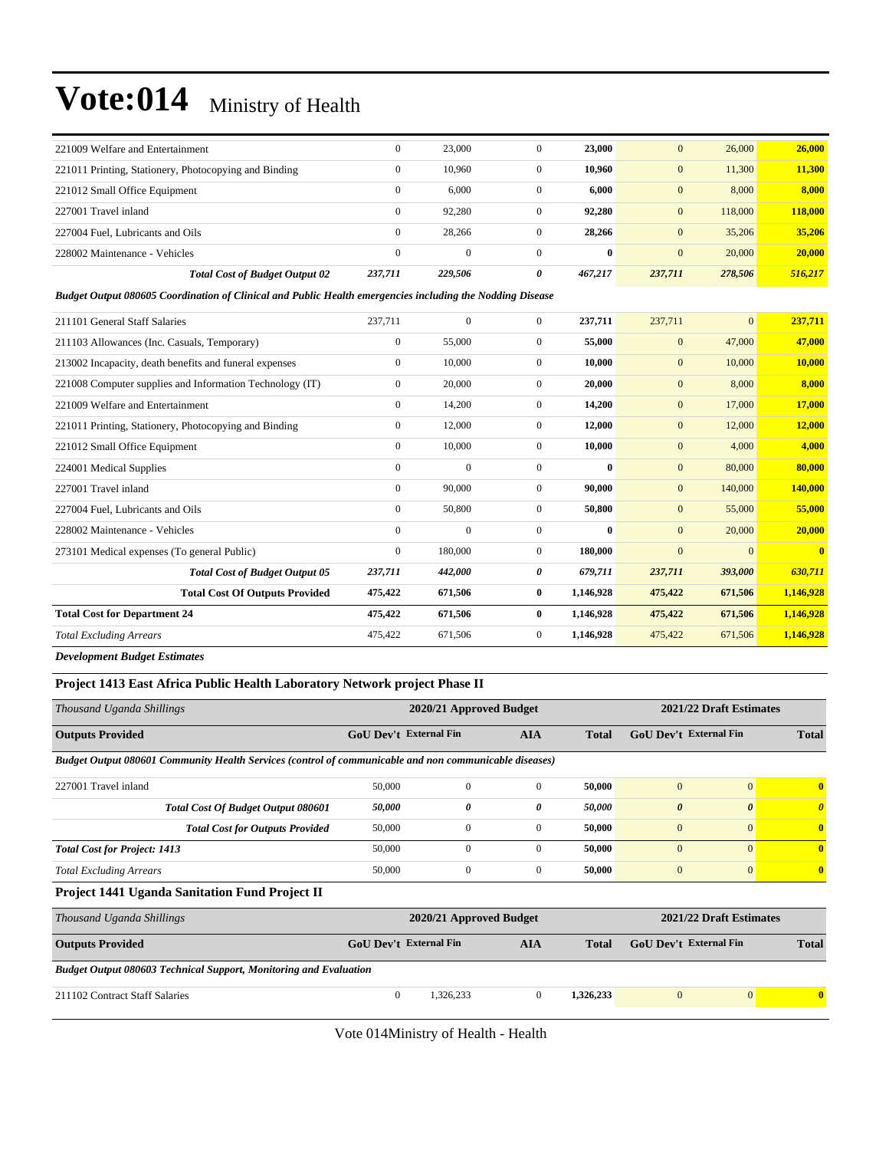| 221009 Welfare and Entertainment                      |                                       | $\Omega$ | 23,000       |          | 23,000       | $\overline{0}$ | 26,000  | 26,000  |
|-------------------------------------------------------|---------------------------------------|----------|--------------|----------|--------------|----------------|---------|---------|
| 221011 Printing, Stationery, Photocopying and Binding |                                       | $\Omega$ | 10.960       |          | 10.960       | $\overline{0}$ | 11,300  | 11,300  |
| 221012 Small Office Equipment                         |                                       | $\Omega$ | 6.000        |          | 6.000        | $\mathbf{0}$   | 8,000   | 8.000   |
| 227001 Travel inland                                  |                                       | $\Omega$ | 92.280       |          | 92,280       | $\overline{0}$ | 118,000 | 118,000 |
| 227004 Fuel, Lubricants and Oils                      |                                       | $\Omega$ | 28.266       | 0        | 28,266       | $\mathbf{0}$   | 35,206  | 35,206  |
| 228002 Maintenance - Vehicles                         |                                       | $\Omega$ | $\mathbf{0}$ | $\Omega$ | $\mathbf{0}$ | $\mathbf{0}$   | 20,000  | 20,000  |
|                                                       | <b>Total Cost of Budget Output 02</b> | 237.711  | 229,506      | 0        | 467.217      | 237,711        | 278,506 | 516,217 |

#### *Budget Output 080605 Coordination of Clinical and Public Health emergencies including the Nodding Disease*

| 211101 General Staff Salaries                            | 237,711        | $\mathbf{0}$ | $\Omega$       | 237,711      | 237,711        | $\overline{0}$ | 237,711                 |
|----------------------------------------------------------|----------------|--------------|----------------|--------------|----------------|----------------|-------------------------|
| 211103 Allowances (Inc. Casuals, Temporary)              | $\mathbf{0}$   | 55,000       | $\overline{0}$ | 55,000       | $\mathbf{0}$   | 47,000         | 47,000                  |
| 213002 Incapacity, death benefits and funeral expenses   | $\overline{0}$ | 10,000       | $\overline{0}$ | 10,000       | $\mathbf{0}$   | 10,000         | 10,000                  |
| 221008 Computer supplies and Information Technology (IT) | $\mathbf{0}$   | 20,000       | $\overline{0}$ | 20,000       | $\mathbf{0}$   | 8,000          | 8.000                   |
| 221009 Welfare and Entertainment                         | $\overline{0}$ | 14,200       | $\mathbf{0}$   | 14,200       | $\mathbf{0}$   | 17,000         | 17,000                  |
| 221011 Printing, Stationery, Photocopying and Binding    | 0              | 12,000       | $\overline{0}$ | 12,000       | $\mathbf{0}$   | 12,000         | 12,000                  |
| 221012 Small Office Equipment                            | $\overline{0}$ | 10,000       | $\mathbf{0}$   | 10,000       | $\mathbf{0}$   | 4,000          | 4,000                   |
| 224001 Medical Supplies                                  | $\mathbf{0}$   | $\mathbf{0}$ | $\mathbf{0}$   | $\mathbf{0}$ | $\mathbf{0}$   | 80,000         | 80,000                  |
| 227001 Travel inland                                     | $\mathbf{0}$   | 90,000       | $\mathbf{0}$   | 90,000       | $\mathbf{0}$   | 140,000        | 140,000                 |
| 227004 Fuel, Lubricants and Oils                         | $\mathbf{0}$   | 50,800       | $\overline{0}$ | 50,800       | $\overline{0}$ | 55,000         | 55,000                  |
| 228002 Maintenance - Vehicles                            | $\Omega$       | $\mathbf{0}$ | $\Omega$       | $\mathbf{0}$ | $\mathbf{0}$   | 20,000         | 20,000                  |
| 273101 Medical expenses (To general Public)              | $\mathbf{0}$   | 180,000      | $\overline{0}$ | 180,000      | $\overline{0}$ | $\mathbf{0}$   | $\overline{\mathbf{0}}$ |
| <b>Total Cost of Budget Output 05</b>                    | 237,711        | 442,000      | 0              | 679,711      | 237,711        | <b>393,000</b> | 630,711                 |
| <b>Total Cost Of Outputs Provided</b>                    | 475,422        | 671,506      | $\bf{0}$       | 1,146,928    | 475,422        | 671,506        | 1,146,928               |
| <b>Total Cost for Department 24</b>                      | 475,422        | 671,506      | $\mathbf{0}$   | 1,146,928    | 475,422        | 671,506        | 1,146,928               |
| <b>Total Excluding Arrears</b>                           | 475,422        | 671,506      | $\mathbf{0}$   | 1,146,928    | 475,422        | 671,506        | 1,146,928               |
|                                                          |                |              |                |              |                |                |                         |

#### *Development Budget Estimates*

#### **Project 1413 East Africa Public Health Laboratory Network project Phase II**

| Thousand Uganda Shillings                                                                              |                               | 2020/21 Approved Budget |              |              |                               | 2021/22 Draft Estimates |              |  |  |
|--------------------------------------------------------------------------------------------------------|-------------------------------|-------------------------|--------------|--------------|-------------------------------|-------------------------|--------------|--|--|
| <b>Outputs Provided</b>                                                                                | <b>GoU Dev't External Fin</b> |                         | <b>AIA</b>   | <b>Total</b> | <b>GoU Dev't External Fin</b> |                         | <b>Total</b> |  |  |
| Budget Output 080601 Community Health Services (control of communicable and non communicable diseases) |                               |                         |              |              |                               |                         |              |  |  |
| 227001 Travel inland                                                                                   | 50,000                        | $\mathbf{0}$            | $\mathbf{0}$ | 50,000       | $\overline{0}$                | $\overline{0}$          | $\mathbf{0}$ |  |  |
| <b>Total Cost Of Budget Output 080601</b>                                                              | 50,000                        | 0                       | 0            | 50,000       | $\boldsymbol{\theta}$         | $\boldsymbol{\theta}$   | $\theta$     |  |  |
| <b>Total Cost for Outputs Provided</b>                                                                 | 50,000                        | $\mathbf{0}$            | $\mathbf{0}$ | 50,000       | $\mathbf{0}$                  | $\mathbf{0}$            | $\bf{0}$     |  |  |
| <b>Total Cost for Project: 1413</b>                                                                    | 50,000                        | $\mathbf{0}$            | $\mathbf{0}$ | 50,000       | $\overline{0}$                | $\Omega$                | $\mathbf{0}$ |  |  |
| <b>Total Excluding Arrears</b>                                                                         | 50,000                        | $\mathbf{0}$            | $\mathbf{0}$ | 50,000       | $\mathbf{0}$                  | $\mathbf{0}$            | $\bf{0}$     |  |  |
| Project 1441 Uganda Sanitation Fund Project II                                                         |                               |                         |              |              |                               |                         |              |  |  |
| Thousand Uganda Shillings                                                                              |                               | 2020/21 Approved Budget |              |              |                               | 2021/22 Draft Estimates |              |  |  |
| <b>Outputs Provided</b>                                                                                | <b>GoU Dev't External Fin</b> |                         | <b>AIA</b>   | <b>Total</b> | <b>GoU Dev't External Fin</b> |                         | <b>Total</b> |  |  |
| <b>Budget Output 080603 Technical Support, Monitoring and Evaluation</b>                               |                               |                         |              |              |                               |                         |              |  |  |
| 211102 Contract Staff Salaries                                                                         | $\mathbf{0}$                  | 1,326,233               | $\mathbf{0}$ | 1,326,233    | $\mathbf{0}$                  | $\mathbf{0}$            | $\bf{0}$     |  |  |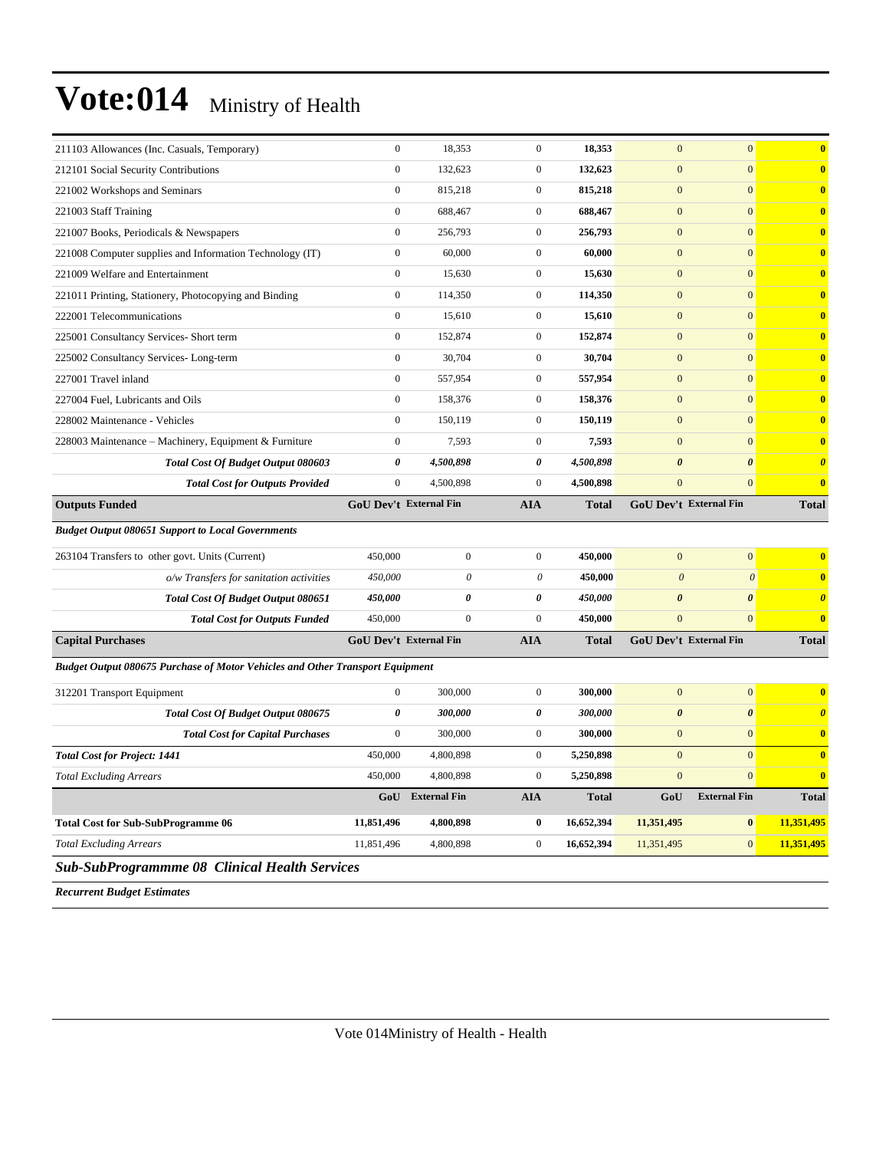| <b>Sub-SubProgrammme 08 Clinical Health Services</b>                                 |                                      |                        |                                           |                         |                                       |                                       |                                                    |
|--------------------------------------------------------------------------------------|--------------------------------------|------------------------|-------------------------------------------|-------------------------|---------------------------------------|---------------------------------------|----------------------------------------------------|
| <b>Total Excluding Arrears</b>                                                       | 11,851,496                           | 4,800,898              | $\boldsymbol{0}$                          | 16,652,394              | 11,351,495                            | $\mathbf{0}$                          | 11,351,495                                         |
| <b>Total Cost for Sub-SubProgramme 06</b>                                            | 11,851,496                           | 4,800,898              | $\bf{0}$                                  | 16,652,394              | 11,351,495                            | $\bf{0}$                              | 11,351,495                                         |
|                                                                                      | GoU                                  | <b>External Fin</b>    | <b>AIA</b>                                | <b>Total</b>            | GoU                                   | <b>External Fin</b>                   | <b>Total</b>                                       |
| <b>Total Excluding Arrears</b>                                                       | 450,000                              | 4,800,898              | $\boldsymbol{0}$                          | 5,250,898               | $\overline{0}$                        | $\overline{0}$                        | $\overline{\mathbf{0}}$                            |
| <b>Total Cost for Project: 1441</b>                                                  | 450,000                              | 4,800,898              | $\boldsymbol{0}$                          | 5,250,898               | $\mathbf{0}$                          | $\mathbf{0}$                          | $\overline{\mathbf{0}}$                            |
| <b>Total Cost for Capital Purchases</b>                                              | $\mathbf{0}$                         | 300,000                | $\mathbf{0}$                              | 300,000                 | $\mathbf{0}$                          | $\mathbf{0}$                          | $\bf{0}$                                           |
| 312201 Transport Equipment<br>Total Cost Of Budget Output 080675                     | 0                                    | 300,000                | 0                                         | 300,000                 | $\boldsymbol{\theta}$                 | $\boldsymbol{\theta}$                 | $\boldsymbol{\theta}$                              |
|                                                                                      | $\overline{0}$                       | 300,000                | $\mathbf{0}$                              | 300,000                 | $\overline{0}$                        | $\overline{0}$                        | $\bf{0}$                                           |
| <b>Budget Output 080675 Purchase of Motor Vehicles and Other Transport Equipment</b> |                                      |                        |                                           |                         |                                       |                                       |                                                    |
| <b>Total Cost for Outputs Funded</b><br><b>Capital Purchases</b>                     |                                      | GoU Dev't External Fin | AIA                                       | 450,000<br><b>Total</b> | GoU Dev't External Fin                |                                       | <b>Total</b>                                       |
| Total Cost Of Budget Output 080651                                                   | 450,000<br>450,000                   | 0<br>$\mathbf{0}$      | $\boldsymbol{\theta}$<br>$\boldsymbol{0}$ | 450,000                 | $\boldsymbol{\theta}$<br>$\mathbf{0}$ | $\boldsymbol{\theta}$<br>$\mathbf{0}$ | $\boldsymbol{\theta}$<br>$\overline{\mathbf{0}}$   |
| o/w Transfers for sanitation activities                                              | 450,000                              | $\boldsymbol{\theta}$  | $\theta$                                  | 450,000                 | $\boldsymbol{\theta}$                 | $\boldsymbol{\theta}$                 | $\bf{0}$                                           |
| 263104 Transfers to other govt. Units (Current)                                      | 450,000                              | $\boldsymbol{0}$       | $\mathbf{0}$                              | 450,000                 | $\mathbf{0}$                          | $\boldsymbol{0}$                      | $\bf{0}$                                           |
|                                                                                      |                                      |                        |                                           |                         |                                       |                                       |                                                    |
| <b>Budget Output 080651 Support to Local Governments</b>                             |                                      |                        |                                           |                         |                                       |                                       |                                                    |
| <b>Outputs Funded</b>                                                                |                                      | GoU Dev't External Fin | <b>AIA</b>                                | <b>Total</b>            | GoU Dev't External Fin                |                                       | <b>Total</b>                                       |
| <b>Total Cost for Outputs Provided</b>                                               | $\overline{0}$                       | 4,500,898              | $\mathbf{0}$                              | 4,500,898               | $\overline{0}$                        | $\overline{0}$                        | $\bf{0}$                                           |
| Total Cost Of Budget Output 080603                                                   | 0                                    | 4,500,898              | $\boldsymbol{\theta}$                     | 4,500,898               | $\boldsymbol{\theta}$                 | $\boldsymbol{\theta}$                 | $\boldsymbol{\theta}$                              |
| 228003 Maintenance – Machinery, Equipment & Furniture                                | $\overline{0}$                       | 7,593                  | $\mathbf{0}$                              | 7,593                   | $\mathbf{0}$                          | $\mathbf{0}$                          | $\bf{0}$                                           |
| 227004 Fuel, Lubricants and Oils<br>228002 Maintenance - Vehicles                    | $\overline{0}$                       | 150,119                | $\boldsymbol{0}$                          | 158,376<br>150,119      | $\mathbf{0}$                          | $\mathbf{0}$                          | $\bf{0}$                                           |
| 227001 Travel inland                                                                 | $\boldsymbol{0}$<br>$\boldsymbol{0}$ | 557,954<br>158,376     | $\boldsymbol{0}$<br>$\boldsymbol{0}$      | 557,954                 | $\boldsymbol{0}$<br>$\boldsymbol{0}$  | $\boldsymbol{0}$<br>$\boldsymbol{0}$  | $\bf{0}$                                           |
| 225002 Consultancy Services-Long-term                                                | $\boldsymbol{0}$                     | 30,704                 | $\boldsymbol{0}$                          | 30,704                  | $\mathbf{0}$                          | $\mathbf{0}$                          | $\overline{\mathbf{0}}$<br>$\overline{\mathbf{0}}$ |
| 225001 Consultancy Services- Short term                                              | $\overline{0}$                       | 152,874                | $\boldsymbol{0}$                          | 152,874                 | $\mathbf{0}$                          | $\mathbf{0}$                          | $\bf{0}$                                           |
| 222001 Telecommunications                                                            | $\overline{0}$                       | 15,610                 | $\mathbf{0}$                              | 15,610                  | $\mathbf{0}$                          | $\mathbf{0}$                          | $\bf{0}$                                           |
| 221011 Printing, Stationery, Photocopying and Binding                                | $\mathbf{0}$                         | 114,350                | $\mathbf{0}$                              | 114,350                 | $\mathbf{0}$                          | $\mathbf{0}$                          | $\bf{0}$                                           |
| 221009 Welfare and Entertainment                                                     | $\overline{0}$                       | 15,630                 | $\mathbf{0}$                              | 15,630                  | $\mathbf{0}$                          | $\overline{0}$                        | $\overline{\mathbf{0}}$                            |
| 221008 Computer supplies and Information Technology (IT)                             | $\boldsymbol{0}$                     | 60,000                 | $\boldsymbol{0}$                          | 60,000                  | $\mathbf{0}$                          | $\mathbf{0}$                          | $\bf{0}$                                           |
| 221007 Books, Periodicals & Newspapers                                               | $\overline{0}$                       | 256,793                | $\mathbf{0}$                              | 256,793                 | $\mathbf{0}$                          | $\overline{0}$                        | $\bf{0}$                                           |
| 221003 Staff Training                                                                | $\overline{0}$                       | 688,467                | $\boldsymbol{0}$                          | 688,467                 | $\mathbf{0}$                          | $\mathbf{0}$                          | $\bf{0}$                                           |
| 221002 Workshops and Seminars                                                        | $\mathbf{0}$                         | 815,218                | $\boldsymbol{0}$                          | 815,218                 | $\mathbf{0}$                          | $\mathbf{0}$                          | $\bf{0}$                                           |
| 212101 Social Security Contributions                                                 | $\overline{0}$                       | 132,623                | $\mathbf{0}$                              | 132,623                 | $\mathbf{0}$                          | $\overline{0}$                        | $\bf{0}$                                           |
| 211103 Allowances (Inc. Casuals, Temporary)                                          | $\overline{0}$                       | 18,353                 | $\mathbf{0}$                              | 18,353                  | $\overline{0}$                        | $\mathbf{0}$                          | $\bf{0}$                                           |
|                                                                                      |                                      |                        |                                           |                         |                                       |                                       |                                                    |

*Recurrent Budget Estimates*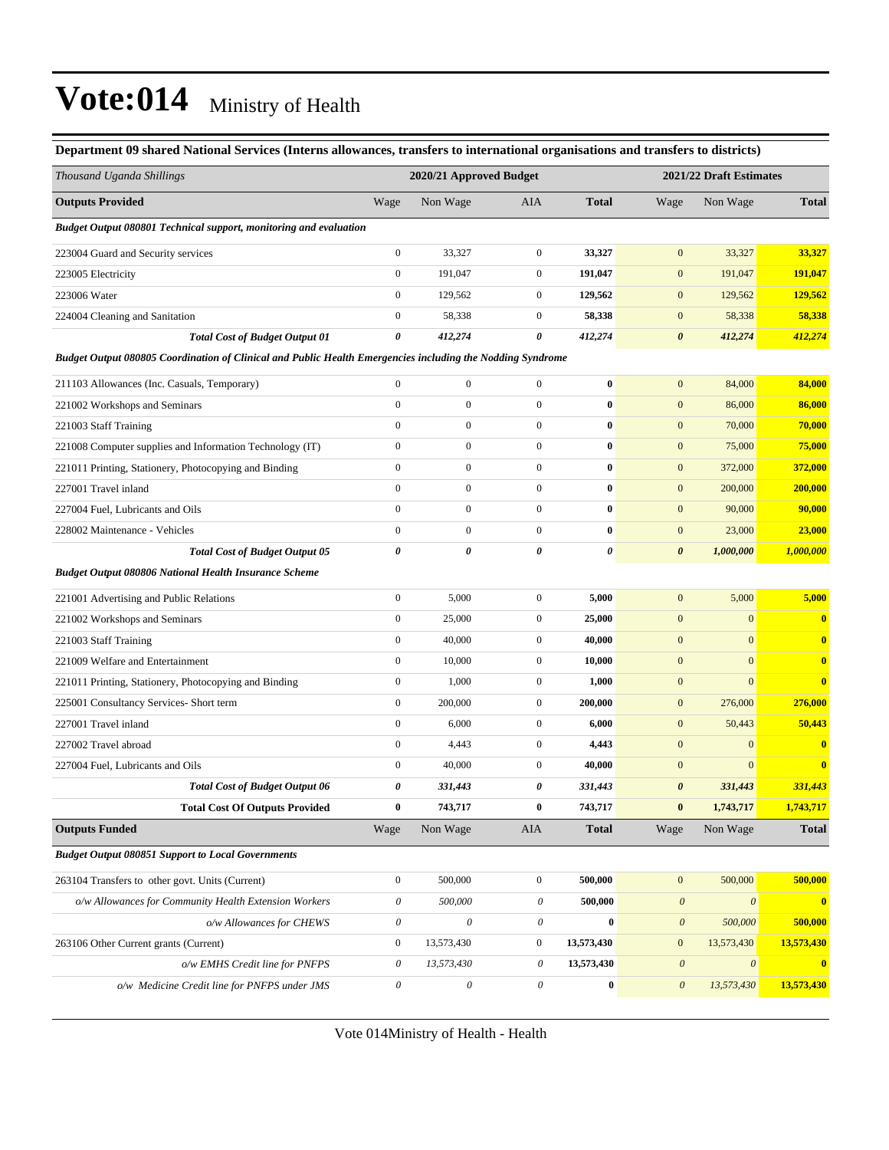| Department 09 shared National Services (Interns allowances, transfers to international organisations and transfers to districts) |                           |                         |                  |              |                         |                           |                         |  |
|----------------------------------------------------------------------------------------------------------------------------------|---------------------------|-------------------------|------------------|--------------|-------------------------|---------------------------|-------------------------|--|
| Thousand Uganda Shillings                                                                                                        |                           | 2020/21 Approved Budget |                  |              | 2021/22 Draft Estimates |                           |                         |  |
| <b>Outputs Provided</b>                                                                                                          | Wage                      | Non Wage                | AIA              | <b>Total</b> | Wage                    | Non Wage                  | <b>Total</b>            |  |
| <b>Budget Output 080801 Technical support, monitoring and evaluation</b>                                                         |                           |                         |                  |              |                         |                           |                         |  |
| 223004 Guard and Security services                                                                                               | $\boldsymbol{0}$          | 33,327                  | $\boldsymbol{0}$ | 33,327       | $\mathbf{0}$            | 33,327                    | 33,327                  |  |
| 223005 Electricity                                                                                                               | $\boldsymbol{0}$          | 191,047                 | $\boldsymbol{0}$ | 191,047      | $\mathbf{0}$            | 191,047                   | 191,047                 |  |
| 223006 Water                                                                                                                     | $\overline{0}$            | 129,562                 | $\boldsymbol{0}$ | 129,562      | $\mathbf{0}$            | 129,562                   | 129,562                 |  |
| 224004 Cleaning and Sanitation                                                                                                   | $\boldsymbol{0}$          | 58,338                  | $\boldsymbol{0}$ | 58,338       | $\mathbf{0}$            | 58,338                    | 58,338                  |  |
| <b>Total Cost of Budget Output 01</b>                                                                                            | 0                         | 412,274                 | 0                | 412,274      | $\boldsymbol{\theta}$   | 412,274                   | 412,274                 |  |
| Budget Output 080805 Coordination of Clinical and Public Health Emergencies including the Nodding Syndrome                       |                           |                         |                  |              |                         |                           |                         |  |
| 211103 Allowances (Inc. Casuals, Temporary)                                                                                      | $\boldsymbol{0}$          | $\boldsymbol{0}$        | $\boldsymbol{0}$ | $\bf{0}$     | $\mathbf{0}$            | 84,000                    | 84,000                  |  |
| 221002 Workshops and Seminars                                                                                                    | $\boldsymbol{0}$          | $\boldsymbol{0}$        | $\boldsymbol{0}$ | $\bf{0}$     | $\mathbf{0}$            | 86,000                    | 86,000                  |  |
| 221003 Staff Training                                                                                                            | $\boldsymbol{0}$          | $\boldsymbol{0}$        | $\boldsymbol{0}$ | $\bf{0}$     | $\boldsymbol{0}$        | 70,000                    | 70,000                  |  |
| 221008 Computer supplies and Information Technology (IT)                                                                         | $\boldsymbol{0}$          | $\boldsymbol{0}$        | $\boldsymbol{0}$ | $\bf{0}$     | $\boldsymbol{0}$        | 75,000                    | 75,000                  |  |
| 221011 Printing, Stationery, Photocopying and Binding                                                                            | $\boldsymbol{0}$          | $\boldsymbol{0}$        | $\boldsymbol{0}$ | $\bf{0}$     | $\boldsymbol{0}$        | 372,000                   | 372,000                 |  |
| 227001 Travel inland                                                                                                             | $\boldsymbol{0}$          | $\boldsymbol{0}$        | $\boldsymbol{0}$ | $\bf{0}$     | $\boldsymbol{0}$        | 200,000                   | 200,000                 |  |
| 227004 Fuel, Lubricants and Oils                                                                                                 | $\boldsymbol{0}$          | $\boldsymbol{0}$        | $\boldsymbol{0}$ | $\bf{0}$     | $\mathbf{0}$            | 90,000                    | 90,000                  |  |
| 228002 Maintenance - Vehicles                                                                                                    | $\boldsymbol{0}$          | $\boldsymbol{0}$        | $\overline{0}$   | $\bf{0}$     | $\boldsymbol{0}$        | 23,000                    | 23,000                  |  |
| <b>Total Cost of Budget Output 05</b>                                                                                            | 0                         | 0                       | 0                | 0            | $\boldsymbol{\theta}$   | 1,000,000                 | 1,000,000               |  |
| <b>Budget Output 080806 National Health Insurance Scheme</b>                                                                     |                           |                         |                  |              |                         |                           |                         |  |
| 221001 Advertising and Public Relations                                                                                          | $\boldsymbol{0}$          | 5,000                   | $\boldsymbol{0}$ | 5,000        | $\boldsymbol{0}$        | 5,000                     | 5,000                   |  |
| 221002 Workshops and Seminars                                                                                                    | $\boldsymbol{0}$          | 25,000                  | $\boldsymbol{0}$ | 25,000       | $\boldsymbol{0}$        | $\mathbf{0}$              | $\bf{0}$                |  |
| 221003 Staff Training                                                                                                            | $\boldsymbol{0}$          | 40,000                  | $\boldsymbol{0}$ | 40,000       | $\mathbf{0}$            | $\boldsymbol{0}$          | $\bf{0}$                |  |
| 221009 Welfare and Entertainment                                                                                                 | $\boldsymbol{0}$          | 10,000                  | $\boldsymbol{0}$ | 10,000       | $\mathbf{0}$            | $\mathbf{0}$              | $\overline{\mathbf{0}}$ |  |
| 221011 Printing, Stationery, Photocopying and Binding                                                                            | $\boldsymbol{0}$          | 1,000                   | $\boldsymbol{0}$ | 1,000        | $\mathbf{0}$            | $\mathbf{0}$              | $\overline{\mathbf{0}}$ |  |
| 225001 Consultancy Services- Short term                                                                                          | $\boldsymbol{0}$          | 200,000                 | $\boldsymbol{0}$ | 200,000      | $\boldsymbol{0}$        | 276,000                   | 276,000                 |  |
| 227001 Travel inland                                                                                                             | $\boldsymbol{0}$          | 6,000                   | $\boldsymbol{0}$ | 6,000        | $\boldsymbol{0}$        | 50,443                    | 50,443                  |  |
| 227002 Travel abroad                                                                                                             | $\boldsymbol{0}$          | 4,443                   | $\boldsymbol{0}$ | 4,443        | $\mathbf{0}$            | $\boldsymbol{0}$          | $\bf{0}$                |  |
| 227004 Fuel, Lubricants and Oils                                                                                                 | $\boldsymbol{0}$          | 40,000                  | $\boldsymbol{0}$ | 40,000       | $\mathbf{0}$            | $\boldsymbol{0}$          | $\bf{0}$                |  |
| <b>Total Cost of Budget Output 06</b>                                                                                            | 0                         | 331,443                 | 0                | 331,443      | $\boldsymbol{\theta}$   | 331,443                   | 331,443                 |  |
| <b>Total Cost Of Outputs Provided</b>                                                                                            | 0                         | 743,717                 | $\bf{0}$         | 743,717      | $\bf{0}$                | 1,743,717                 | 1,743,717               |  |
| <b>Outputs Funded</b>                                                                                                            | Wage                      | Non Wage                | AIA              | <b>Total</b> | Wage                    | Non Wage                  | <b>Total</b>            |  |
| <b>Budget Output 080851 Support to Local Governments</b>                                                                         |                           |                         |                  |              |                         |                           |                         |  |
| 263104 Transfers to other govt. Units (Current)                                                                                  | $\boldsymbol{0}$          | 500,000                 | $\boldsymbol{0}$ | 500,000      | $\boldsymbol{0}$        | 500,000                   | 500,000                 |  |
| o/w Allowances for Community Health Extension Workers                                                                            | $\boldsymbol{\theta}$     | 500,000                 | 0                | 500,000      | $\boldsymbol{\theta}$   | $\boldsymbol{\mathit{0}}$ | $\bf{0}$                |  |
| o/w Allowances for CHEWS                                                                                                         | $\boldsymbol{\mathit{0}}$ | $\boldsymbol{\theta}$   | 0                | $\bf{0}$     | $\boldsymbol{\theta}$   | 500,000                   | 500,000                 |  |
| 263106 Other Current grants (Current)                                                                                            | $\boldsymbol{0}$          | 13,573,430              | $\boldsymbol{0}$ | 13,573,430   | $\boldsymbol{0}$        | 13,573,430                | 13,573,430              |  |
| o/w EMHS Credit line for PNFPS                                                                                                   | $\boldsymbol{\theta}$     | 13,573,430              | 0                | 13,573,430   | $\boldsymbol{\theta}$   | $\boldsymbol{\theta}$     | $\boldsymbol{0}$        |  |
| o/w Medicine Credit line for PNFPS under JMS                                                                                     | $\boldsymbol{\theta}$     | $\mathcal O$            | 0                | $\bf{0}$     | $\boldsymbol{\theta}$   | 13,573,430                | 13,573,430              |  |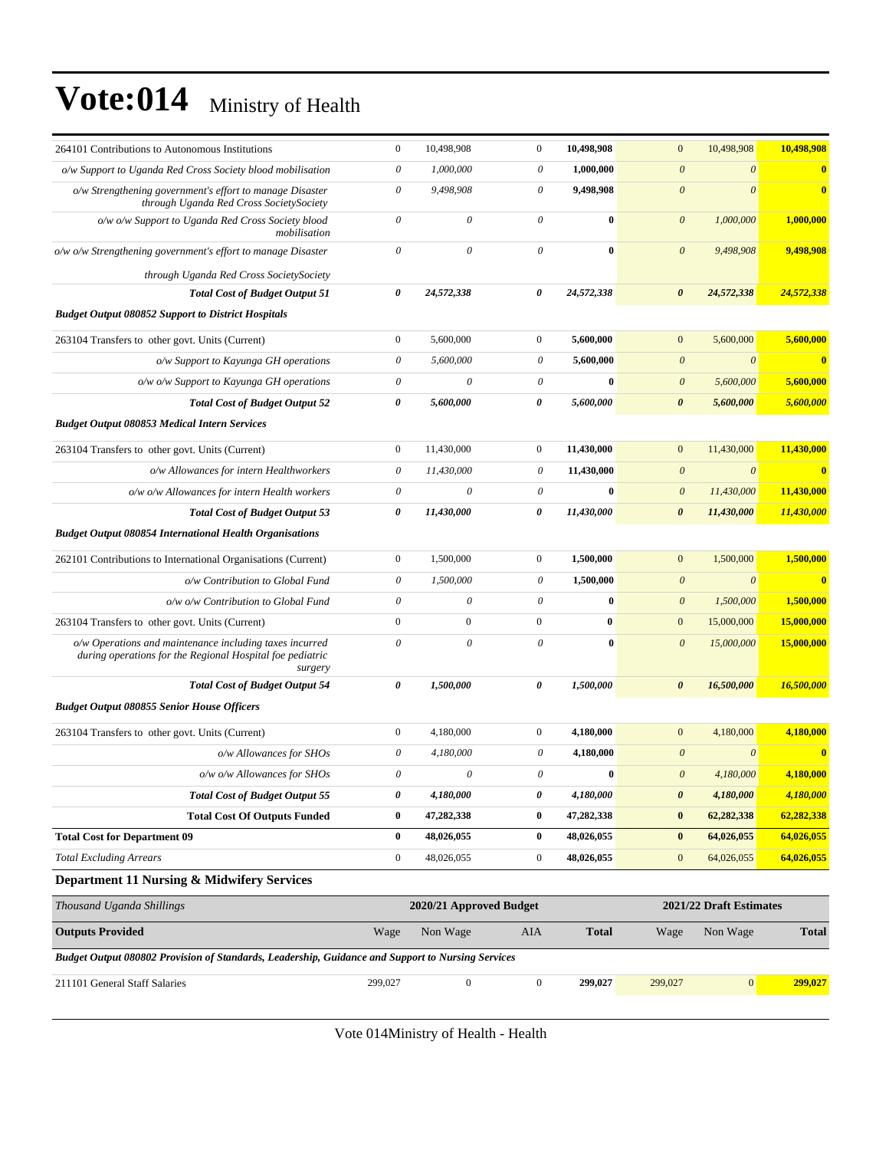| 264101 Contributions to Autonomous Institutions                                                                                 | $\boldsymbol{0}$          | 10,498,908                | $\boldsymbol{0}$      | 10,498,908   | $\mathbf{0}$          | 10,498,908              | 10,498,908              |
|---------------------------------------------------------------------------------------------------------------------------------|---------------------------|---------------------------|-----------------------|--------------|-----------------------|-------------------------|-------------------------|
| o/w Support to Uganda Red Cross Society blood mobilisation                                                                      | $\boldsymbol{\theta}$     | 1,000,000                 | $\theta$              | 1,000,000    | $\theta$              | $\boldsymbol{\theta}$   | $\bf{0}$                |
| o/w Strengthening government's effort to manage Disaster<br>through Uganda Red Cross SocietySociety                             | $\boldsymbol{\mathit{0}}$ | 9,498,908                 | $\boldsymbol{\theta}$ | 9,498,908    | $\boldsymbol{\theta}$ | $\theta$                | $\overline{\mathbf{0}}$ |
| o/w o/w Support to Uganda Red Cross Society blood<br>mobilisation                                                               | $\theta$                  | $\theta$                  | $\theta$              | $\bf{0}$     | $\theta$              | 1,000,000               | 1,000,000               |
| o/w o/w Strengthening government's effort to manage Disaster                                                                    | $\theta$                  | $\theta$                  | $\theta$              | $\bf{0}$     | $\boldsymbol{\theta}$ | 9,498,908               | 9,498,908               |
| through Uganda Red Cross SocietySociety                                                                                         |                           |                           |                       |              |                       |                         |                         |
| <b>Total Cost of Budget Output 51</b>                                                                                           | 0                         | 24,572,338                | 0                     | 24,572,338   | 0                     | 24,572,338              | 24,572,338              |
| <b>Budget Output 080852 Support to District Hospitals</b>                                                                       |                           |                           |                       |              |                       |                         |                         |
| 263104 Transfers to other govt. Units (Current)                                                                                 | $\boldsymbol{0}$          | 5,600,000                 | $\mathbf{0}$          | 5,600,000    | $\mathbf{0}$          | 5,600,000               | 5,600,000               |
| o/w Support to Kayunga GH operations                                                                                            | $\theta$                  | 5,600,000                 | 0                     | 5,600,000    | $\boldsymbol{\theta}$ | $\boldsymbol{\theta}$   | $\bf{0}$                |
| o/w o/w Support to Kayunga GH operations                                                                                        | $\theta$                  | $\boldsymbol{\mathit{0}}$ | $\boldsymbol{\theta}$ | $\bf{0}$     | $\theta$              | 5,600,000               | 5,600,000               |
| <b>Total Cost of Budget Output 52</b>                                                                                           | $\boldsymbol{\theta}$     | 5,600,000                 | $\boldsymbol{\theta}$ | 5,600,000    | $\boldsymbol{\theta}$ | 5,600,000               | 5,600,000               |
| <b>Budget Output 080853 Medical Intern Services</b>                                                                             |                           |                           |                       |              |                       |                         |                         |
| 263104 Transfers to other govt. Units (Current)                                                                                 | $\boldsymbol{0}$          | 11,430,000                | $\boldsymbol{0}$      | 11,430,000   | $\boldsymbol{0}$      | 11,430,000              | 11,430,000              |
| o/w Allowances for intern Healthworkers                                                                                         | $\boldsymbol{\theta}$     | 11,430,000                | 0                     | 11,430,000   | $\theta$              | $\boldsymbol{\theta}$   | $\bf{0}$                |
| o/w o/w Allowances for intern Health workers                                                                                    | $\theta$                  | $\theta$                  | 0                     | $\bf{0}$     | $\boldsymbol{\theta}$ | 11,430,000              | 11,430,000              |
| <b>Total Cost of Budget Output 53</b>                                                                                           | $\boldsymbol{\theta}$     | 11,430,000                | 0                     | 11,430,000   | $\boldsymbol{\theta}$ | 11,430,000              | 11,430,000              |
| <b>Budget Output 080854 International Health Organisations</b>                                                                  |                           |                           |                       |              |                       |                         |                         |
| 262101 Contributions to International Organisations (Current)                                                                   | $\mathbf{0}$              | 1,500,000                 | $\mathbf{0}$          | 1,500,000    | $\mathbf{0}$          | 1,500,000               | 1,500,000               |
| o/w Contribution to Global Fund                                                                                                 | $\theta$                  | 1,500,000                 | $\theta$              | 1,500,000    | $\boldsymbol{\theta}$ | $\theta$                | $\overline{\mathbf{0}}$ |
| o/w o/w Contribution to Global Fund                                                                                             | $\boldsymbol{\theta}$     | 0                         | 0                     | $\bf{0}$     | $\theta$              | 1,500,000               | 1,500,000               |
| 263104 Transfers to other govt. Units (Current)                                                                                 | $\boldsymbol{0}$          | $\boldsymbol{0}$          | $\boldsymbol{0}$      | $\bf{0}$     | $\boldsymbol{0}$      | 15,000,000              | 15,000,000              |
| o/w Operations and maintenance including taxes incurred<br>during operations for the Regional Hospital foe pediatric<br>surgery | $\theta$                  | $\theta$                  | $\theta$              | $\bf{0}$     | $\boldsymbol{\theta}$ | 15,000,000              | 15,000,000              |
| <b>Total Cost of Budget Output 54</b>                                                                                           | $\boldsymbol{\theta}$     | 1,500,000                 | $\boldsymbol{\theta}$ | 1,500,000    | $\boldsymbol{\theta}$ | 16,500,000              | 16,500,000              |
| <b>Budget Output 080855 Senior House Officers</b>                                                                               |                           |                           |                       |              |                       |                         |                         |
| 263104 Transfers to other govt. Units (Current)                                                                                 | $\boldsymbol{0}$          | 4,180,000                 | $\mathbf{0}$          | 4,180,000    | $\mathbf{0}$          | 4,180,000               | 4,180,000               |
| o/w Allowances for SHOs                                                                                                         | $\theta$                  | 4,180,000                 | 0                     | 4,180,000    | $\theta$              | $\theta$                | $\overline{\mathbf{0}}$ |
| o/w o/w Allowances for SHOs                                                                                                     | $\boldsymbol{\mathit{0}}$ | $\theta$                  | $\theta$              | $\bf{0}$     | $\theta$              | 4.180.000               | 4,180,000               |
| <b>Total Cost of Budget Output 55</b>                                                                                           | 0                         | 4,180,000                 | 0                     | 4,180,000    | $\pmb{\theta}$        | 4,180,000               | 4,180,000               |
| <b>Total Cost Of Outputs Funded</b>                                                                                             | $\bf{0}$                  | 47,282,338                | $\boldsymbol{0}$      | 47,282,338   | $\pmb{0}$             | 62,282,338              | 62,282,338              |
| <b>Total Cost for Department 09</b>                                                                                             | $\bf{0}$                  | 48,026,055                | $\bf{0}$              | 48,026,055   | $\bf{0}$              | 64,026,055              | 64,026,055              |
| <b>Total Excluding Arrears</b>                                                                                                  | $\boldsymbol{0}$          | 48,026,055                | $\boldsymbol{0}$      | 48,026,055   | $\mathbf{0}$          | 64,026,055              | 64,026,055              |
| Department 11 Nursing & Midwifery Services                                                                                      |                           |                           |                       |              |                       |                         |                         |
| Thousand Uganda Shillings                                                                                                       |                           | 2020/21 Approved Budget   |                       |              |                       | 2021/22 Draft Estimates |                         |
| <b>Outputs Provided</b>                                                                                                         | Wage                      | Non Wage                  | AIA                   | <b>Total</b> | Wage                  | Non Wage                | <b>Total</b>            |
| Budget Output 080802 Provision of Standards, Leadership, Guidance and Support to Nursing Services                               |                           |                           |                       |              |                       |                         |                         |
| 211101 General Staff Salaries                                                                                                   | 299,027                   | $\boldsymbol{0}$          | $\mathbf{0}$          | 299,027      | 299,027               | 0                       | 299,027                 |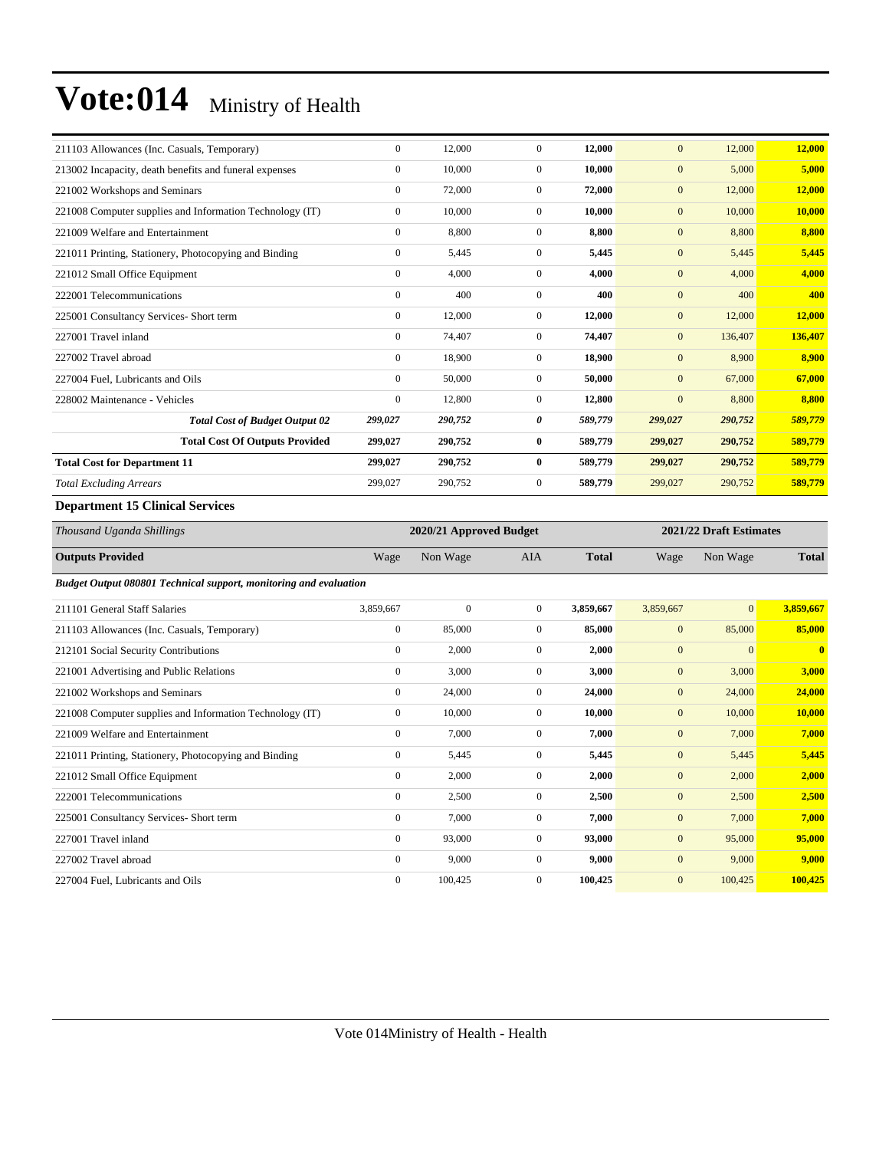| 211103 Allowances (Inc. Casuals, Temporary)              | $\overline{0}$   | 12,000                  | $\mathbf{0}$   | 12,000       | $\overline{0}$ | 12,000                  | 12,000       |  |
|----------------------------------------------------------|------------------|-------------------------|----------------|--------------|----------------|-------------------------|--------------|--|
| 213002 Incapacity, death benefits and funeral expenses   | $\boldsymbol{0}$ | 10,000                  | $\mathbf{0}$   | 10,000       | $\mathbf{0}$   | 5,000                   | 5,000        |  |
| 221002 Workshops and Seminars                            | $\overline{0}$   | 72,000                  | $\mathbf{0}$   | 72,000       | $\mathbf{0}$   | 12,000                  | 12,000       |  |
| 221008 Computer supplies and Information Technology (IT) | $\overline{0}$   | 10,000                  | $\Omega$       | 10,000       | $\mathbf{0}$   | 10,000                  | 10,000       |  |
| 221009 Welfare and Entertainment                         | $\mathbf{0}$     | 8,800                   | $\mathbf{0}$   | 8,800        | $\mathbf{0}$   | 8,800                   | 8,800        |  |
| 221011 Printing, Stationery, Photocopying and Binding    | $\overline{0}$   | 5,445                   | $\overline{0}$ | 5,445        | $\mathbf{0}$   | 5,445                   | 5,445        |  |
| 221012 Small Office Equipment                            | $\overline{0}$   | 4,000                   | $\mathbf{0}$   | 4,000        | $\mathbf{0}$   | 4,000                   | 4,000        |  |
| 222001 Telecommunications                                | $\overline{0}$   | 400                     | $\mathbf{0}$   | 400          | $\mathbf{0}$   | 400                     | 400          |  |
| 225001 Consultancy Services- Short term                  | $\overline{0}$   | 12,000                  | $\overline{0}$ | 12,000       | $\mathbf{0}$   | 12,000                  | 12,000       |  |
| 227001 Travel inland                                     | $\overline{0}$   | 74,407                  | $\Omega$       | 74,407       | $\overline{0}$ | 136,407                 | 136,407      |  |
| 227002 Travel abroad                                     | $\overline{0}$   | 18,900                  | $\mathbf{0}$   | 18,900       | $\overline{0}$ | 8,900                   | 8,900        |  |
| 227004 Fuel, Lubricants and Oils                         | $\overline{0}$   | 50,000                  | $\mathbf{0}$   | 50,000       | $\mathbf{0}$   | 67,000                  | 67,000       |  |
| 228002 Maintenance - Vehicles                            | $\mathbf{0}$     | 12,800                  | $\mathbf{0}$   | 12,800       | $\mathbf{0}$   | 8,800                   | 8,800        |  |
| <b>Total Cost of Budget Output 02</b>                    | 299,027          | 290,752                 | 0              | 589,779      | 299,027        | 290,752                 | 589,779      |  |
| <b>Total Cost Of Outputs Provided</b>                    | 299,027          | 290,752                 | $\bf{0}$       | 589,779      | 299,027        | 290,752                 | 589,779      |  |
| <b>Total Cost for Department 11</b>                      | 299.027          | 290,752                 | $\bf{0}$       | 589,779      | 299,027        | 290,752                 | 589,779      |  |
| <b>Total Excluding Arrears</b>                           | 299,027          | 290,752                 | $\overline{0}$ | 589,779      | 299,027        | 290,752                 | 589,779      |  |
| <b>Department 15 Clinical Services</b>                   |                  |                         |                |              |                |                         |              |  |
| Thousand Uganda Shillings                                |                  | 2020/21 Approved Budget |                |              |                | 2021/22 Draft Estimates |              |  |
| <b>Outputs Provided</b>                                  | Wage             | Non Wage                | <b>AIA</b>     | <b>Total</b> | Wage           | Non Wage                | <b>Total</b> |  |

*Budget Output 080801 Technical support, monitoring and evaluation* 

| 211101 General Staff Salaries                            | 3,859,667      | $\mathbf{0}$ | $\overline{0}$ | 3,859,667 | 3,859,667    | $\vert 0 \vert$ | 3,859,667      |
|----------------------------------------------------------|----------------|--------------|----------------|-----------|--------------|-----------------|----------------|
| 211103 Allowances (Inc. Casuals, Temporary)              | $\mathbf{0}$   | 85,000       | $\overline{0}$ | 85,000    | $\mathbf{0}$ | 85,000          | 85,000         |
| 212101 Social Security Contributions                     | $\mathbf{0}$   | 2,000        | $\Omega$       | 2,000     | $\mathbf{0}$ | $\overline{0}$  | $\overline{0}$ |
| 221001 Advertising and Public Relations                  | $\mathbf{0}$   | 3,000        | $\overline{0}$ | 3,000     | $\mathbf{0}$ | 3,000           | 3,000          |
| 221002 Workshops and Seminars                            | $\mathbf{0}$   | 24,000       | $\overline{0}$ | 24,000    | $\mathbf{0}$ | 24,000          | 24,000         |
| 221008 Computer supplies and Information Technology (IT) | $\mathbf{0}$   | 10,000       | $\overline{0}$ | 10,000    | $\mathbf{0}$ | 10,000          | 10,000         |
| 221009 Welfare and Entertainment                         | $\mathbf{0}$   | 7,000        | $\overline{0}$ | 7,000     | $\mathbf{0}$ | 7,000           | 7,000          |
| 221011 Printing, Stationery, Photocopying and Binding    | $\mathbf{0}$   | 5,445        | $\overline{0}$ | 5,445     | $\mathbf{0}$ | 5,445           | 5,445          |
| 221012 Small Office Equipment                            | $\mathbf{0}$   | 2,000        | $\overline{0}$ | 2,000     | $\mathbf{0}$ | 2,000           | 2,000          |
| 222001 Telecommunications                                | $\mathbf{0}$   | 2,500        | $\mathbf{0}$   | 2,500     | $\mathbf{0}$ | 2,500           | 2,500          |
| 225001 Consultancy Services- Short term                  | $\mathbf{0}$   | 7,000        | $\overline{0}$ | 7,000     | $\mathbf{0}$ | 7,000           | 7,000          |
| 227001 Travel inland                                     | $\mathbf{0}$   | 93,000       | $\overline{0}$ | 93,000    | $\mathbf{0}$ | 95,000          | 95,000         |
| 227002 Travel abroad                                     | $\mathbf{0}$   | 9,000        | $\overline{0}$ | 9,000     | $\mathbf{0}$ | 9,000           | 9,000          |
| 227004 Fuel, Lubricants and Oils                         | $\overline{0}$ | 100,425      | $\overline{0}$ | 100,425   | $\mathbf{0}$ | 100,425         | 100,425        |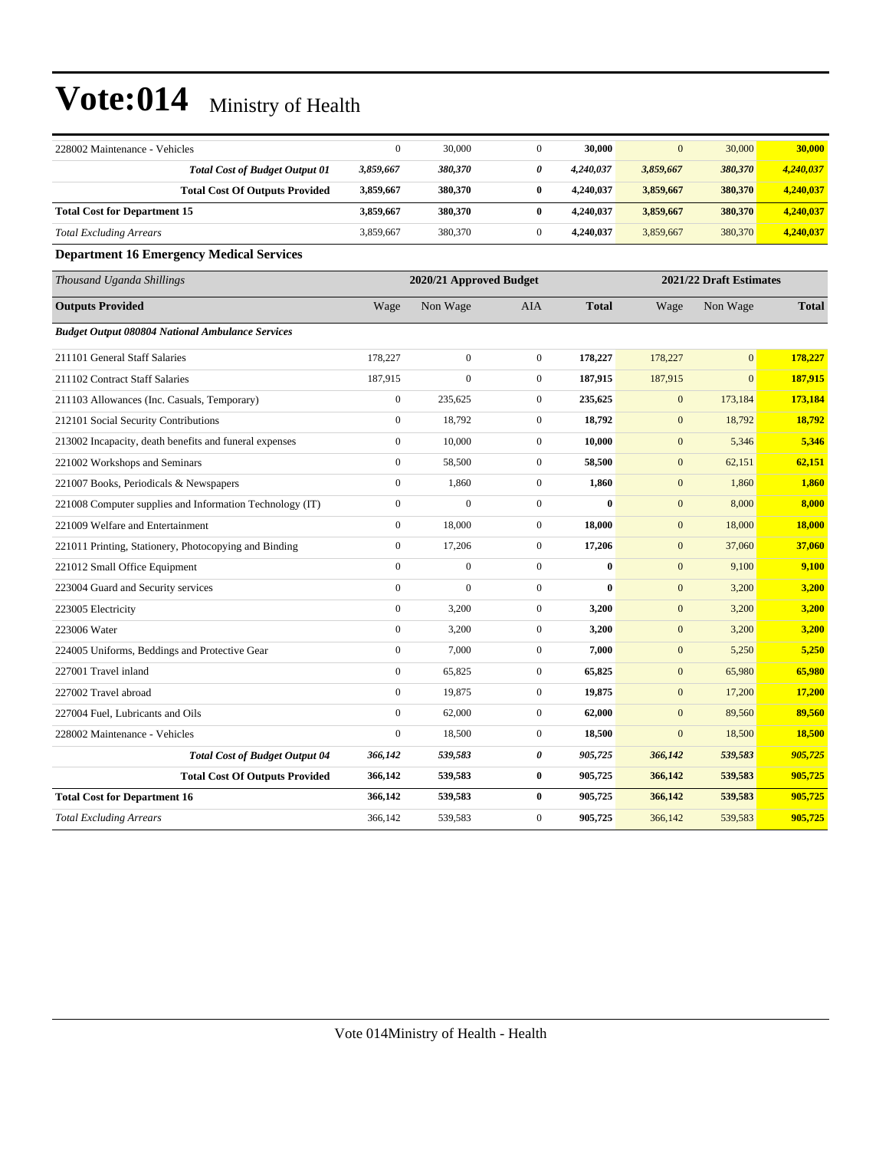| 228002 Maintenance - Vehicles                            | $\boldsymbol{0}$ | 30,000                  | $\boldsymbol{0}$ | 30,000       | $\mathbf{0}$     | 30,000                  | 30,000       |
|----------------------------------------------------------|------------------|-------------------------|------------------|--------------|------------------|-------------------------|--------------|
| <b>Total Cost of Budget Output 01</b>                    | 3,859,667        | 380,370                 | 0                | 4,240,037    | 3,859,667        | 380,370                 | 4,240,037    |
| <b>Total Cost Of Outputs Provided</b>                    | 3,859,667        | 380,370                 | $\bf{0}$         | 4,240,037    | 3,859,667        | 380,370                 | 4,240,037    |
| <b>Total Cost for Department 15</b>                      | 3,859,667        | 380,370                 | $\bf{0}$         | 4,240,037    | 3,859,667        | 380,370                 | 4,240,037    |
| <b>Total Excluding Arrears</b>                           | 3,859,667        | 380,370                 | $\boldsymbol{0}$ | 4,240,037    | 3,859,667        | 380,370                 | 4,240,037    |
| <b>Department 16 Emergency Medical Services</b>          |                  |                         |                  |              |                  |                         |              |
| Thousand Uganda Shillings                                |                  | 2020/21 Approved Budget |                  |              |                  | 2021/22 Draft Estimates |              |
| <b>Outputs Provided</b>                                  | Wage             | Non Wage                | <b>AIA</b>       | <b>Total</b> | Wage             | Non Wage                | <b>Total</b> |
| <b>Budget Output 080804 National Ambulance Services</b>  |                  |                         |                  |              |                  |                         |              |
| 211101 General Staff Salaries                            | 178,227          | $\boldsymbol{0}$        | $\boldsymbol{0}$ | 178,227      | 178,227          | $\mathbf{0}$            | 178,227      |
| 211102 Contract Staff Salaries                           | 187,915          | $\overline{0}$          | $\boldsymbol{0}$ | 187,915      | 187,915          | $\mathbf{0}$            | 187,915      |
| 211103 Allowances (Inc. Casuals, Temporary)              | $\boldsymbol{0}$ | 235,625                 | $\mathbf{0}$     | 235,625      | $\boldsymbol{0}$ | 173,184                 | 173,184      |
| 212101 Social Security Contributions                     | $\mathbf{0}$     | 18,792                  | $\boldsymbol{0}$ | 18,792       | $\boldsymbol{0}$ | 18,792                  | 18,792       |
| 213002 Incapacity, death benefits and funeral expenses   | $\mathbf{0}$     | 10,000                  | $\boldsymbol{0}$ | 10,000       | $\mathbf{0}$     | 5,346                   | 5,346        |
| 221002 Workshops and Seminars                            | $\mathbf{0}$     | 58,500                  | $\boldsymbol{0}$ | 58,500       | $\boldsymbol{0}$ | 62,151                  | 62,151       |
| 221007 Books, Periodicals & Newspapers                   | $\mathbf{0}$     | 1,860                   | $\boldsymbol{0}$ | 1,860        | $\mathbf{0}$     | 1,860                   | 1,860        |
| 221008 Computer supplies and Information Technology (IT) | $\overline{0}$   | $\overline{0}$          | $\mathbf{0}$     | $\bf{0}$     | $\boldsymbol{0}$ | 8,000                   | 8,000        |
| 221009 Welfare and Entertainment                         | $\mathbf{0}$     | 18,000                  | $\boldsymbol{0}$ | 18,000       | $\boldsymbol{0}$ | 18,000                  | 18,000       |
| 221011 Printing, Stationery, Photocopying and Binding    | $\mathbf{0}$     | 17,206                  | $\boldsymbol{0}$ | 17,206       | $\mathbf{0}$     | 37,060                  | 37,060       |
| 221012 Small Office Equipment                            | $\mathbf{0}$     | $\boldsymbol{0}$        | $\boldsymbol{0}$ | $\bf{0}$     | $\boldsymbol{0}$ | 9,100                   | 9,100        |
| 223004 Guard and Security services                       | $\mathbf{0}$     | $\overline{0}$          | $\boldsymbol{0}$ | $\bf{0}$     | $\mathbf{0}$     | 3,200                   | 3,200        |
| 223005 Electricity                                       | $\overline{0}$   | 3,200                   | $\mathbf{0}$     | 3,200        | $\boldsymbol{0}$ | 3,200                   | 3,200        |
| 223006 Water                                             | $\mathbf{0}$     | 3,200                   | $\boldsymbol{0}$ | 3,200        | $\mathbf{0}$     | 3,200                   | 3,200        |
| 224005 Uniforms, Beddings and Protective Gear            | $\mathbf{0}$     | 7,000                   | $\mathbf{0}$     | 7,000        | $\mathbf{0}$     | 5,250                   | 5,250        |
| 227001 Travel inland                                     | $\mathbf{0}$     | 65,825                  | $\boldsymbol{0}$ | 65,825       | $\boldsymbol{0}$ | 65,980                  | 65,980       |
| 227002 Travel abroad                                     | $\theta$         | 19,875                  | $\boldsymbol{0}$ | 19,875       | $\boldsymbol{0}$ | 17,200                  | 17,200       |
| 227004 Fuel, Lubricants and Oils                         | $\overline{0}$   | 62,000                  | $\boldsymbol{0}$ | 62,000       | $\boldsymbol{0}$ | 89,560                  | 89,560       |
| 228002 Maintenance - Vehicles                            | $\mathbf{0}$     | 18,500                  | $\boldsymbol{0}$ | 18,500       | $\mathbf{0}$     | 18,500                  | 18,500       |
| <b>Total Cost of Budget Output 04</b>                    | 366,142          | 539,583                 | 0                | 905,725      | 366,142          | 539,583                 | 905,725      |
| <b>Total Cost Of Outputs Provided</b>                    | 366,142          | 539,583                 | $\bf{0}$         | 905,725      | 366,142          | 539,583                 | 905,725      |
| <b>Total Cost for Department 16</b>                      | 366,142          | 539,583                 | $\bf{0}$         | 905,725      | 366,142          | 539,583                 | 905,725      |
| <b>Total Excluding Arrears</b>                           | 366,142          | 539,583                 | $\mathbf{0}$     | 905,725      | 366,142          | 539,583                 | 905,725      |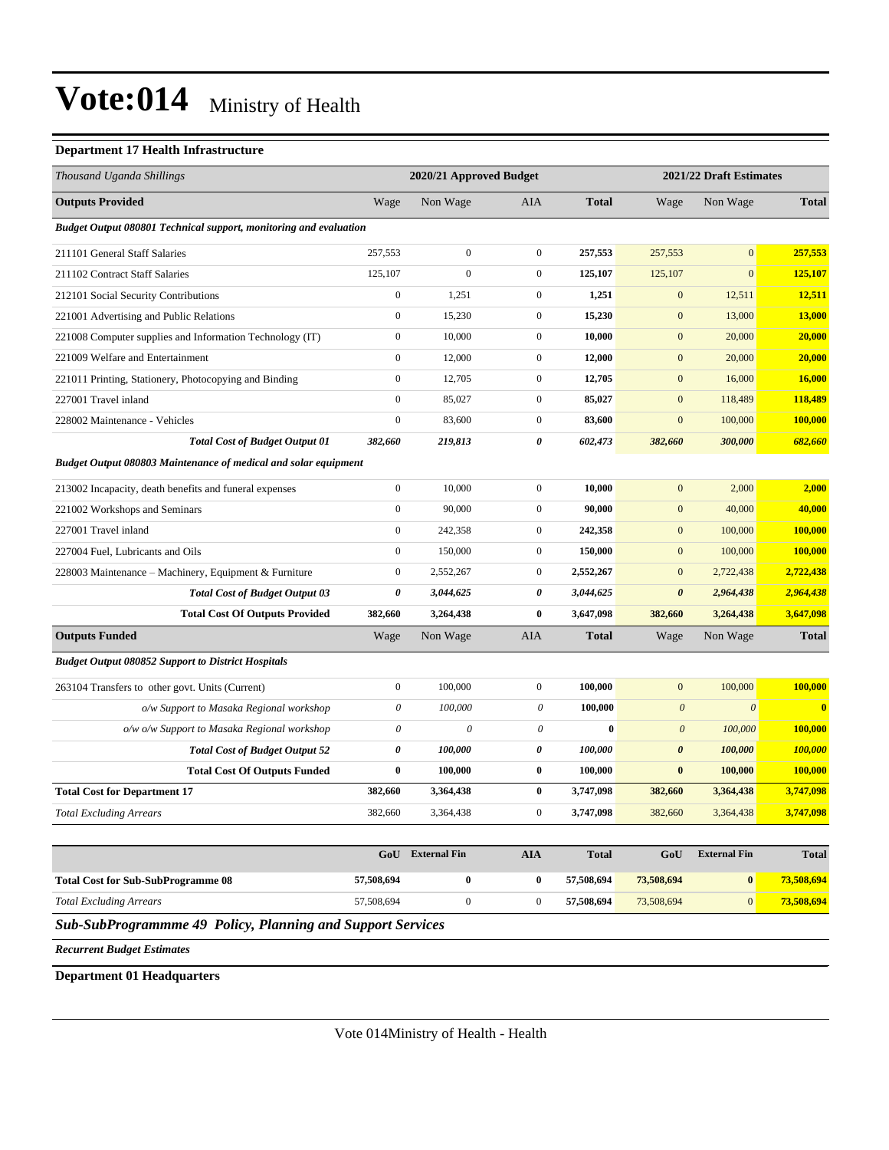#### **Department 17 Health Infrastructure**

| Thousand Uganda Shillings                                         |                           | 2020/21 Approved Budget |                           |              |                       | 2021/22 Draft Estimates |              |
|-------------------------------------------------------------------|---------------------------|-------------------------|---------------------------|--------------|-----------------------|-------------------------|--------------|
| <b>Outputs Provided</b>                                           | Wage                      | Non Wage                | <b>AIA</b>                | <b>Total</b> | Wage                  | Non Wage                | <b>Total</b> |
| Budget Output 080801 Technical support, monitoring and evaluation |                           |                         |                           |              |                       |                         |              |
| 211101 General Staff Salaries                                     | 257,553                   | $\boldsymbol{0}$        | $\boldsymbol{0}$          | 257,553      | 257,553               | $\mathbf{0}$            | 257,553      |
| 211102 Contract Staff Salaries                                    | 125,107                   | $\Omega$                | $\boldsymbol{0}$          | 125,107      | 125,107               | $\overline{0}$          | 125,107      |
| 212101 Social Security Contributions                              | $\boldsymbol{0}$          | 1,251                   | $\boldsymbol{0}$          | 1,251        | $\boldsymbol{0}$      | 12,511                  | 12,511       |
| 221001 Advertising and Public Relations                           | $\boldsymbol{0}$          | 15,230                  | $\boldsymbol{0}$          | 15,230       | $\boldsymbol{0}$      | 13,000                  | 13,000       |
| 221008 Computer supplies and Information Technology (IT)          | $\overline{0}$            | 10,000                  | $\boldsymbol{0}$          | 10,000       | $\mathbf{0}$          | 20,000                  | 20,000       |
| 221009 Welfare and Entertainment                                  | $\overline{0}$            | 12,000                  | $\boldsymbol{0}$          | 12,000       | $\mathbf{0}$          | 20,000                  | 20,000       |
| 221011 Printing, Stationery, Photocopying and Binding             | $\overline{0}$            | 12,705                  | $\mathbf{0}$              | 12,705       | $\mathbf{0}$          | 16,000                  | 16,000       |
| 227001 Travel inland                                              | $\boldsymbol{0}$          | 85,027                  | $\boldsymbol{0}$          | 85,027       | $\mathbf{0}$          | 118,489                 | 118,489      |
| 228002 Maintenance - Vehicles                                     | $\boldsymbol{0}$          | 83,600                  | $\mathbf{0}$              | 83,600       | $\mathbf{0}$          | 100,000                 | 100,000      |
| <b>Total Cost of Budget Output 01</b>                             | 382,660                   | 219,813                 | $\theta$                  | 602,473      | 382,660               | 300,000                 | 682,660      |
| Budget Output 080803 Maintenance of medical and solar equipment   |                           |                         |                           |              |                       |                         |              |
| 213002 Incapacity, death benefits and funeral expenses            | $\boldsymbol{0}$          | 10,000                  | $\boldsymbol{0}$          | 10,000       | $\mathbf{0}$          | 2,000                   | 2,000        |
| 221002 Workshops and Seminars                                     | $\overline{0}$            | 90,000                  | $\overline{0}$            | 90.000       | $\mathbf{0}$          | 40,000                  | 40,000       |
| 227001 Travel inland                                              | $\boldsymbol{0}$          | 242,358                 | $\boldsymbol{0}$          | 242,358      | $\boldsymbol{0}$      | 100,000                 | 100,000      |
| 227004 Fuel, Lubricants and Oils                                  | $\boldsymbol{0}$          | 150,000                 | $\boldsymbol{0}$          | 150,000      | $\mathbf{0}$          | 100,000                 | 100,000      |
| 228003 Maintenance - Machinery, Equipment & Furniture             | $\overline{0}$            | 2,552,267               | $\boldsymbol{0}$          | 2,552,267    | $\mathbf{0}$          | 2,722,438               | 2,722,438    |
| <b>Total Cost of Budget Output 03</b>                             | 0                         | 3,044,625               | $\theta$                  | 3,044,625    | $\boldsymbol{\theta}$ | 2,964,438               | 2,964,438    |
| <b>Total Cost Of Outputs Provided</b>                             | 382,660                   | 3,264,438               | $\bf{0}$                  | 3,647,098    | 382,660               | 3,264,438               | 3,647,098    |
| <b>Outputs Funded</b>                                             | Wage                      | Non Wage                | <b>AIA</b>                | <b>Total</b> | Wage                  | Non Wage                | <b>Total</b> |
| <b>Budget Output 080852 Support to District Hospitals</b>         |                           |                         |                           |              |                       |                         |              |
| 263104 Transfers to other govt. Units (Current)                   | $\boldsymbol{0}$          | 100,000                 | $\boldsymbol{0}$          | 100,000      | $\mathbf{0}$          | 100,000                 | 100,000      |
| o/w Support to Masaka Regional workshop                           | $\boldsymbol{\mathit{0}}$ | 100,000                 | $\boldsymbol{\mathit{0}}$ | 100,000      | $\boldsymbol{\theta}$ | $\boldsymbol{\theta}$   | $\mathbf{0}$ |
| o/w o/w Support to Masaka Regional workshop                       | $\boldsymbol{\mathit{0}}$ | $\theta$                | $\boldsymbol{\mathit{0}}$ | $\bf{0}$     | $\boldsymbol{\theta}$ | 100,000                 | 100,000      |
| <b>Total Cost of Budget Output 52</b>                             | 0                         | 100,000                 | 0                         | 100,000      | $\boldsymbol{\theta}$ | 100,000                 | 100,000      |
| <b>Total Cost Of Outputs Funded</b>                               | $\bf{0}$                  | 100,000                 | $\bf{0}$                  | 100,000      | $\bf{0}$              | 100,000                 | 100,000      |
| <b>Total Cost for Department 17</b>                               | 382,660                   | 3,364,438               | $\bf{0}$                  | 3,747,098    | 382,660               | 3,364,438               | 3,747,098    |
| <b>Total Excluding Arrears</b>                                    | 382,660                   | 3,364,438               | $\boldsymbol{0}$          | 3,747,098    | 382,660               | 3,364,438               | 3,747,098    |
|                                                                   |                           |                         |                           |              |                       |                         |              |

۳

|                                           | GoU        | <b>External Fin</b> | AIA | <b>Total</b> | GoU        | <b>External Fin</b> | <b>Total</b> |
|-------------------------------------------|------------|---------------------|-----|--------------|------------|---------------------|--------------|
| <b>Total Cost for Sub-SubProgramme 08</b> | 57,508,694 |                     |     | 57.508.694   | 73,508,694 |                     | 73.508.694   |
| <b>Total Excluding Arrears</b>            | 57,508,694 |                     |     | 57.508.694   | 73,508,694 |                     | 73.508.694   |

*Sub-SubProgrammme 49 Policy, Planning and Support Services*

*Recurrent Budget Estimates*

**Department 01 Headquarters**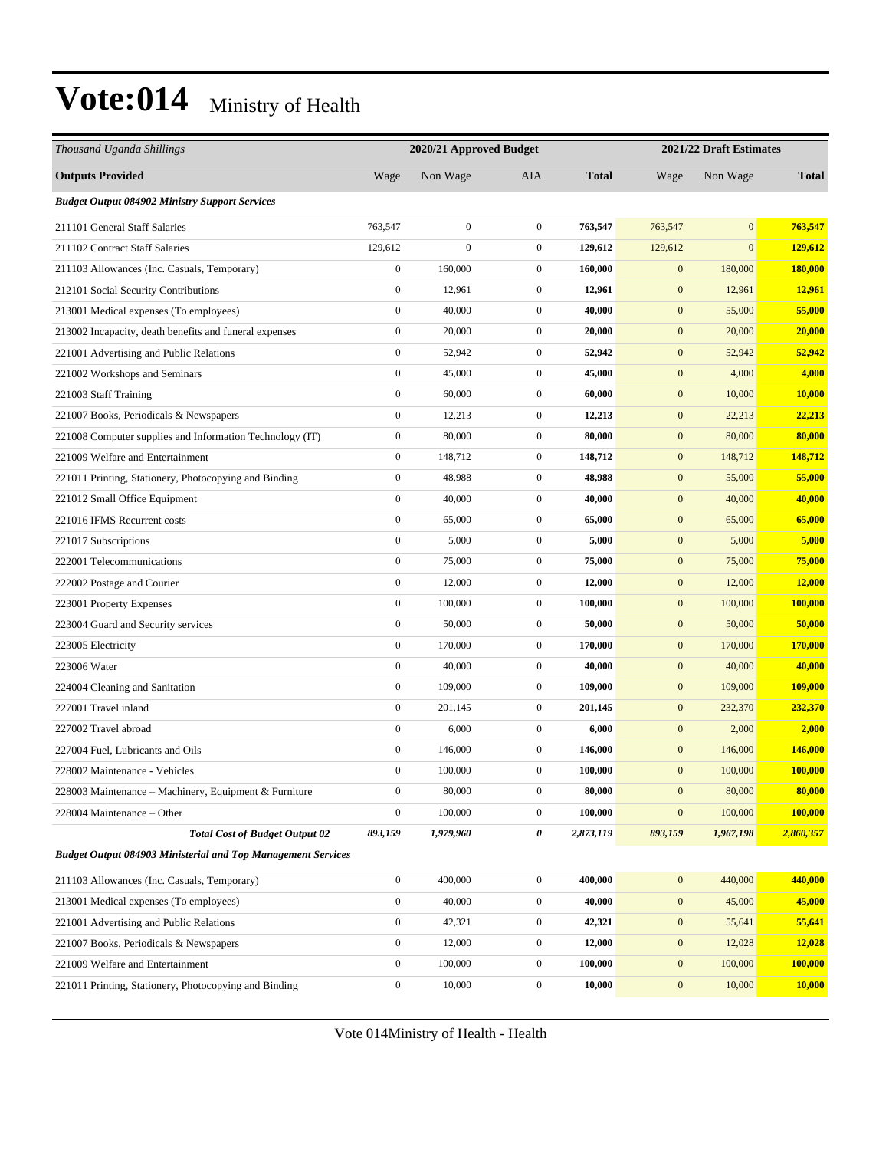| Thousand Uganda Shillings                                           |                  | 2020/21 Approved Budget |                  |              |                  | 2021/22 Draft Estimates |              |  |
|---------------------------------------------------------------------|------------------|-------------------------|------------------|--------------|------------------|-------------------------|--------------|--|
| <b>Outputs Provided</b>                                             | Wage             | Non Wage                | <b>AIA</b>       | <b>Total</b> | Wage             | Non Wage                | <b>Total</b> |  |
| <b>Budget Output 084902 Ministry Support Services</b>               |                  |                         |                  |              |                  |                         |              |  |
| 211101 General Staff Salaries                                       | 763,547          | $\overline{0}$          | $\mathbf{0}$     | 763,547      | 763,547          | $\boldsymbol{0}$        | 763,547      |  |
| 211102 Contract Staff Salaries                                      | 129,612          | $\overline{0}$          | $\mathbf{0}$     | 129,612      | 129,612          | $\mathbf{0}$            | 129,612      |  |
| 211103 Allowances (Inc. Casuals, Temporary)                         | $\boldsymbol{0}$ | 160,000                 | $\mathbf{0}$     | 160,000      | $\mathbf{0}$     | 180,000                 | 180,000      |  |
| 212101 Social Security Contributions                                | $\boldsymbol{0}$ | 12,961                  | $\mathbf{0}$     | 12,961       | $\mathbf{0}$     | 12,961                  | 12,961       |  |
| 213001 Medical expenses (To employees)                              | $\boldsymbol{0}$ | 40,000                  | $\mathbf{0}$     | 40,000       | $\boldsymbol{0}$ | 55,000                  | 55,000       |  |
| 213002 Incapacity, death benefits and funeral expenses              | $\boldsymbol{0}$ | 20,000                  | $\boldsymbol{0}$ | 20,000       | $\boldsymbol{0}$ | 20,000                  | 20,000       |  |
| 221001 Advertising and Public Relations                             | $\boldsymbol{0}$ | 52,942                  | $\mathbf{0}$     | 52,942       | $\boldsymbol{0}$ | 52,942                  | 52,942       |  |
| 221002 Workshops and Seminars                                       | $\boldsymbol{0}$ | 45,000                  | $\mathbf{0}$     | 45,000       | $\mathbf{0}$     | 4,000                   | 4,000        |  |
| 221003 Staff Training                                               | $\boldsymbol{0}$ | 60,000                  | $\mathbf{0}$     | 60,000       | $\mathbf{0}$     | 10,000                  | 10,000       |  |
| 221007 Books, Periodicals & Newspapers                              | $\boldsymbol{0}$ | 12,213                  | $\boldsymbol{0}$ | 12,213       | $\boldsymbol{0}$ | 22,213                  | 22,213       |  |
| 221008 Computer supplies and Information Technology (IT)            | $\boldsymbol{0}$ | 80,000                  | $\boldsymbol{0}$ | 80,000       | $\boldsymbol{0}$ | 80,000                  | 80,000       |  |
| 221009 Welfare and Entertainment                                    | $\boldsymbol{0}$ | 148,712                 | $\mathbf{0}$     | 148,712      | $\boldsymbol{0}$ | 148,712                 | 148,712      |  |
| 221011 Printing, Stationery, Photocopying and Binding               | $\boldsymbol{0}$ | 48,988                  | $\mathbf{0}$     | 48,988       | $\boldsymbol{0}$ | 55,000                  | 55,000       |  |
| 221012 Small Office Equipment                                       | $\boldsymbol{0}$ | 40,000                  | $\mathbf{0}$     | 40,000       | $\mathbf{0}$     | 40,000                  | 40,000       |  |
| 221016 IFMS Recurrent costs                                         | $\boldsymbol{0}$ | 65,000                  | $\mathbf{0}$     | 65,000       | $\boldsymbol{0}$ | 65,000                  | 65,000       |  |
| 221017 Subscriptions                                                | $\boldsymbol{0}$ | 5,000                   | $\boldsymbol{0}$ | 5,000        | $\boldsymbol{0}$ | 5,000                   | 5,000        |  |
| 222001 Telecommunications                                           | $\boldsymbol{0}$ | 75,000                  | $\mathbf{0}$     | 75,000       | $\boldsymbol{0}$ | 75,000                  | 75,000       |  |
| 222002 Postage and Courier                                          | $\boldsymbol{0}$ | 12,000                  | $\mathbf{0}$     | 12,000       | $\boldsymbol{0}$ | 12,000                  | 12,000       |  |
| 223001 Property Expenses                                            | $\boldsymbol{0}$ | 100,000                 | $\mathbf{0}$     | 100,000      | $\mathbf{0}$     | 100,000                 | 100,000      |  |
| 223004 Guard and Security services                                  | $\boldsymbol{0}$ | 50,000                  | $\mathbf{0}$     | 50,000       | $\boldsymbol{0}$ | 50,000                  | 50,000       |  |
| 223005 Electricity                                                  | $\boldsymbol{0}$ | 170,000                 | $\boldsymbol{0}$ | 170,000      | $\boldsymbol{0}$ | 170,000                 | 170,000      |  |
| 223006 Water                                                        | $\boldsymbol{0}$ | 40,000                  | $\mathbf{0}$     | 40,000       | $\boldsymbol{0}$ | 40,000                  | 40,000       |  |
| 224004 Cleaning and Sanitation                                      | $\boldsymbol{0}$ | 109,000                 | $\mathbf{0}$     | 109,000      | $\mathbf{0}$     | 109,000                 | 109,000      |  |
| 227001 Travel inland                                                | $\boldsymbol{0}$ | 201,145                 | $\mathbf{0}$     | 201,145      | $\mathbf{0}$     | 232,370                 | 232,370      |  |
| 227002 Travel abroad                                                | $\boldsymbol{0}$ | 6,000                   | $\mathbf{0}$     | 6,000        | $\mathbf{0}$     | 2,000                   | 2,000        |  |
| 227004 Fuel, Lubricants and Oils                                    | $\boldsymbol{0}$ | 146,000                 | $\boldsymbol{0}$ | 146,000      | $\boldsymbol{0}$ | 146,000                 | 146,000      |  |
| 228002 Maintenance - Vehicles                                       | $\boldsymbol{0}$ | 100,000                 | $\mathbf{0}$     | 100,000      | $\mathbf{0}$     | 100,000                 | 100,000      |  |
| 228003 Maintenance – Machinery, Equipment & Furniture               | $\boldsymbol{0}$ | 80,000                  | $\boldsymbol{0}$ | 80,000       | $\boldsymbol{0}$ | 80,000                  | 80,000       |  |
| 228004 Maintenance - Other                                          | $\boldsymbol{0}$ | 100,000                 | $\boldsymbol{0}$ | 100,000      | $\boldsymbol{0}$ | 100,000                 | 100,000      |  |
| <b>Total Cost of Budget Output 02</b>                               | 893,159          | 1,979,960               | 0                | 2,873,119    | 893,159          | 1,967,198               | 2,860,357    |  |
| <b>Budget Output 084903 Ministerial and Top Management Services</b> |                  |                         |                  |              |                  |                         |              |  |
| 211103 Allowances (Inc. Casuals, Temporary)                         | $\boldsymbol{0}$ | 400,000                 | $\boldsymbol{0}$ | 400,000      | $\boldsymbol{0}$ | 440,000                 | 440,000      |  |
| 213001 Medical expenses (To employees)                              | $\boldsymbol{0}$ | 40,000                  | $\boldsymbol{0}$ | 40,000       | $\boldsymbol{0}$ | 45,000                  | 45,000       |  |
| 221001 Advertising and Public Relations                             | $\boldsymbol{0}$ | 42,321                  | $\boldsymbol{0}$ | 42,321       | $\mathbf{0}$     | 55,641                  | 55,641       |  |
| 221007 Books, Periodicals & Newspapers                              | $\boldsymbol{0}$ | 12,000                  | $\boldsymbol{0}$ | 12,000       | $\boldsymbol{0}$ | 12,028                  | 12,028       |  |
| 221009 Welfare and Entertainment                                    | $\boldsymbol{0}$ | 100,000                 | $\boldsymbol{0}$ | 100,000      | $\boldsymbol{0}$ | 100,000                 | 100,000      |  |
| 221011 Printing, Stationery, Photocopying and Binding               | $\boldsymbol{0}$ | 10,000                  | $\boldsymbol{0}$ | 10,000       | $\mathbf{0}$     | 10,000                  | 10,000       |  |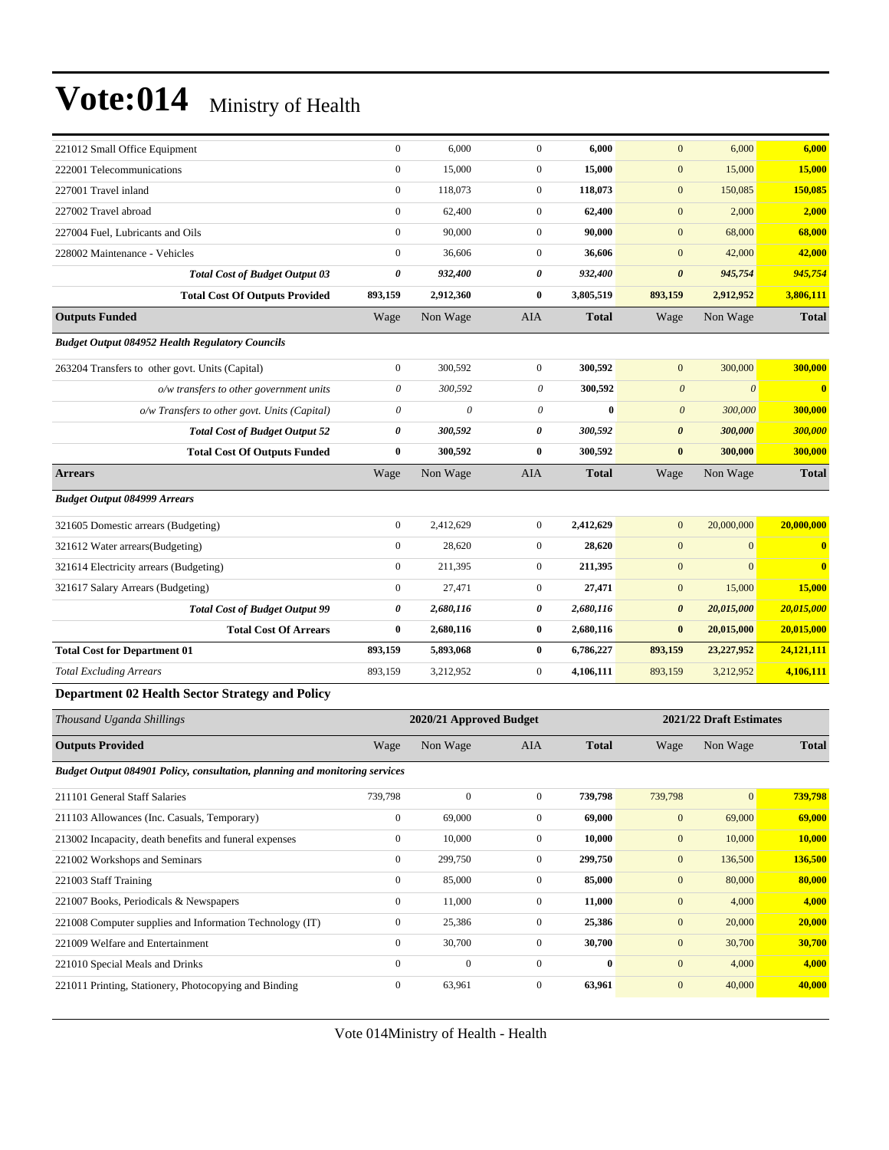| 221012 Small Office Equipment                                               | $\boldsymbol{0}$          | 6,000                   | $\mathbf{0}$              | 6,000        | $\mathbf{0}$            | 6,000          | 6,000                   |
|-----------------------------------------------------------------------------|---------------------------|-------------------------|---------------------------|--------------|-------------------------|----------------|-------------------------|
| 222001 Telecommunications                                                   | $\boldsymbol{0}$          | 15,000                  | $\boldsymbol{0}$          | 15,000       | $\boldsymbol{0}$        | 15,000         | 15,000                  |
| 227001 Travel inland                                                        | $\boldsymbol{0}$          | 118,073                 | $\mathbf{0}$              | 118,073      | $\mathbf{0}$            | 150,085        | 150,085                 |
| 227002 Travel abroad                                                        | $\boldsymbol{0}$          | 62,400                  | $\boldsymbol{0}$          | 62,400       | $\mathbf{0}$            | 2,000          | 2,000                   |
| 227004 Fuel, Lubricants and Oils                                            | $\mathbf{0}$              | 90,000                  | $\boldsymbol{0}$          | 90,000       | $\mathbf{0}$            | 68,000         | 68,000                  |
| 228002 Maintenance - Vehicles                                               | $\boldsymbol{0}$          | 36,606                  | $\boldsymbol{0}$          | 36,606       | $\mathbf{0}$            | 42,000         | 42,000                  |
| <b>Total Cost of Budget Output 03</b>                                       | 0                         | 932,400                 | 0                         | 932,400      | $\boldsymbol{\theta}$   | 945,754        | 945,754                 |
| <b>Total Cost Of Outputs Provided</b>                                       | 893,159                   | 2,912,360               | $\bf{0}$                  | 3,805,519    | 893,159                 | 2,912,952      | 3,806,111               |
| <b>Outputs Funded</b>                                                       | Wage                      | Non Wage                | AIA                       | <b>Total</b> | Wage                    | Non Wage       | <b>Total</b>            |
| <b>Budget Output 084952 Health Regulatory Councils</b>                      |                           |                         |                           |              |                         |                |                         |
| 263204 Transfers to other govt. Units (Capital)                             | $\boldsymbol{0}$          | 300,592                 | $\boldsymbol{0}$          | 300,592      | $\mathbf{0}$            | 300,000        | 300,000                 |
| $o/w$ transfers to other government units                                   | $\boldsymbol{\mathit{0}}$ | 300,592                 | $\theta$                  | 300,592      | $\boldsymbol{\theta}$   | $\theta$       | $\overline{\mathbf{0}}$ |
| o/w Transfers to other govt. Units (Capital)                                | $\boldsymbol{\mathit{0}}$ | $\theta$                | $\boldsymbol{\mathit{0}}$ | $\bf{0}$     | $\boldsymbol{\theta}$   | 300,000        | 300,000                 |
| <b>Total Cost of Budget Output 52</b>                                       | 0                         | 300,592                 | 0                         | 300,592      | $\pmb{\theta}$          | 300,000        | 300,000                 |
| <b>Total Cost Of Outputs Funded</b>                                         | 0                         | 300,592                 | $\bf{0}$                  | 300,592      | $\bf{0}$                | 300,000        | 300,000                 |
| <b>Arrears</b>                                                              | Wage                      | Non Wage                | AIA                       | <b>Total</b> | Wage                    | Non Wage       | <b>Total</b>            |
| <b>Budget Output 084999 Arrears</b>                                         |                           |                         |                           |              |                         |                |                         |
| 321605 Domestic arrears (Budgeting)                                         | $\boldsymbol{0}$          | 2,412,629               | $\boldsymbol{0}$          | 2,412,629    | $\mathbf{0}$            | 20,000,000     | 20,000,000              |
| 321612 Water arrears(Budgeting)                                             | $\mathbf{0}$              | 28,620                  | $\boldsymbol{0}$          | 28,620       | $\mathbf{0}$            | $\mathbf{0}$   | $\bf{0}$                |
| 321614 Electricity arrears (Budgeting)                                      | $\boldsymbol{0}$          | 211,395                 | $\boldsymbol{0}$          | 211,395      | $\mathbf{0}$            | $\overline{0}$ | $\bf{0}$                |
| 321617 Salary Arrears (Budgeting)                                           | $\boldsymbol{0}$          | 27,471                  | $\boldsymbol{0}$          | 27,471       | $\boldsymbol{0}$        | 15,000         | 15,000                  |
| <b>Total Cost of Budget Output 99</b>                                       | 0                         | 2,680,116               | 0                         | 2,680,116    | $\pmb{\theta}$          | 20,015,000     | 20,015,000              |
| <b>Total Cost Of Arrears</b>                                                | 0                         | 2,680,116               | $\bf{0}$                  | 2,680,116    | $\bf{0}$                | 20,015,000     | 20,015,000              |
| <b>Total Cost for Department 01</b>                                         | 893,159                   | 5,893,068               | $\bf{0}$                  | 6,786,227    | 893,159                 | 23,227,952     | 24,121,111              |
| <b>Total Excluding Arrears</b>                                              | 893,159                   | 3,212,952               | $\boldsymbol{0}$          | 4,106,111    | 893,159                 | 3,212,952      | 4,106,111               |
| <b>Department 02 Health Sector Strategy and Policy</b>                      |                           |                         |                           |              |                         |                |                         |
| Thousand Uganda Shillings                                                   |                           | 2020/21 Approved Budget |                           |              | 2021/22 Draft Estimates |                |                         |
| <b>Outputs Provided</b>                                                     | Wage                      | Non Wage                | AIA                       | <b>Total</b> | Wage                    | Non Wage       | <b>Total</b>            |
| Budget Output 084901 Policy, consultation, planning and monitoring services |                           |                         |                           |              |                         |                |                         |
| 211101 General Staff Salaries                                               | 739,798                   | $\boldsymbol{0}$        | $\boldsymbol{0}$          | 739,798      | 739,798                 | $\mathbf{0}$   | 739,798                 |
| 211103 Allowances (Inc. Casuals, Temporary)                                 | $\boldsymbol{0}$          | 69,000                  | $\boldsymbol{0}$          | 69,000       | $\boldsymbol{0}$        | 69,000         | 69,000                  |
| 213002 Incapacity, death benefits and funeral expenses                      | $\boldsymbol{0}$          | 10,000                  | $\boldsymbol{0}$          | 10,000       | $\boldsymbol{0}$        | 10,000         | 10,000                  |
| 221002 Workshops and Seminars                                               | $\boldsymbol{0}$          | 299,750                 | $\boldsymbol{0}$          | 299,750      | $\boldsymbol{0}$        | 136,500        | 136,500                 |
| 221003 Staff Training                                                       | $\boldsymbol{0}$          | 85,000                  | $\boldsymbol{0}$          | 85,000       | $\boldsymbol{0}$        | 80,000         | 80,000                  |
| 221007 Books, Periodicals & Newspapers                                      | $\boldsymbol{0}$          | 11,000                  | $\boldsymbol{0}$          | 11,000       | $\boldsymbol{0}$        | 4,000          | 4,000                   |
| 221008 Computer supplies and Information Technology (IT)                    | $\boldsymbol{0}$          | 25,386                  | $\boldsymbol{0}$          | 25,386       | $\boldsymbol{0}$        | 20,000         | 20,000                  |
| 221009 Welfare and Entertainment                                            | $\boldsymbol{0}$          | 30,700                  | $\boldsymbol{0}$          | 30,700       | $\boldsymbol{0}$        | 30,700         | 30,700                  |
| 221010 Special Meals and Drinks                                             | $\boldsymbol{0}$          | $\boldsymbol{0}$        | $\boldsymbol{0}$          | $\pmb{0}$    | $\boldsymbol{0}$        | 4,000          | 4,000                   |
| 221011 Printing, Stationery, Photocopying and Binding                       | $\boldsymbol{0}$          | 63,961                  | $\boldsymbol{0}$          | 63,961       | $\mathbf{0}$            | 40,000         | 40,000                  |
|                                                                             |                           |                         |                           |              |                         |                |                         |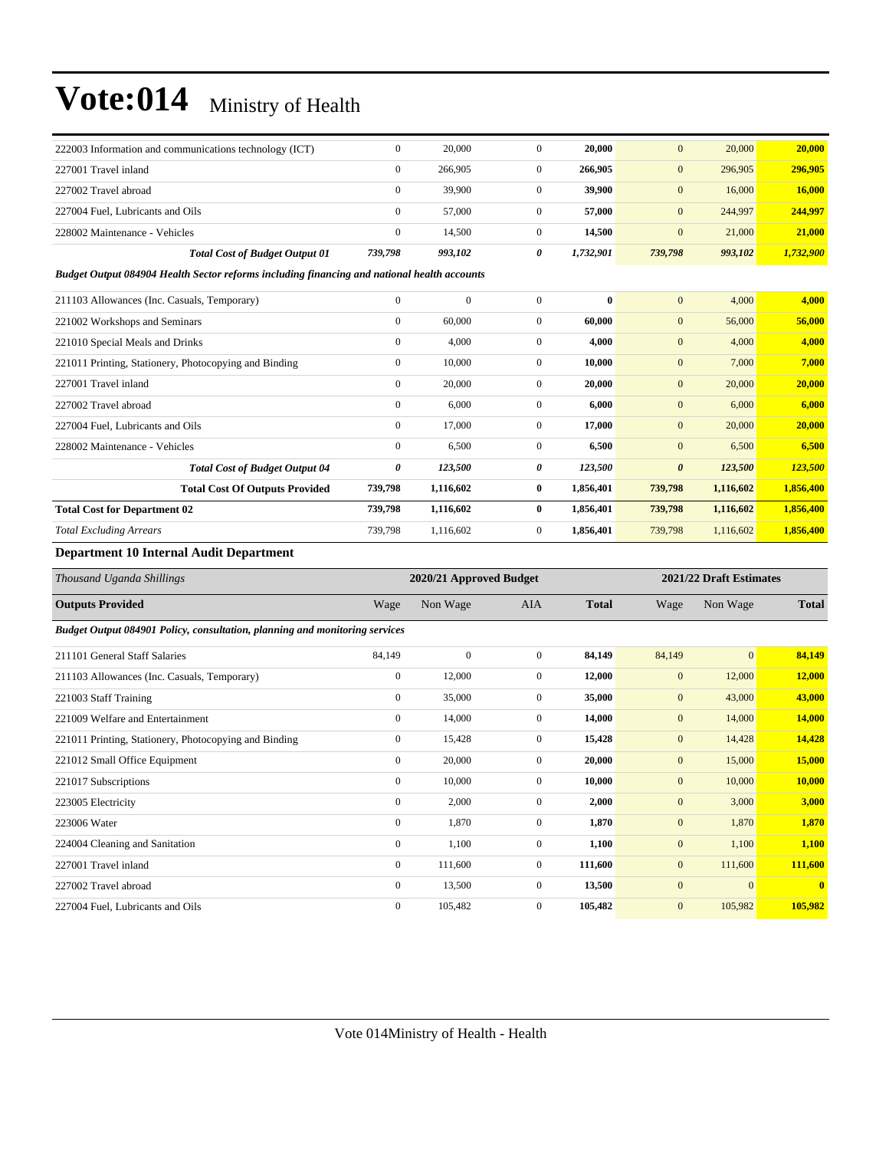| 222003 Information and communications technology (ICT)                                      | $\overline{0}$ | 20,000       | $\mathbf{0}$   | 20,000    | $\overline{0}$        | 20,000    | 20,000    |
|---------------------------------------------------------------------------------------------|----------------|--------------|----------------|-----------|-----------------------|-----------|-----------|
| 227001 Travel inland                                                                        | $\mathbf{0}$   | 266,905      | $\overline{0}$ | 266,905   | $\overline{0}$        | 296,905   | 296,905   |
| 227002 Travel abroad                                                                        | $\overline{0}$ | 39,900       | $\mathbf{0}$   | 39,900    | $\mathbf{0}$          | 16,000    | 16,000    |
| 227004 Fuel, Lubricants and Oils                                                            | $\mathbf{0}$   | 57,000       | $\mathbf{0}$   | 57,000    | $\mathbf{0}$          | 244,997   | 244,997   |
| 228002 Maintenance - Vehicles                                                               | $\mathbf{0}$   | 14,500       | $\mathbf{0}$   | 14,500    | $\mathbf{0}$          | 21,000    | 21,000    |
| <b>Total Cost of Budget Output 01</b>                                                       | 739,798        | 993,102      | 0              | 1,732,901 | 739,798               | 993,102   | 1,732,900 |
| Budget Output 084904 Health Sector reforms including financing and national health accounts |                |              |                |           |                       |           |           |
| 211103 Allowances (Inc. Casuals, Temporary)                                                 | $\mathbf{0}$   | $\mathbf{0}$ | $\mathbf{0}$   | $\bf{0}$  | $\mathbf{0}$          | 4,000     | 4,000     |
| 221002 Workshops and Seminars                                                               | $\mathbf{0}$   | 60,000       | $\overline{0}$ | 60,000    | $\mathbf{0}$          | 56,000    | 56,000    |
| 221010 Special Meals and Drinks                                                             | $\mathbf{0}$   | 4,000        | $\mathbf{0}$   | 4,000     | $\overline{0}$        | 4,000     | 4,000     |
| 221011 Printing, Stationery, Photocopying and Binding                                       | $\mathbf{0}$   | 10,000       | $\mathbf{0}$   | 10,000    | $\mathbf{0}$          | 7,000     | 7,000     |
| 227001 Travel inland                                                                        | $\Omega$       | 20,000       | $\Omega$       | 20,000    | $\overline{0}$        | 20,000    | 20,000    |
| 227002 Travel abroad                                                                        | $\overline{0}$ | 6,000        | $\mathbf{0}$   | 6,000     | $\mathbf{0}$          | 6,000     | 6,000     |
| 227004 Fuel, Lubricants and Oils                                                            | $\overline{0}$ | 17,000       | $\mathbf{0}$   | 17,000    | $\boldsymbol{0}$      | 20,000    | 20,000    |
| 228002 Maintenance - Vehicles                                                               | $\mathbf{0}$   | 6,500        | $\mathbf{0}$   | 6,500     | $\mathbf{0}$          | 6,500     | 6,500     |
| <b>Total Cost of Budget Output 04</b>                                                       | 0              | 123,500      | 0              | 123,500   | $\boldsymbol{\theta}$ | 123,500   | 123,500   |
| <b>Total Cost Of Outputs Provided</b>                                                       | 739,798        | 1,116,602    | $\bf{0}$       | 1,856,401 | 739,798               | 1,116,602 | 1,856,400 |
| <b>Total Cost for Department 02</b>                                                         | 739,798        | 1,116,602    | $\bf{0}$       | 1,856,401 | 739,798               | 1,116,602 | 1,856,400 |
| <b>Total Excluding Arrears</b>                                                              | 739,798        | 1,116,602    | $\mathbf{0}$   | 1,856,401 | 739,798               | 1,116,602 | 1,856,400 |
| Donoutmont 10 Intounol Audit Donoutmont                                                     |                |              |                |           |                       |           |           |

#### **Department 10 Internal Audit Department**

| Thousand Uganda Shillings                                                   | 2020/21 Approved Budget |                |                | 2021/22 Draft Estimates |              |              |              |  |  |
|-----------------------------------------------------------------------------|-------------------------|----------------|----------------|-------------------------|--------------|--------------|--------------|--|--|
| <b>Outputs Provided</b>                                                     | Wage                    | Non Wage       | <b>AIA</b>     | <b>Total</b>            | Wage         | Non Wage     | <b>Total</b> |  |  |
| Budget Output 084901 Policy, consultation, planning and monitoring services |                         |                |                |                         |              |              |              |  |  |
| 211101 General Staff Salaries                                               | 84,149                  | $\overline{0}$ | $\mathbf{0}$   | 84,149                  | 84,149       | $\mathbf{0}$ | 84,149       |  |  |
| 211103 Allowances (Inc. Casuals, Temporary)                                 | $\boldsymbol{0}$        | 12,000         | $\mathbf{0}$   | 12,000                  | $\mathbf{0}$ | 12,000       | 12,000       |  |  |
| 221003 Staff Training                                                       | $\mathbf{0}$            | 35,000         | $\mathbf{0}$   | 35,000                  | $\mathbf{0}$ | 43,000       | 43,000       |  |  |
| 221009 Welfare and Entertainment                                            | $\mathbf{0}$            | 14,000         | $\mathbf{0}$   | 14,000                  | $\mathbf{0}$ | 14,000       | 14,000       |  |  |
| 221011 Printing, Stationery, Photocopying and Binding                       | $\mathbf{0}$            | 15,428         | $\mathbf{0}$   | 15,428                  | $\mathbf{0}$ | 14,428       | 14,428       |  |  |
| 221012 Small Office Equipment                                               | $\mathbf{0}$            | 20,000         | $\overline{0}$ | 20,000                  | $\mathbf{0}$ | 15,000       | 15,000       |  |  |
| 221017 Subscriptions                                                        | $\overline{0}$          | 10,000         | $\mathbf{0}$   | 10,000                  | $\mathbf{0}$ | 10,000       | 10,000       |  |  |
| 223005 Electricity                                                          | $\overline{0}$          | 2,000          | $\mathbf{0}$   | 2,000                   | $\mathbf{0}$ | 3,000        | 3,000        |  |  |
| 223006 Water                                                                | $\mathbf{0}$            | 1,870          | $\mathbf{0}$   | 1,870                   | $\mathbf{0}$ | 1,870        | 1,870        |  |  |
| 224004 Cleaning and Sanitation                                              | 0                       | 1,100          | $\mathbf{0}$   | 1,100                   | $\mathbf{0}$ | 1,100        | 1,100        |  |  |
| 227001 Travel inland                                                        | $\mathbf{0}$            | 111,600        | $\mathbf{0}$   | 111,600                 | $\mathbf{0}$ | 111,600      | 111,600      |  |  |
| 227002 Travel abroad                                                        | $\overline{0}$          | 13,500         | $\mathbf{0}$   | 13,500                  | $\mathbf{0}$ | $\mathbf{0}$ | $\mathbf{0}$ |  |  |
| 227004 Fuel, Lubricants and Oils                                            | $\mathbf{0}$            | 105,482        | $\mathbf{0}$   | 105,482                 | $\mathbf{0}$ | 105,982      | 105,982      |  |  |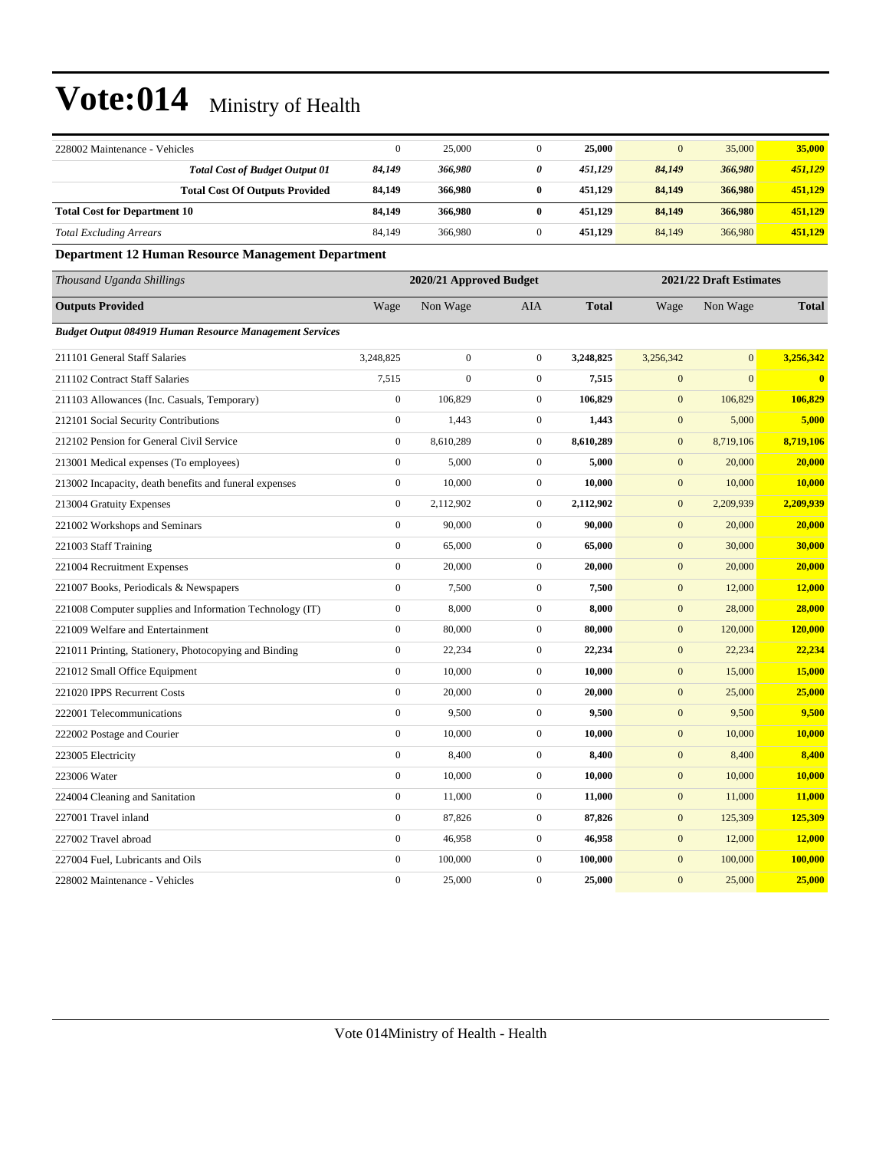| 228002 Maintenance - Vehicles                                  | $\mathbf{0}$     | 25,000                  | $\overline{0}$   | 25,000       | $\overline{0}$   | 35,000                  | 35,000        |
|----------------------------------------------------------------|------------------|-------------------------|------------------|--------------|------------------|-------------------------|---------------|
| <b>Total Cost of Budget Output 01</b>                          | 84,149           | 366,980                 | 0                | 451,129      | 84,149           | 366,980                 | 451,129       |
| <b>Total Cost Of Outputs Provided</b>                          | 84,149           | 366,980                 | $\bf{0}$         | 451,129      | 84,149           | 366,980                 | 451,129       |
| <b>Total Cost for Department 10</b>                            | 84,149           | 366,980                 | $\bf{0}$         | 451,129      | 84,149           | 366,980                 | 451,129       |
| <b>Total Excluding Arrears</b>                                 | 84,149           | 366,980                 | $\boldsymbol{0}$ | 451,129      | 84,149           | 366,980                 | 451,129       |
| Department 12 Human Resource Management Department             |                  |                         |                  |              |                  |                         |               |
| Thousand Uganda Shillings                                      |                  | 2020/21 Approved Budget |                  |              |                  | 2021/22 Draft Estimates |               |
| <b>Outputs Provided</b>                                        | Wage             | Non Wage                | AIA              | <b>Total</b> | Wage             | Non Wage                | <b>Total</b>  |
| <b>Budget Output 084919 Human Resource Management Services</b> |                  |                         |                  |              |                  |                         |               |
| 211101 General Staff Salaries                                  | 3,248,825        | $\mathbf{0}$            | $\boldsymbol{0}$ | 3,248,825    | 3,256,342        | $\boldsymbol{0}$        | 3,256,342     |
| 211102 Contract Staff Salaries                                 | 7,515            | $\boldsymbol{0}$        | $\boldsymbol{0}$ | 7,515        | $\boldsymbol{0}$ | $\mathbf{0}$            | $\bf{0}$      |
| 211103 Allowances (Inc. Casuals, Temporary)                    | $\boldsymbol{0}$ | 106,829                 | $\overline{0}$   | 106,829      | $\mathbf{0}$     | 106,829                 | 106,829       |
| 212101 Social Security Contributions                           | $\boldsymbol{0}$ | 1,443                   | $\overline{0}$   | 1,443        | $\mathbf{0}$     | 5,000                   | 5,000         |
| 212102 Pension for General Civil Service                       | $\boldsymbol{0}$ | 8,610,289               | $\mathbf{0}$     | 8,610,289    | $\mathbf{0}$     | 8,719,106               | 8,719,106     |
| 213001 Medical expenses (To employees)                         | $\boldsymbol{0}$ | 5,000                   | $\boldsymbol{0}$ | 5,000        | $\mathbf{0}$     | 20,000                  | 20,000        |
| 213002 Incapacity, death benefits and funeral expenses         | $\boldsymbol{0}$ | 10,000                  | $\boldsymbol{0}$ | 10,000       | $\mathbf{0}$     | 10,000                  | 10,000        |
| 213004 Gratuity Expenses                                       | $\boldsymbol{0}$ | 2,112,902               | $\boldsymbol{0}$ | 2,112,902    | $\boldsymbol{0}$ | 2,209,939               | 2,209,939     |
| 221002 Workshops and Seminars                                  | $\boldsymbol{0}$ | 90,000                  | $\boldsymbol{0}$ | 90,000       | $\boldsymbol{0}$ | 20,000                  | 20,000        |
| 221003 Staff Training                                          | $\boldsymbol{0}$ | 65,000                  | $\mathbf{0}$     | 65,000       | $\mathbf{0}$     | 30,000                  | 30,000        |
| 221004 Recruitment Expenses                                    | $\mathbf{0}$     | 20,000                  | $\boldsymbol{0}$ | 20,000       | $\boldsymbol{0}$ | 20,000                  | 20,000        |
| 221007 Books, Periodicals & Newspapers                         | $\boldsymbol{0}$ | 7,500                   | $\boldsymbol{0}$ | 7,500        | $\boldsymbol{0}$ | 12,000                  | 12,000        |
| 221008 Computer supplies and Information Technology (IT)       | $\boldsymbol{0}$ | 8,000                   | $\boldsymbol{0}$ | 8,000        | $\boldsymbol{0}$ | 28,000                  | 28,000        |
| 221009 Welfare and Entertainment                               | $\boldsymbol{0}$ | 80,000                  | $\boldsymbol{0}$ | 80,000       | $\mathbf{0}$     | 120,000                 | 120,000       |
| 221011 Printing, Stationery, Photocopying and Binding          | $\boldsymbol{0}$ | 22,234                  | $\boldsymbol{0}$ | 22,234       | $\boldsymbol{0}$ | 22,234                  | 22,234        |
| 221012 Small Office Equipment                                  | $\boldsymbol{0}$ | 10,000                  | $\mathbf{0}$     | 10,000       | $\mathbf{0}$     | 15,000                  | 15,000        |
| 221020 IPPS Recurrent Costs                                    | $\mathbf{0}$     | 20,000                  | $\boldsymbol{0}$ | 20,000       | $\mathbf{0}$     | 25,000                  | 25,000        |
| 222001 Telecommunications                                      | $\boldsymbol{0}$ | 9,500                   | $\boldsymbol{0}$ | 9,500        | $\mathbf{0}$     | 9,500                   | 9,500         |
| 222002 Postage and Courier                                     | $\boldsymbol{0}$ | 10,000                  | $\mathbf{0}$     | 10,000       | $\mathbf{0}$     | 10,000                  | <b>10,000</b> |
| 223005 Electricity                                             | $\boldsymbol{0}$ | 8,400                   | $\boldsymbol{0}$ | 8,400        | $\mathbf{0}$     | 8,400                   | 8,400         |
| 223006 Water                                                   | $\boldsymbol{0}$ | 10,000                  | $\boldsymbol{0}$ | 10,000       | $\boldsymbol{0}$ | 10,000                  | 10,000        |
| 224004 Cleaning and Sanitation                                 | $\boldsymbol{0}$ | 11,000                  | $\boldsymbol{0}$ | 11,000       | $\mathbf{0}$     | 11,000                  | 11,000        |
| 227001 Travel inland                                           | $\boldsymbol{0}$ | 87,826                  | $\boldsymbol{0}$ | 87,826       | $\mathbf{0}$     | 125,309                 | 125,309       |
| 227002 Travel abroad                                           | $\boldsymbol{0}$ | 46,958                  | $\boldsymbol{0}$ | 46,958       | $\mathbf{0}$     | 12,000                  | 12,000        |
| 227004 Fuel, Lubricants and Oils                               | $\boldsymbol{0}$ | 100,000                 | $\boldsymbol{0}$ | 100,000      | $\mathbf{0}$     | 100,000                 | 100,000       |
| 228002 Maintenance - Vehicles                                  | $\boldsymbol{0}$ | 25,000                  | $\boldsymbol{0}$ | 25,000       | $\mathbf{0}$     | 25,000                  | 25,000        |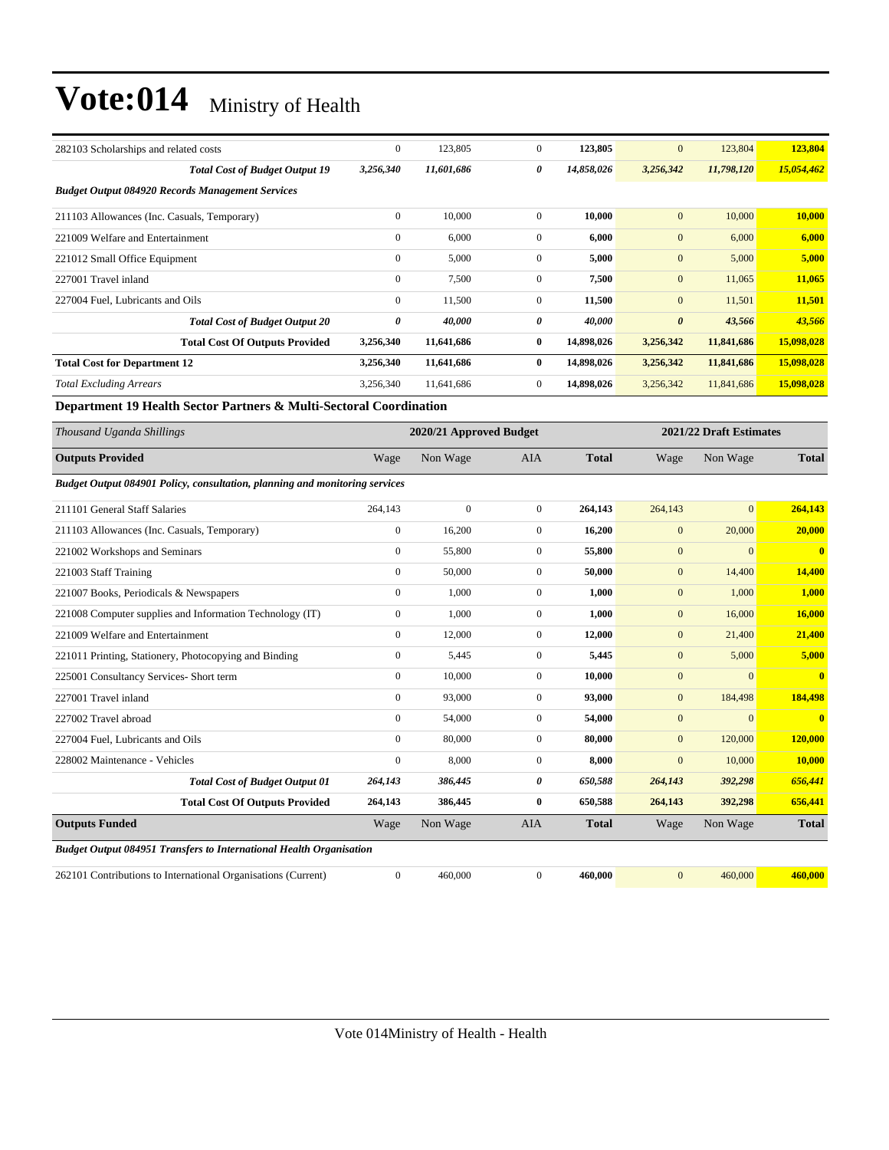| 282103 Scholarships and related costs                                              | $\boldsymbol{0}$ | 123,805                 | $\boldsymbol{0}$ | 123,805      | $\mathbf{0}$            | 123,804      | 123,804                 |  |
|------------------------------------------------------------------------------------|------------------|-------------------------|------------------|--------------|-------------------------|--------------|-------------------------|--|
| <b>Total Cost of Budget Output 19</b>                                              | 3,256,340        | 11,601,686              | 0                | 14,858,026   | 3,256,342               | 11,798,120   | 15,054,462              |  |
| <b>Budget Output 084920 Records Management Services</b>                            |                  |                         |                  |              |                         |              |                         |  |
| 211103 Allowances (Inc. Casuals, Temporary)                                        | $\boldsymbol{0}$ | 10,000                  | $\mathbf{0}$     | 10,000       | $\mathbf{0}$            | 10,000       | 10,000                  |  |
| 221009 Welfare and Entertainment                                                   | $\boldsymbol{0}$ | 6,000                   | $\overline{0}$   | 6,000        | $\boldsymbol{0}$        | 6,000        | 6,000                   |  |
| 221012 Small Office Equipment                                                      | $\boldsymbol{0}$ | 5,000                   | $\overline{0}$   | 5,000        | $\boldsymbol{0}$        | 5,000        | 5,000                   |  |
| 227001 Travel inland                                                               | $\boldsymbol{0}$ | 7,500                   | $\boldsymbol{0}$ | 7,500        | $\mathbf{0}$            | 11,065       | 11,065                  |  |
| 227004 Fuel, Lubricants and Oils                                                   | $\boldsymbol{0}$ | 11,500                  | $\overline{0}$   | 11,500       | $\boldsymbol{0}$        | 11,501       | 11,501                  |  |
| <b>Total Cost of Budget Output 20</b>                                              | 0                | 40,000                  | 0                | 40,000       | $\boldsymbol{\theta}$   | 43,566       | 43,566                  |  |
| <b>Total Cost Of Outputs Provided</b>                                              | 3,256,340        | 11,641,686              | $\bf{0}$         | 14,898,026   | 3,256,342               | 11,841,686   | 15,098,028              |  |
| <b>Total Cost for Department 12</b>                                                | 3,256,340        | 11,641,686              | $\bf{0}$         | 14,898,026   | 3,256,342               | 11,841,686   | 15,098,028              |  |
| <b>Total Excluding Arrears</b>                                                     | 3,256,340        | 11,641,686              | $\mathbf{0}$     | 14,898,026   | 3,256,342               | 11,841,686   | 15,098,028              |  |
| Department 19 Health Sector Partners & Multi-Sectoral Coordination                 |                  |                         |                  |              |                         |              |                         |  |
| Thousand Uganda Shillings                                                          |                  | 2020/21 Approved Budget |                  |              | 2021/22 Draft Estimates |              |                         |  |
| <b>Outputs Provided</b>                                                            | Wage             | Non Wage                | <b>AIA</b>       | <b>Total</b> | Wage                    | Non Wage     | <b>Total</b>            |  |
| <b>Budget Output 084901 Policy, consultation, planning and monitoring services</b> |                  |                         |                  |              |                         |              |                         |  |
| 211101 General Staff Salaries                                                      | 264,143          | $\boldsymbol{0}$        | $\boldsymbol{0}$ | 264,143      | 264,143                 | $\mathbf{0}$ | 264,143                 |  |
| 211103 Allowances (Inc. Casuals, Temporary)                                        | $\boldsymbol{0}$ | 16,200                  | $\overline{0}$   | 16,200       | $\mathbf{0}$            | 20,000       | 20,000                  |  |
| 221002 Workshops and Seminars                                                      | $\boldsymbol{0}$ | 55,800                  | $\boldsymbol{0}$ | 55,800       | $\mathbf{0}$            | $\mathbf{0}$ | $\overline{\mathbf{0}}$ |  |
| 221003 Staff Training                                                              | $\boldsymbol{0}$ | 50,000                  | $\boldsymbol{0}$ | 50,000       | $\boldsymbol{0}$        | 14,400       | 14,400                  |  |
| 221007 Books, Periodicals & Newspapers                                             | $\boldsymbol{0}$ | 1,000                   | $\boldsymbol{0}$ | 1,000        | $\boldsymbol{0}$        | 1,000        | 1,000                   |  |
| 221008 Computer supplies and Information Technology (IT)                           | $\boldsymbol{0}$ | 1,000                   | $\overline{0}$   | 1,000        | $\mathbf{0}$            | 16,000       | 16,000                  |  |
| 221009 Welfare and Entertainment                                                   | $\boldsymbol{0}$ | 12,000                  | $\boldsymbol{0}$ | 12,000       | $\boldsymbol{0}$        | 21,400       | 21,400                  |  |
| 221011 Printing, Stationery, Photocopying and Binding                              | $\boldsymbol{0}$ | 5,445                   | $\overline{0}$   | 5,445        | $\mathbf{0}$            | 5,000        | 5,000                   |  |
| 225001 Consultancy Services- Short term                                            | $\boldsymbol{0}$ | 10,000                  | $\overline{0}$   | 10,000       | $\mathbf{0}$            | $\mathbf{0}$ | $\overline{\mathbf{0}}$ |  |
| 227001 Travel inland                                                               | $\boldsymbol{0}$ | 93,000                  | $\boldsymbol{0}$ | 93,000       | $\mathbf{0}$            | 184,498      | 184,498                 |  |
| 227002 Travel abroad                                                               | $\boldsymbol{0}$ | 54,000                  | $\mathbf{0}$     | 54,000       | $\mathbf{0}$            | $\mathbf{0}$ | $\overline{\mathbf{0}}$ |  |
| 227004 Fuel, Lubricants and Oils                                                   | $\boldsymbol{0}$ | 80,000                  | $\mathbf{0}$     | 80,000       | $\mathbf{0}$            | 120,000      | 120,000                 |  |
| 228002 Maintenance - Vehicles                                                      | $\boldsymbol{0}$ | 8,000                   | $\mathbf{0}$     | 8,000        | $\mathbf{0}$            | 10,000       | 10,000                  |  |
| <b>Total Cost of Budget Output 01</b>                                              | 264,143          | 386,445                 | 0                | 650,588      | 264,143                 | 392,298      | 656,441                 |  |
| <b>Total Cost Of Outputs Provided</b>                                              | 264,143          | 386,445                 | $\bf{0}$         | 650,588      | 264,143                 | 392,298      | 656,441                 |  |
| <b>Outputs Funded</b>                                                              | Wage             | Non Wage                | AIA              | <b>Total</b> | Wage                    | Non Wage     | <b>Total</b>            |  |
| <b>Budget Output 084951 Transfers to International Health Organisation</b>         |                  |                         |                  |              |                         |              |                         |  |
| 262101 Contributions to International Organisations (Current)                      | $\mathbf{0}$     | 460,000                 | $\overline{0}$   | 460,000      | $\mathbf{0}$            | 460,000      | 460,000                 |  |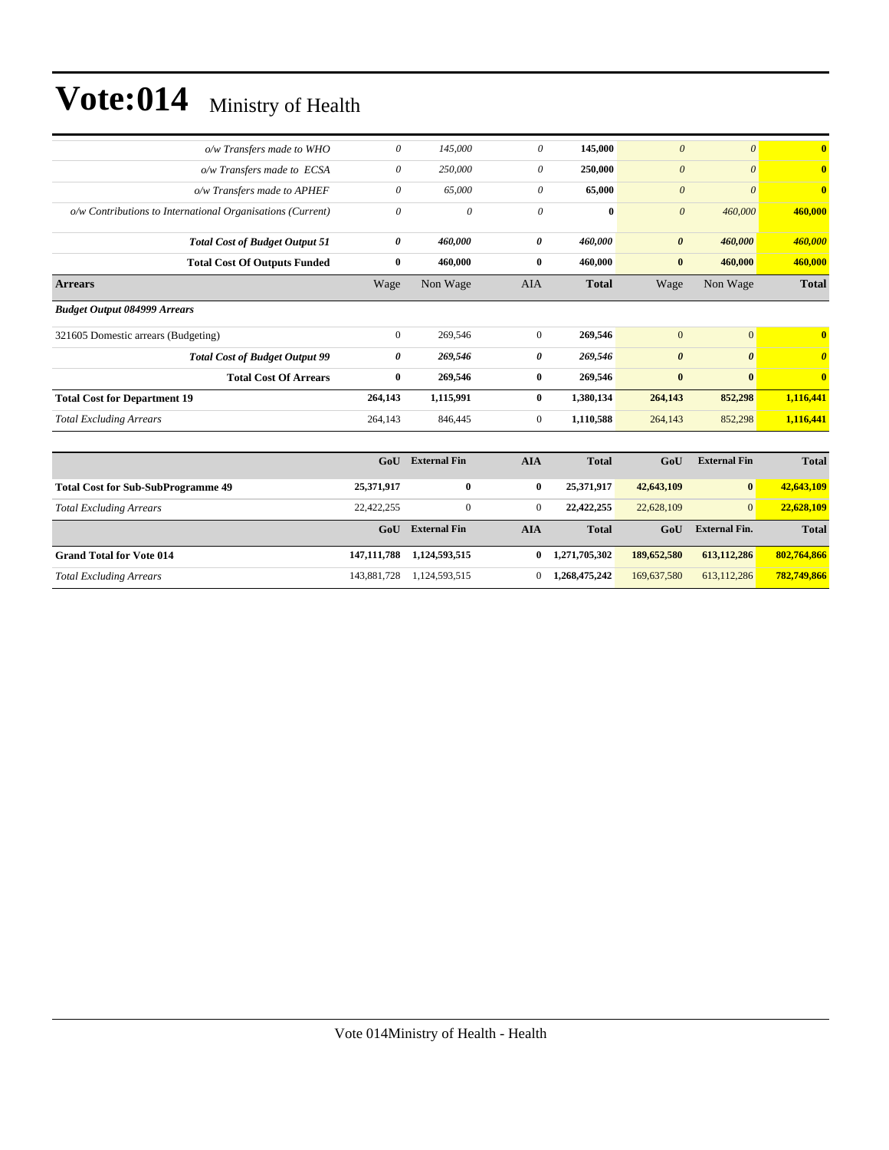| o/w Transfers made to WHO                                  | $\boldsymbol{\theta}$ | 145,000   | 0              | 145,000      | $\boldsymbol{\theta}$ | $\theta$       | $\overline{0}$          |
|------------------------------------------------------------|-----------------------|-----------|----------------|--------------|-----------------------|----------------|-------------------------|
| o/w Transfers made to ECSA                                 | $\theta$              | 250,000   | $\theta$       | 250,000      | $\boldsymbol{\theta}$ | $\theta$       | $\mathbf{0}$            |
| o/w Transfers made to APHEF                                | $\theta$              | 65,000    | $\theta$       | 65,000       | $\boldsymbol{\theta}$ | $\theta$       | $\overline{\mathbf{0}}$ |
| o/w Contributions to International Organisations (Current) | $\theta$              | 0         | $\theta$       | $\mathbf{0}$ | $\theta$              | 460,000        | 460,000                 |
| <b>Total Cost of Budget Output 51</b>                      | 0                     | 460,000   | 0              | 460,000      | $\boldsymbol{\theta}$ | 460,000        | 460,000                 |
| <b>Total Cost Of Outputs Funded</b>                        | $\bf{0}$              | 460,000   | $\bf{0}$       | 460,000      | $\bf{0}$              | 460,000        | 460,000                 |
| <b>Arrears</b>                                             | Wage                  | Non Wage  | <b>AIA</b>     | <b>Total</b> | Wage                  | Non Wage       | <b>Total</b>            |
| <b>Budget Output 084999 Arrears</b>                        |                       |           |                |              |                       |                |                         |
| 321605 Domestic arrears (Budgeting)                        | $\mathbf{0}$          | 269,546   | $\mathbf{0}$   | 269,546      | $\overline{0}$        | $\overline{0}$ | $\mathbf{0}$            |
| <b>Total Cost of Budget Output 99</b>                      | 0                     | 269,546   | 0              | 269,546      | $\boldsymbol{\theta}$ | $\theta$       | $\theta$                |
| <b>Total Cost Of Arrears</b>                               | $\bf{0}$              | 269,546   | $\bf{0}$       | 269,546      | $\bf{0}$              | $\bf{0}$       | $\mathbf{0}$            |
| <b>Total Cost for Department 19</b>                        | 264,143               | 1,115,991 | $\mathbf{0}$   | 1,380,134    | 264,143               | 852,298        | 1,116,441               |
| <b>Total Excluding Arrears</b>                             | 264,143               | 846,445   | $\overline{0}$ | 1,110,588    | 264,143               | 852,298        | 1,116,441               |
|                                                            |                       |           |                |              |                       |                |                         |

|                                           | GoU           | <b>External Fin</b> | AIA            | <b>Total</b>  | GoU         | <b>External Fin</b>  | <b>Total</b> |
|-------------------------------------------|---------------|---------------------|----------------|---------------|-------------|----------------------|--------------|
| <b>Total Cost for Sub-SubProgramme 49</b> | 25,371,917    | $\bf{0}$            | $\bf{0}$       | 25,371,917    | 42,643,109  | $\bf{0}$             | 42,643,109   |
| <b>Total Excluding Arrears</b>            | 22,422,255    | $\Omega$            | $\overline{0}$ | 22,422,255    | 22,628,109  | $\overline{0}$       | 22,628,109   |
|                                           | GoU           | <b>External Fin</b> | <b>AIA</b>     | <b>Total</b>  | GoU         | <b>External Fin.</b> | <b>Total</b> |
| <b>Grand Total for Vote 014</b>           | 147, 111, 788 | 1,124,593,515       | 0              | 1,271,705,302 | 189,652,580 | 613,112,286          | 802,764,866  |
| <b>Total Excluding Arrears</b>            | 143,881,728   | 1,124,593,515       | 0              | 1,268,475,242 | 169,637,580 | 613,112,286          | 782,749,866  |